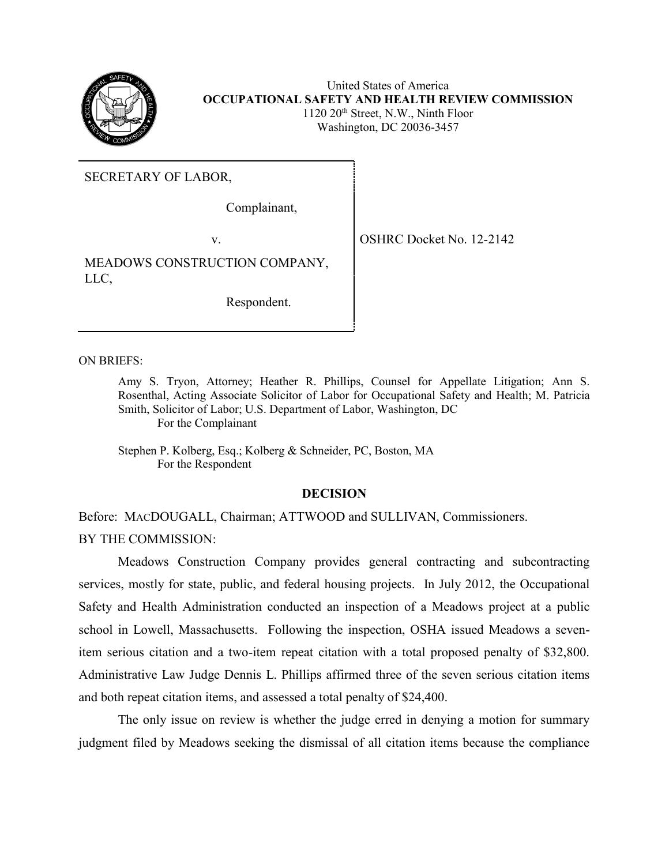

United States of America **OCCUPATIONAL SAFETY AND HEALTH REVIEW COMMISSION**  $1120 20<sup>th</sup>$  Street, N.W., Ninth Floor Washington, DC 20036-3457

SECRETARY OF LABOR,

Complainant,

v. SHRC Docket No. 12-2142

MEADOWS CONSTRUCTION COMPANY, LLC,

Respondent.

ON BRIEFS:

Amy S. Tryon, Attorney; Heather R. Phillips, Counsel for Appellate Litigation; Ann S. Rosenthal, Acting Associate Solicitor of Labor for Occupational Safety and Health; M. Patricia Smith, Solicitor of Labor; U.S. Department of Labor, Washington, DC For the Complainant

Stephen P. Kolberg, Esq.; Kolberg & Schneider, PC, Boston, MA For the Respondent

### **DECISION**

Before: MACDOUGALL, Chairman; ATTWOOD and SULLIVAN, Commissioners. BY THE COMMISSION:

Meadows Construction Company provides general contracting and subcontracting services, mostly for state, public, and federal housing projects. In July 2012, the Occupational Safety and Health Administration conducted an inspection of a Meadows project at a public school in Lowell, Massachusetts. Following the inspection, OSHA issued Meadows a sevenitem serious citation and a two-item repeat citation with a total proposed penalty of \$32,800. Administrative Law Judge Dennis L. Phillips affirmed three of the seven serious citation items and both repeat citation items, and assessed a total penalty of \$24,400.

The only issue on review is whether the judge erred in denying a motion for summary judgment filed by Meadows seeking the dismissal of all citation items because the compliance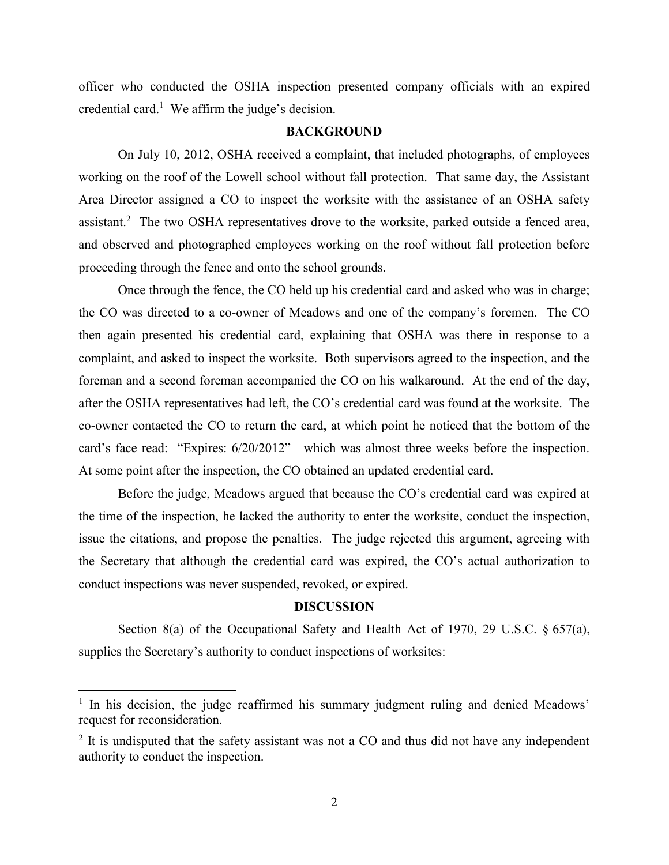officer who conducted the OSHA inspection presented company officials with an expired credential card.<sup>1</sup> We affirm the judge's decision.

### **BACKGROUND**

On July 10, 2012, OSHA received a complaint, that included photographs, of employees working on the roof of the Lowell school without fall protection. That same day, the Assistant Area Director assigned a CO to inspect the worksite with the assistance of an OSHA safety assistant.<sup>2</sup> The two OSHA representatives drove to the worksite, parked outside a fenced area, and observed and photographed employees working on the roof without fall protection before proceeding through the fence and onto the school grounds.

Once through the fence, the CO held up his credential card and asked who was in charge; the CO was directed to a co-owner of Meadows and one of the company's foremen. The CO then again presented his credential card, explaining that OSHA was there in response to a complaint, and asked to inspect the worksite. Both supervisors agreed to the inspection, and the foreman and a second foreman accompanied the CO on his walkaround. At the end of the day, after the OSHA representatives had left, the CO's credential card was found at the worksite. The co-owner contacted the CO to return the card, at which point he noticed that the bottom of the card's face read: "Expires: 6/20/2012"—which was almost three weeks before the inspection. At some point after the inspection, the CO obtained an updated credential card.

Before the judge, Meadows argued that because the CO's credential card was expired at the time of the inspection, he lacked the authority to enter the worksite, conduct the inspection, issue the citations, and propose the penalties. The judge rejected this argument, agreeing with the Secretary that although the credential card was expired, the CO's actual authorization to conduct inspections was never suspended, revoked, or expired.

### **DISCUSSION**

Section 8(a) of the Occupational Safety and Health Act of 1970, 29 U.S.C. § 657(a), supplies the Secretary's authority to conduct inspections of worksites:

<sup>&</sup>lt;sup>1</sup> In his decision, the judge reaffirmed his summary judgment ruling and denied Meadows' request for reconsideration.

 $2$  It is undisputed that the safety assistant was not a CO and thus did not have any independent authority to conduct the inspection.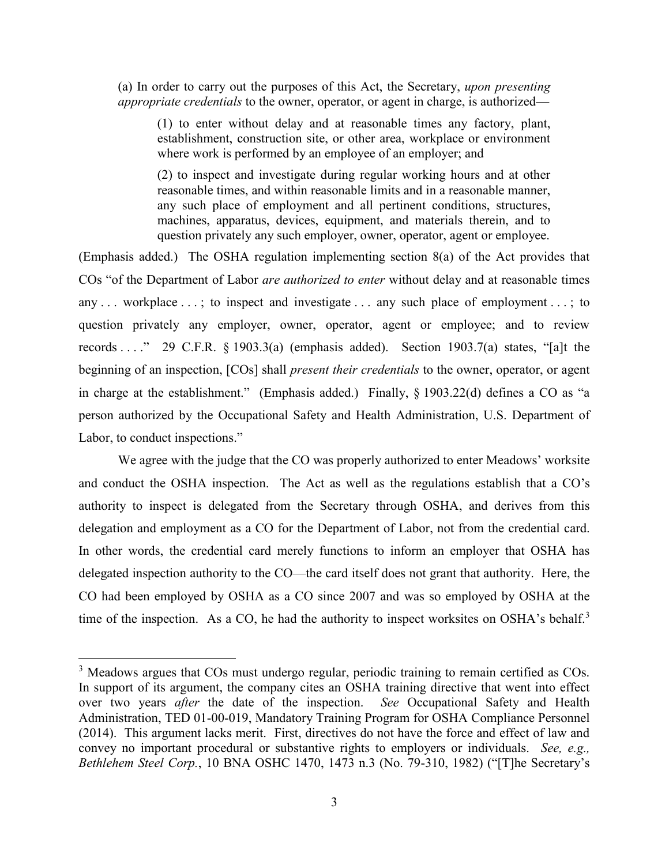(a) In order to carry out the purposes of this Act, the Secretary, *upon presenting appropriate credentials* to the owner, operator, or agent in charge, is authorized—

(1) to enter without delay and at reasonable times any factory, plant, establishment, construction site, or other area, workplace or environment where work is performed by an employee of an employer; and

(2) to inspect and investigate during regular working hours and at other reasonable times, and within reasonable limits and in a reasonable manner, any such place of employment and all pertinent conditions, structures, machines, apparatus, devices, equipment, and materials therein, and to question privately any such employer, owner, operator, agent or employee.

(Emphasis added.) The OSHA regulation implementing section 8(a) of the Act provides that COs "of the Department of Labor *are authorized to enter* without delay and at reasonable times any ... workplace ...; to inspect and investigate ... any such place of employment ...; to question privately any employer, owner, operator, agent or employee; and to review records . . . ." 29 C.F.R.  $\S$  1903.3(a) (emphasis added). Section 1903.7(a) states, "[a]t the beginning of an inspection, [COs] shall *present their credentials* to the owner, operator, or agent in charge at the establishment." (Emphasis added.) Finally, § 1903.22(d) defines a CO as "a person authorized by the Occupational Safety and Health Administration, U.S. Department of Labor, to conduct inspections."

We agree with the judge that the CO was properly authorized to enter Meadows' worksite and conduct the OSHA inspection. The Act as well as the regulations establish that a CO's authority to inspect is delegated from the Secretary through OSHA, and derives from this delegation and employment as a CO for the Department of Labor, not from the credential card. In other words, the credential card merely functions to inform an employer that OSHA has delegated inspection authority to the CO—the card itself does not grant that authority. Here, the CO had been employed by OSHA as a CO since 2007 and was so employed by OSHA at the time of the inspection. As a CO, he had the authority to inspect worksites on OSHA's behalf.<sup>3</sup>

 $3$  Meadows argues that COs must undergo regular, periodic training to remain certified as COs. In support of its argument, the company cites an OSHA training directive that went into effect over two years *after* the date of the inspection. *See* Occupational Safety and Health Administration, TED 01-00-019, Mandatory Training Program for OSHA Compliance Personnel (2014). This argument lacks merit. First, directives do not have the force and effect of law and convey no important procedural or substantive rights to employers or individuals. *See, e.g., Bethlehem Steel Corp.*, 10 BNA OSHC 1470, 1473 n.3 (No. 79-310, 1982) ("[T]he Secretary's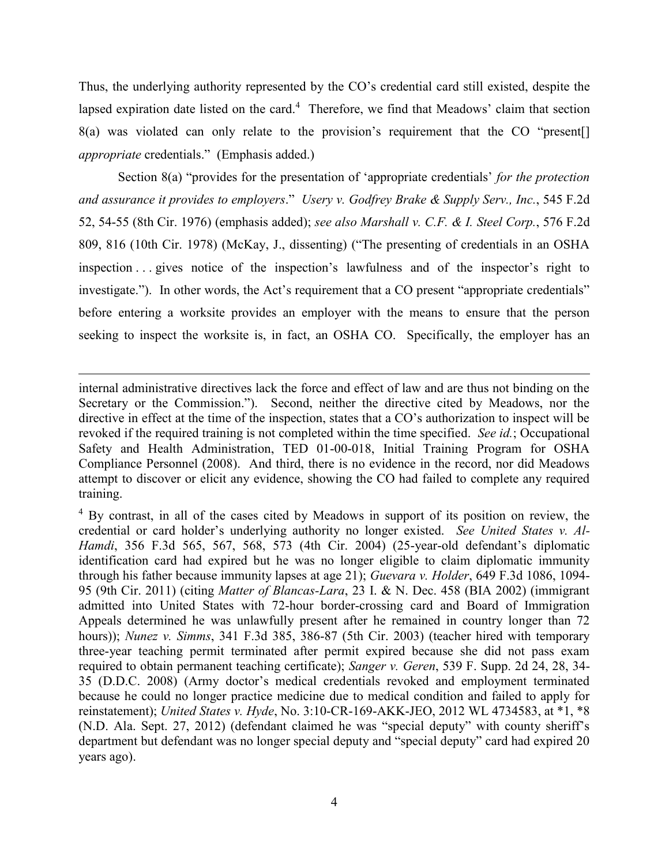Thus, the underlying authority represented by the CO's credential card still existed, despite the lapsed expiration date listed on the card.<sup>4</sup> Therefore, we find that Meadows' claim that section 8(a) was violated can only relate to the provision's requirement that the CO "present[] *appropriate* credentials." (Emphasis added.)

Section 8(a) "provides for the presentation of 'appropriate credentials' *for the protection and assurance it provides to employers*." *Usery v. Godfrey Brake & Supply Serv., Inc.*, 545 F.2d 52, 54-55 (8th Cir. 1976) (emphasis added); *see also Marshall v. C.F. & I. Steel Corp.*, 576 F.2d 809, 816 (10th Cir. 1978) (McKay, J., dissenting) ("The presenting of credentials in an OSHA inspection . . . gives notice of the inspection's lawfulness and of the inspector's right to investigate."). In other words, the Act's requirement that a CO present "appropriate credentials" before entering a worksite provides an employer with the means to ensure that the person seeking to inspect the worksite is, in fact, an OSHA CO. Specifically, the employer has an

internal administrative directives lack the force and effect of law and are thus not binding on the Secretary or the Commission."). Second, neither the directive cited by Meadows, nor the directive in effect at the time of the inspection, states that a CO's authorization to inspect will be revoked if the required training is not completed within the time specified. *See id.*; Occupational Safety and Health Administration, TED 01-00-018, Initial Training Program for OSHA Compliance Personnel (2008). And third, there is no evidence in the record, nor did Meadows attempt to discover or elicit any evidence, showing the CO had failed to complete any required training.

 $\overline{a}$ 

<sup>4</sup> By contrast, in all of the cases cited by Meadows in support of its position on review, the credential or card holder's underlying authority no longer existed. *See United States v. Al-Hamdi*, 356 F.3d 565, 567, 568, 573 (4th Cir. 2004) (25-year-old defendant's diplomatic identification card had expired but he was no longer eligible to claim diplomatic immunity through his father because immunity lapses at age 21); *Guevara v. Holder*, 649 F.3d 1086, 1094- 95 (9th Cir. 2011) (citing *Matter of Blancas-Lara*, 23 I. & N. Dec. 458 (BIA 2002) (immigrant admitted into United States with 72-hour border-crossing card and Board of Immigration Appeals determined he was unlawfully present after he remained in country longer than 72 hours)); *Nunez v. Simms*, 341 F.3d 385, 386-87 (5th Cir. 2003) (teacher hired with temporary three-year teaching permit terminated after permit expired because she did not pass exam required to obtain permanent teaching certificate); *Sanger v. Geren*, 539 F. Supp. 2d 24, 28, 34- 35 (D.D.C. 2008) (Army doctor's medical credentials revoked and employment terminated because he could no longer practice medicine due to medical condition and failed to apply for reinstatement); *United States v. Hyde*, No. 3:10-CR-169-AKK-JEO, 2012 WL 4734583, at \*1, \*8 (N.D. Ala. Sept. 27, 2012) (defendant claimed he was "special deputy" with county sheriff's department but defendant was no longer special deputy and "special deputy" card had expired 20 years ago).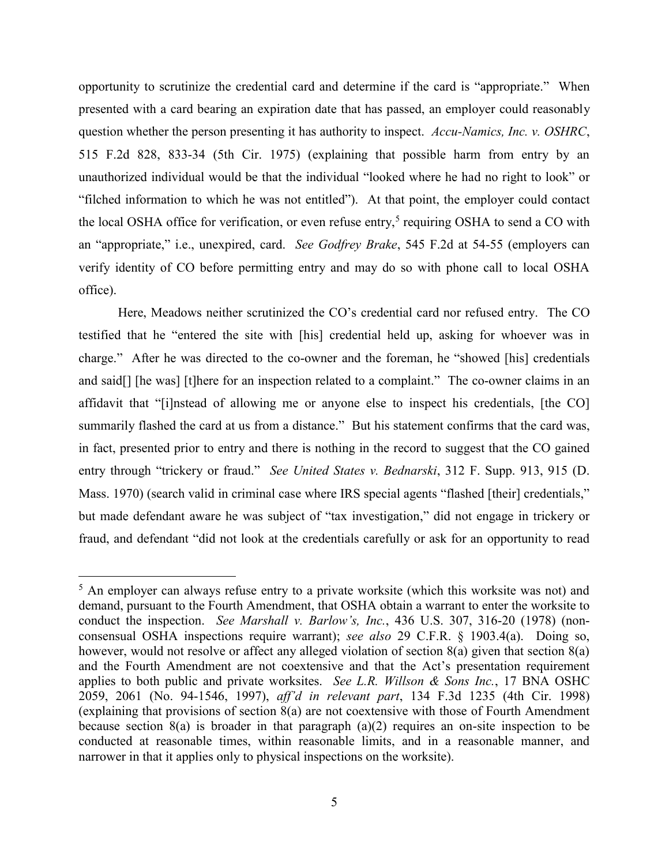opportunity to scrutinize the credential card and determine if the card is "appropriate." When presented with a card bearing an expiration date that has passed, an employer could reasonably question whether the person presenting it has authority to inspect. *Accu-Namics, Inc. v. OSHRC*, 515 F.2d 828, 833-34 (5th Cir. 1975) (explaining that possible harm from entry by an unauthorized individual would be that the individual "looked where he had no right to look" or "filched information to which he was not entitled"). At that point, the employer could contact the local OSHA office for verification, or even refuse entry,<sup>5</sup> requiring OSHA to send a CO with an "appropriate," i.e., unexpired, card. *See Godfrey Brake*, 545 F.2d at 54-55 (employers can verify identity of CO before permitting entry and may do so with phone call to local OSHA office).

Here, Meadows neither scrutinized the CO's credential card nor refused entry. The CO testified that he "entered the site with [his] credential held up, asking for whoever was in charge." After he was directed to the co-owner and the foreman, he "showed [his] credentials and said[] [he was] [t]here for an inspection related to a complaint." The co-owner claims in an affidavit that "[i]nstead of allowing me or anyone else to inspect his credentials, [the CO] summarily flashed the card at us from a distance." But his statement confirms that the card was, in fact, presented prior to entry and there is nothing in the record to suggest that the CO gained entry through "trickery or fraud." *See United States v. Bednarski*, 312 F. Supp. 913, 915 (D. Mass. 1970) (search valid in criminal case where IRS special agents "flashed [their] credentials," but made defendant aware he was subject of "tax investigation," did not engage in trickery or fraud, and defendant "did not look at the credentials carefully or ask for an opportunity to read

 $<sup>5</sup>$  An employer can always refuse entry to a private worksite (which this worksite was not) and</sup> demand, pursuant to the Fourth Amendment, that OSHA obtain a warrant to enter the worksite to conduct the inspection. *See Marshall v. Barlow's, Inc.*, 436 U.S. 307, 316-20 (1978) (nonconsensual OSHA inspections require warrant); *see also* 29 C.F.R. § 1903.4(a). Doing so, however, would not resolve or affect any alleged violation of section 8(a) given that section 8(a) and the Fourth Amendment are not coextensive and that the Act's presentation requirement applies to both public and private worksites. *See L.R. Willson & Sons Inc.*, 17 BNA OSHC 2059, 2061 (No. 94-1546, 1997), *aff'd in relevant part*, 134 F.3d 1235 (4th Cir. 1998) (explaining that provisions of section 8(a) are not coextensive with those of Fourth Amendment because section  $8(a)$  is broader in that paragraph  $(a)(2)$  requires an on-site inspection to be conducted at reasonable times, within reasonable limits, and in a reasonable manner, and narrower in that it applies only to physical inspections on the worksite).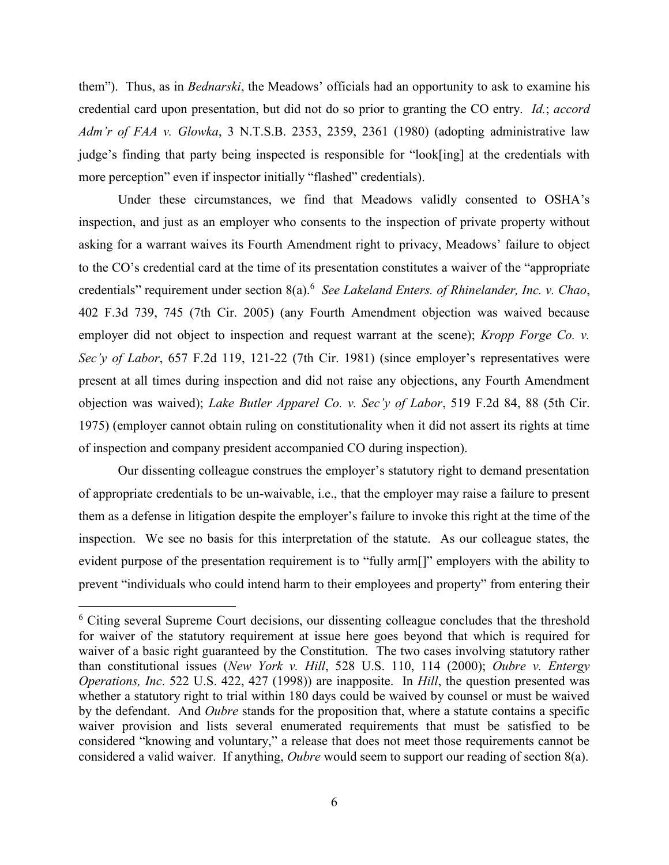them"). Thus, as in *Bednarski*, the Meadows' officials had an opportunity to ask to examine his credential card upon presentation, but did not do so prior to granting the CO entry. *Id.*; *accord Adm'r of FAA v. Glowka*, 3 N.T.S.B. 2353, 2359, 2361 (1980) (adopting administrative law judge's finding that party being inspected is responsible for "look[ing] at the credentials with more perception" even if inspector initially "flashed" credentials).

Under these circumstances, we find that Meadows validly consented to OSHA's inspection, and just as an employer who consents to the inspection of private property without asking for a warrant waives its Fourth Amendment right to privacy, Meadows' failure to object to the CO's credential card at the time of its presentation constitutes a waiver of the "appropriate credentials" requirement under section 8(a). 6 *See Lakeland Enters. of Rhinelander, Inc. v. Chao*, 402 F.3d 739, 745 (7th Cir. 2005) (any Fourth Amendment objection was waived because employer did not object to inspection and request warrant at the scene); *Kropp Forge Co. v. Sec'y of Labor*, 657 F.2d 119, 121-22 (7th Cir. 1981) (since employer's representatives were present at all times during inspection and did not raise any objections, any Fourth Amendment objection was waived); *Lake Butler Apparel Co. v. Sec'y of Labor*, 519 F.2d 84, 88 (5th Cir. 1975) (employer cannot obtain ruling on constitutionality when it did not assert its rights at time of inspection and company president accompanied CO during inspection).

Our dissenting colleague construes the employer's statutory right to demand presentation of appropriate credentials to be un-waivable, i.e., that the employer may raise a failure to present them as a defense in litigation despite the employer's failure to invoke this right at the time of the inspection. We see no basis for this interpretation of the statute. As our colleague states, the evident purpose of the presentation requirement is to "fully arm[]" employers with the ability to prevent "individuals who could intend harm to their employees and property" from entering their

<sup>&</sup>lt;sup>6</sup> Citing several Supreme Court decisions, our dissenting colleague concludes that the threshold for waiver of the statutory requirement at issue here goes beyond that which is required for waiver of a basic right guaranteed by the Constitution. The two cases involving statutory rather than constitutional issues (*New York v. Hill*, 528 U.S. 110, 114 (2000); *Oubre v. Entergy Operations, Inc*. 522 U.S. 422, 427 (1998)) are inapposite. In *Hill*, the question presented was whether a statutory right to trial within 180 days could be waived by counsel or must be waived by the defendant. And *Oubre* stands for the proposition that, where a statute contains a specific waiver provision and lists several enumerated requirements that must be satisfied to be considered "knowing and voluntary," a release that does not meet those requirements cannot be considered a valid waiver. If anything, *Oubre* would seem to support our reading of section 8(a).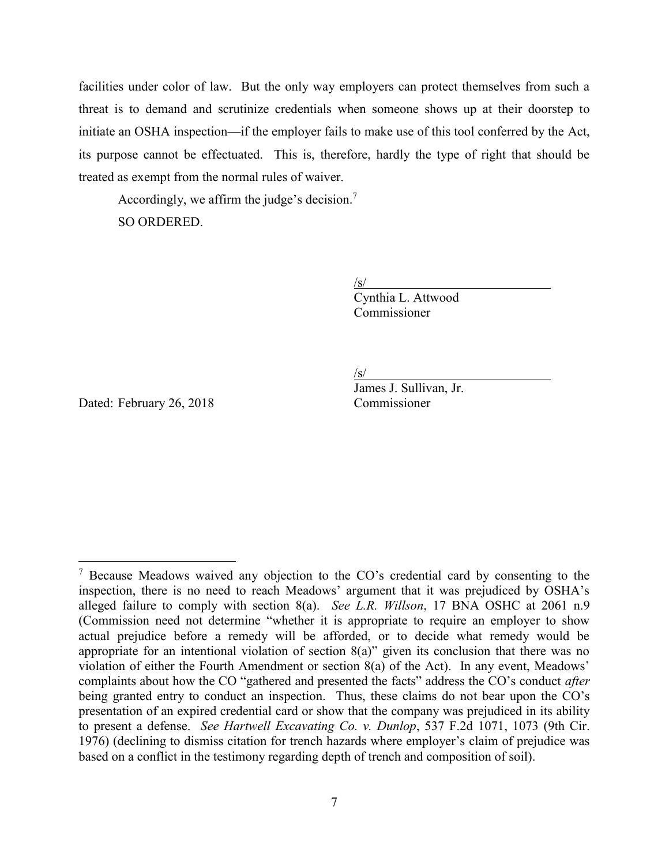facilities under color of law. But the only way employers can protect themselves from such a threat is to demand and scrutinize credentials when someone shows up at their doorstep to initiate an OSHA inspection—if the employer fails to make use of this tool conferred by the Act, its purpose cannot be effectuated. This is, therefore, hardly the type of right that should be treated as exempt from the normal rules of waiver.

Accordingly, we affirm the judge's decision.<sup>7</sup> SO ORDERED.

 $\sqrt{s/}$ 

Cynthia L. Attwood Commissioner

 $\sqrt{s/}$ 

Dated: February 26, 2018 Commissioner

 $\overline{a}$ 

James J. Sullivan, Jr.

 $<sup>7</sup>$  Because Meadows waived any objection to the CO's credential card by consenting to the</sup> inspection, there is no need to reach Meadows' argument that it was prejudiced by OSHA's alleged failure to comply with section 8(a). *See L.R. Willson*, 17 BNA OSHC at 2061 n.9 (Commission need not determine "whether it is appropriate to require an employer to show actual prejudice before a remedy will be afforded, or to decide what remedy would be appropriate for an intentional violation of section  $8(a)$ " given its conclusion that there was no violation of either the Fourth Amendment or section 8(a) of the Act). In any event, Meadows' complaints about how the CO "gathered and presented the facts" address the CO's conduct *after* being granted entry to conduct an inspection. Thus, these claims do not bear upon the CO's presentation of an expired credential card or show that the company was prejudiced in its ability to present a defense. *See Hartwell Excavating Co. v. Dunlop*, 537 F.2d 1071, 1073 (9th Cir. 1976) (declining to dismiss citation for trench hazards where employer's claim of prejudice was based on a conflict in the testimony regarding depth of trench and composition of soil).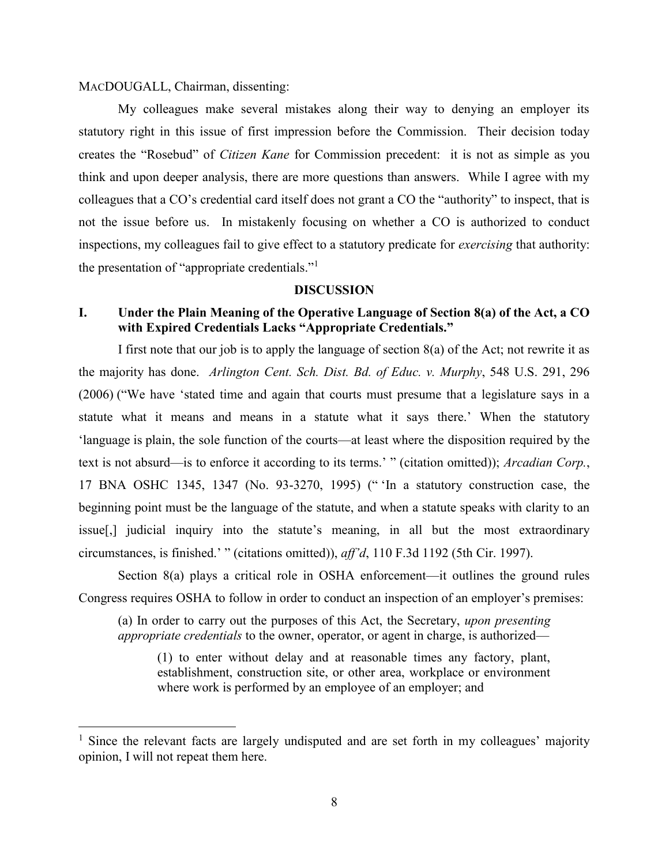### MACDOUGALL, Chairman, dissenting:

 $\overline{a}$ 

My colleagues make several mistakes along their way to denying an employer its statutory right in this issue of first impression before the Commission. Their decision today creates the "Rosebud" of *Citizen Kane* for Commission precedent: it is not as simple as you think and upon deeper analysis, there are more questions than answers. While I agree with my colleagues that a CO's credential card itself does not grant a CO the "authority" to inspect, that is not the issue before us. In mistakenly focusing on whether a CO is authorized to conduct inspections, my colleagues fail to give effect to a statutory predicate for *exercising* that authority: the presentation of "appropriate credentials."<sup>1</sup>

#### **DISCUSSION**

# **I. Under the Plain Meaning of the Operative Language of Section 8(a) of the Act, a CO with Expired Credentials Lacks "Appropriate Credentials."**

I first note that our job is to apply the language of section  $8(a)$  of the Act; not rewrite it as the majority has done. *Arlington Cent. Sch. Dist. Bd. of Educ. v. Murphy*, 548 U.S. 291, 296 (2006) ("We have 'stated time and again that courts must presume that a legislature says in a statute what it means and means in a statute what it says there.' When the statutory 'language is plain, the sole function of the courts—at least where the disposition required by the text is not absurd—is to enforce it according to its terms.' " (citation omitted)); *Arcadian Corp.*, 17 BNA OSHC 1345, 1347 (No. 93-3270, 1995) (" 'In a statutory construction case, the beginning point must be the language of the statute, and when a statute speaks with clarity to an issue[,] judicial inquiry into the statute's meaning, in all but the most extraordinary circumstances, is finished.' " (citations omitted)), *aff'd*, 110 F.3d 1192 (5th Cir. 1997).

Section 8(a) plays a critical role in OSHA enforcement—it outlines the ground rules Congress requires OSHA to follow in order to conduct an inspection of an employer's premises:

(a) In order to carry out the purposes of this Act, the Secretary, *upon presenting appropriate credentials* to the owner, operator, or agent in charge, is authorized—

(1) to enter without delay and at reasonable times any factory, plant, establishment, construction site, or other area, workplace or environment where work is performed by an employee of an employer; and

<sup>&</sup>lt;sup>1</sup> Since the relevant facts are largely undisputed and are set forth in my colleagues' majority opinion, I will not repeat them here.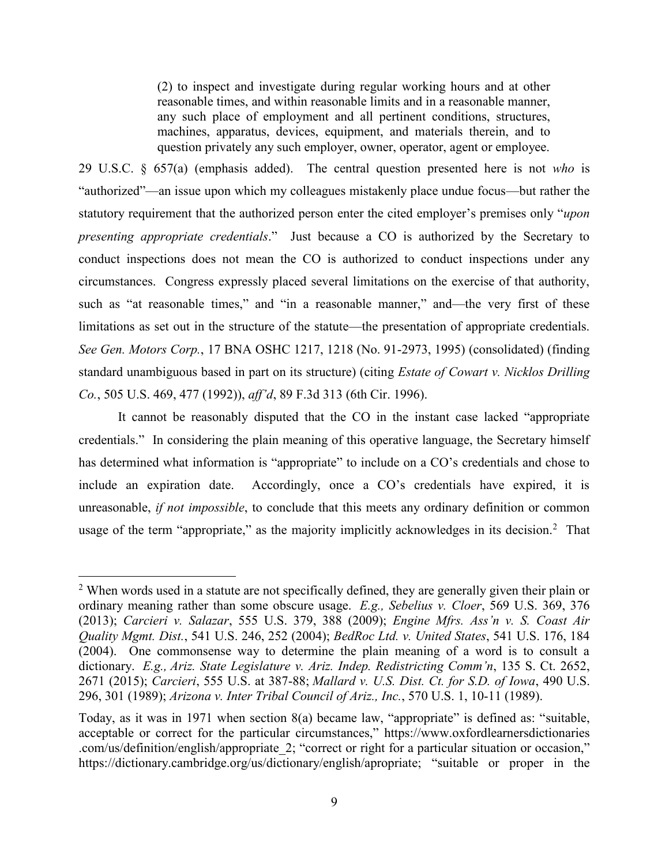(2) to inspect and investigate during regular working hours and at other reasonable times, and within reasonable limits and in a reasonable manner, any such place of employment and all pertinent conditions, structures, machines, apparatus, devices, equipment, and materials therein, and to question privately any such employer, owner, operator, agent or employee.

29 U.S.C. § 657(a) (emphasis added). The central question presented here is not *who* is "authorized"—an issue upon which my colleagues mistakenly place undue focus—but rather the statutory requirement that the authorized person enter the cited employer's premises only "*upon presenting appropriate credentials*." Just because a CO is authorized by the Secretary to conduct inspections does not mean the CO is authorized to conduct inspections under any circumstances. Congress expressly placed several limitations on the exercise of that authority, such as "at reasonable times," and "in a reasonable manner," and—the very first of these limitations as set out in the structure of the statute—the presentation of appropriate credentials. *See Gen. Motors Corp.*, 17 BNA OSHC 1217, 1218 (No. 91-2973, 1995) (consolidated) (finding standard unambiguous based in part on its structure) (citing *Estate of Cowart v. Nicklos Drilling Co.*, 505 U.S. 469, 477 (1992)), *aff'd*, 89 F.3d 313 (6th Cir. 1996).

It cannot be reasonably disputed that the CO in the instant case lacked "appropriate credentials." In considering the plain meaning of this operative language, the Secretary himself has determined what information is "appropriate" to include on a CO's credentials and chose to include an expiration date. Accordingly, once a CO's credentials have expired, it is unreasonable, *if not impossible*, to conclude that this meets any ordinary definition or common usage of the term "appropriate," as the majority implicitly acknowledges in its decision.<sup>2</sup> That

<sup>&</sup>lt;sup>2</sup> When words used in a statute are not specifically defined, they are generally given their plain or ordinary meaning rather than some obscure usage. *E.g., Sebelius v. Cloer*, 569 U.S. 369, 376 (2013); *Carcieri v. Salazar*, 555 U.S. 379, 388 (2009); *Engine Mfrs. Ass'n v. S. Coast Air Quality Mgmt. Dist.*, 541 U.S. 246, 252 (2004); *BedRoc Ltd. v. United States*, 541 U.S. 176, 184 (2004). One commonsense way to determine the plain meaning of a word is to consult a dictionary. *E.g., Ariz. State Legislature v. Ariz. Indep. Redistricting Comm'n*, 135 S. Ct. 2652, 2671 (2015); *Carcieri*, 555 U.S. at 387-88; *Mallard v. U.S. Dist. Ct. for S.D. of Iowa*, 490 U.S. 296, 301 (1989); *Arizona v. Inter Tribal Council of Ariz., Inc.*, 570 U.S. 1, 10-11 (1989).

Today, as it was in 1971 when section 8(a) became law, "appropriate" is defined as: "suitable, acceptable or correct for the particular circumstances," https://www.oxfordlearnersdictionaries .com/us/definition/english/appropriate\_2; "correct or right for a particular situation or occasion," https://dictionary.cambridge.org/us/dictionary/english/apropriate; "suitable or proper in the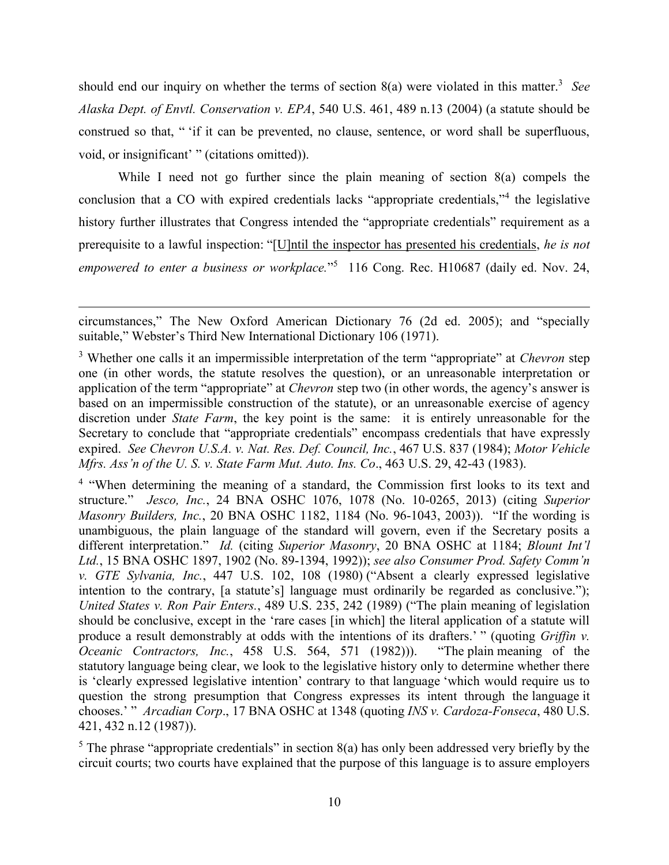should end our inquiry on whether the terms of section 8(a) were violated in this matter.<sup>3</sup> See *Alaska Dept. of Envtl. Conservation v. EPA*, 540 U.S. 461, 489 n.13 (2004) (a statute should be construed so that, " 'if it can be prevented, no clause, sentence, or word shall be superfluous, void, or insignificant' " (citations omitted)).

While I need not go further since the plain meaning of section 8(a) compels the conclusion that a CO with expired credentials lacks "appropriate credentials,"<sup>4</sup> the legislative history further illustrates that Congress intended the "appropriate credentials" requirement as a prerequisite to a lawful inspection: "[U]ntil the inspector has presented his credentials, *he is not*  empowered to enter a business or workplace."<sup>5</sup> 116 Cong. Rec. H10687 (daily ed. Nov. 24,

circumstances," The New Oxford American Dictionary 76 (2d ed. 2005); and "specially suitable," Webster's Third New International Dictionary 106 (1971).

<sup>3</sup> Whether one calls it an impermissible interpretation of the term "appropriate" at *Chevron* step one (in other words, the statute resolves the question), or an unreasonable interpretation or application of the term "appropriate" at *Chevron* step two (in other words, the agency's answer is based on an impermissible construction of the statute), or an unreasonable exercise of agency discretion under *State Farm*, the key point is the same: it is entirely unreasonable for the Secretary to conclude that "appropriate credentials" encompass credentials that have expressly expired. *See Chevron U.S.A. v. Nat. Res. Def. Council, Inc.*, 467 U.S. 837 (1984); *Motor Vehicle Mfrs. Ass'n of the U. S. v. State Farm Mut. Auto. Ins. Co*., 463 U.S. 29, 42-43 (1983).

<sup>&</sup>lt;sup>4</sup> "When determining the meaning of a standard, the Commission first looks to its text and structure." *Jesco, Inc.*, 24 BNA OSHC 1076, 1078 (No. 10-0265, 2013) (citing *Superior Masonry Builders, Inc.*, 20 BNA OSHC 1182, 1184 (No. 96-1043, 2003)). "If the wording is unambiguous, the plain language of the standard will govern, even if the Secretary posits a different interpretation." *Id.* (citing *Superior Masonry*, 20 BNA OSHC at 1184; *Blount Int'l Ltd.*, 15 BNA OSHC 1897, 1902 (No. 89-1394, 1992)); *see also Consumer Prod. Safety Comm'n v. GTE Sylvania, Inc.*, 447 U.S. 102, 108 (1980) ("Absent a clearly expressed legislative intention to the contrary, [a statute's] language must ordinarily be regarded as conclusive."); *United States v. Ron Pair Enters.*, 489 U.S. 235, 242 (1989) ("The plain meaning of legislation should be conclusive, except in the 'rare cases [in which] the literal application of a statute will produce a result demonstrably at odds with the intentions of its drafters.' " (quoting *Griffin v. Oceanic Contractors, Inc.*, 458 U.S. 564, 571 (1982))). "The plain meaning of the statutory language being clear, we look to the legislative history only to determine whether there is 'clearly expressed legislative intention' contrary to that language 'which would require us to question the strong presumption that Congress expresses its intent through the language it chooses.' " *Arcadian Corp*., 17 BNA OSHC at 1348 (quoting *INS v. Cardoza-Fonseca*, 480 U.S. 421, 432 n.12 (1987)).

 $5$  The phrase "appropriate credentials" in section 8(a) has only been addressed very briefly by the circuit courts; two courts have explained that the purpose of this language is to assure employers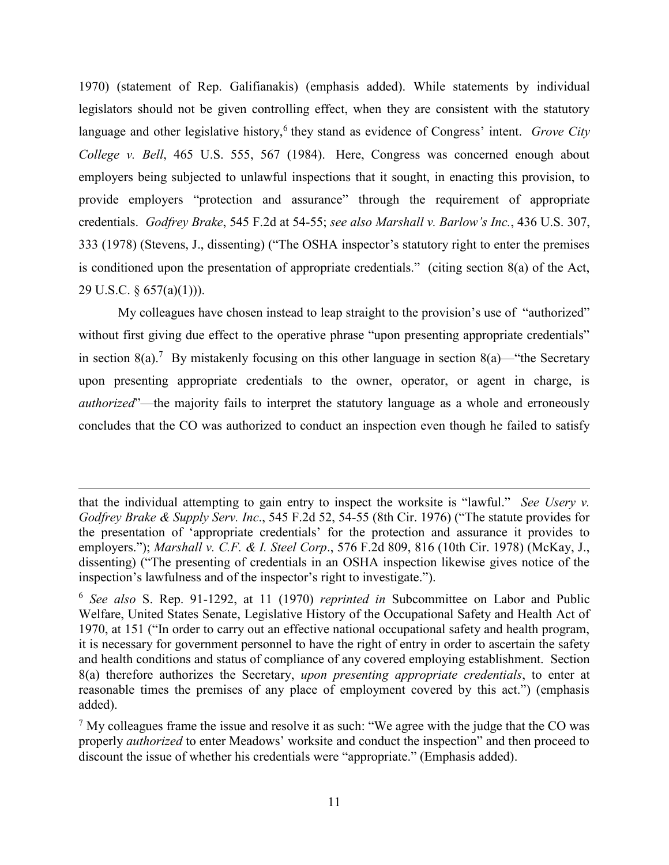1970) (statement of Rep. Galifianakis) (emphasis added). While statements by individual legislators should not be given controlling effect, when they are consistent with the statutory language and other legislative history,<sup>6</sup> they stand as evidence of Congress' intent. *Grove City College v. Bell*, 465 U.S. 555, 567 (1984). Here, Congress was concerned enough about employers being subjected to unlawful inspections that it sought, in enacting this provision, to provide employers "protection and assurance" through the requirement of appropriate credentials. *Godfrey Brake*, 545 F.2d at 54-55; *see also Marshall v. Barlow's Inc.*, 436 U.S. 307, 333 (1978) (Stevens, J., dissenting) ("The OSHA inspector's statutory right to enter the premises is conditioned upon the presentation of appropriate credentials." (citing section 8(a) of the Act, 29 U.S.C. § 657(a)(1))).

My colleagues have chosen instead to leap straight to the provision's use of "authorized" without first giving due effect to the operative phrase "upon presenting appropriate credentials" in section 8(a).<sup>7</sup> By mistakenly focusing on this other language in section 8(a)—"the Secretary upon presenting appropriate credentials to the owner, operator, or agent in charge, is *authorized*"—the majority fails to interpret the statutory language as a whole and erroneously concludes that the CO was authorized to conduct an inspection even though he failed to satisfy

that the individual attempting to gain entry to inspect the worksite is "lawful." *See Usery v. Godfrey Brake & Supply Serv. Inc*., 545 F.2d 52, 54-55 (8th Cir. 1976) ("The statute provides for the presentation of 'appropriate credentials' for the protection and assurance it provides to employers."); *Marshall v. C.F. & I. Steel Corp*., 576 F.2d 809, 816 (10th Cir. 1978) (McKay, J., dissenting) ("The presenting of credentials in an OSHA inspection likewise gives notice of the inspection's lawfulness and of the inspector's right to investigate.").

<sup>6</sup> *See also* S. Rep. 91-1292, at 11 (1970) *reprinted in* Subcommittee on Labor and Public Welfare, United States Senate, Legislative History of the Occupational Safety and Health Act of 1970, at 151 ("In order to carry out an effective national occupational safety and health program, it is necessary for government personnel to have the right of entry in order to ascertain the safety and health conditions and status of compliance of any covered employing establishment. Section 8(a) therefore authorizes the Secretary, *upon presenting appropriate credentials*, to enter at reasonable times the premises of any place of employment covered by this act.") (emphasis added).

 $7$  My colleagues frame the issue and resolve it as such: "We agree with the judge that the CO was properly *authorized* to enter Meadows' worksite and conduct the inspection" and then proceed to discount the issue of whether his credentials were "appropriate." (Emphasis added).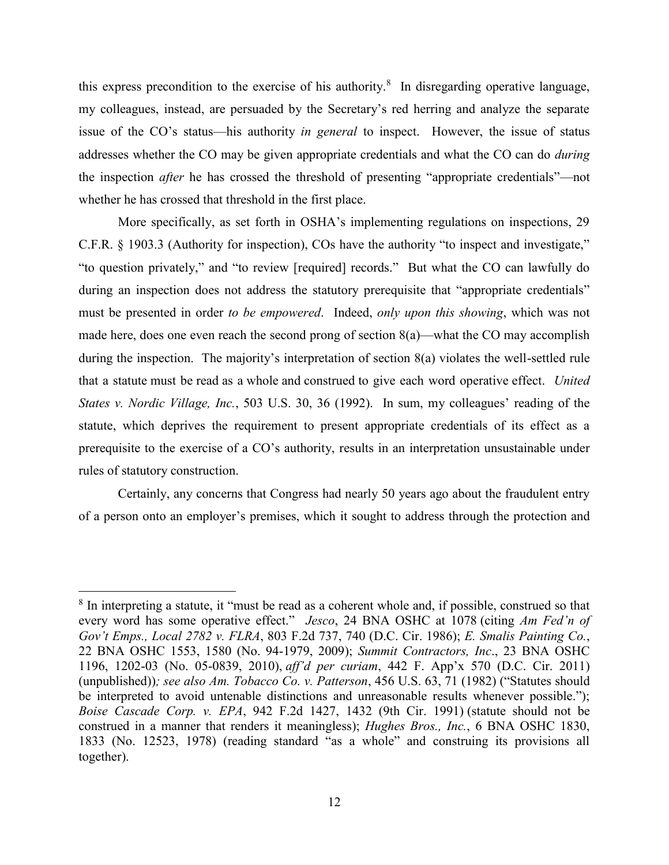this express precondition to the exercise of his authority.<sup>8</sup> In disregarding operative language, my colleagues, instead, are persuaded by the Secretary's red herring and analyze the separate issue of the CO's status—his authority *in general* to inspect. However, the issue of status addresses whether the CO may be given appropriate credentials and what the CO can do *during* the inspection *after* he has crossed the threshold of presenting "appropriate credentials"—not whether he has crossed that threshold in the first place.

More specifically, as set forth in OSHA's implementing regulations on inspections, 29 C.F.R. § 1903.3 (Authority for inspection), COs have the authority "to inspect and investigate," "to question privately," and "to review [required] records." But what the CO can lawfully do during an inspection does not address the statutory prerequisite that "appropriate credentials" must be presented in order *to be empowered*. Indeed, *only upon this showing*, which was not made here, does one even reach the second prong of section  $8(a)$ —what the CO may accomplish during the inspection. The majority's interpretation of section 8(a) violates the well-settled rule that a statute must be read as a whole and construed to give each word operative effect. *United States v. Nordic Village, Inc.*, 503 U.S. 30, 36 (1992). In sum, my colleagues' reading of the statute, which deprives the requirement to present appropriate credentials of its effect as a prerequisite to the exercise of a CO's authority, results in an interpretation unsustainable under rules of statutory construction.

Certainly, any concerns that Congress had nearly 50 years ago about the fraudulent entry of a person onto an employer's premises, which it sought to address through the protection and

<sup>&</sup>lt;sup>8</sup> In interpreting a statute, it "must be read as a coherent whole and, if possible, construed so that every word has some operative effect." *Jesco*, 24 BNA OSHC at 1078 (citing *Am Fed'n of Gov't Emps., Local 2782 v. FLRA*, 803 F.2d 737, 740 (D.C. Cir. 1986); *E. Smalis Painting Co.*, 22 BNA OSHC 1553, 1580 (No. 94-1979, 2009); *Summit Contractors, Inc*., 23 BNA OSHC 1196, 1202-03 (No. 05-0839, 2010), *aff'd per curiam*, 442 F. App'x 570 (D.C. Cir. 2011) (unpublished))*; see also Am. Tobacco Co. v. Patterson*, 456 U.S. 63, 71 (1982) ("Statutes should be interpreted to avoid untenable distinctions and unreasonable results whenever possible."); *Boise Cascade Corp. v. EPA*, 942 F.2d 1427, 1432 (9th Cir. 1991) (statute should not be construed in a manner that renders it meaningless); *Hughes Bros., Inc.*, 6 BNA OSHC 1830, 1833 (No. 12523, 1978) (reading standard "as a whole" and construing its provisions all together).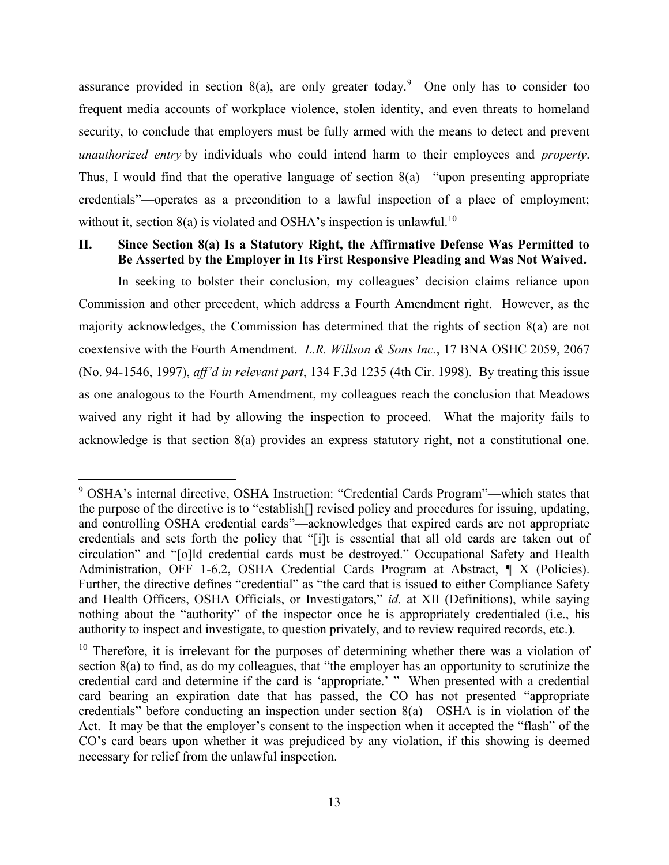assurance provided in section  $8(a)$ , are only greater today.<sup>9</sup> One only has to consider too frequent media accounts of workplace violence, stolen identity, and even threats to homeland security, to conclude that employers must be fully armed with the means to detect and prevent *unauthorized entry* by individuals who could intend harm to their employees and *property*. Thus, I would find that the operative language of section  $8(a)$ —"upon presenting appropriate credentials"—operates as a precondition to a lawful inspection of a place of employment; without it, section  $8(a)$  is violated and OSHA's inspection is unlawful.<sup>10</sup>

# **II. Since Section 8(a) Is a Statutory Right, the Affirmative Defense Was Permitted to Be Asserted by the Employer in Its First Responsive Pleading and Was Not Waived.**

In seeking to bolster their conclusion, my colleagues' decision claims reliance upon Commission and other precedent, which address a Fourth Amendment right. However, as the majority acknowledges, the Commission has determined that the rights of section 8(a) are not coextensive with the Fourth Amendment. *L.R. Willson & Sons Inc.*, 17 BNA OSHC 2059, 2067 (No. 94-1546, 1997), *aff'd in relevant part*, 134 F.3d 1235 (4th Cir. 1998). By treating this issue as one analogous to the Fourth Amendment, my colleagues reach the conclusion that Meadows waived any right it had by allowing the inspection to proceed. What the majority fails to acknowledge is that section 8(a) provides an express statutory right, not a constitutional one.

<sup>9</sup> OSHA's internal directive, OSHA Instruction: "Credential Cards Program"—which states that the purpose of the directive is to "establish[] revised policy and procedures for issuing, updating, and controlling OSHA credential cards"—acknowledges that expired cards are not appropriate credentials and sets forth the policy that "[i]t is essential that all old cards are taken out of circulation" and "[o]ld credential cards must be destroyed." Occupational Safety and Health Administration, OFF 1-6.2, OSHA Credential Cards Program at Abstract, ¶ X (Policies). Further, the directive defines "credential" as "the card that is issued to either Compliance Safety and Health Officers, OSHA Officials, or Investigators," *id.* at XII (Definitions), while saying nothing about the "authority" of the inspector once he is appropriately credentialed (i.e., his authority to inspect and investigate, to question privately, and to review required records, etc.).

 $10$  Therefore, it is irrelevant for the purposes of determining whether there was a violation of section 8(a) to find, as do my colleagues, that "the employer has an opportunity to scrutinize the credential card and determine if the card is 'appropriate.' " When presented with a credential card bearing an expiration date that has passed, the CO has not presented "appropriate credentials" before conducting an inspection under section 8(a)—OSHA is in violation of the Act. It may be that the employer's consent to the inspection when it accepted the "flash" of the CO's card bears upon whether it was prejudiced by any violation, if this showing is deemed necessary for relief from the unlawful inspection.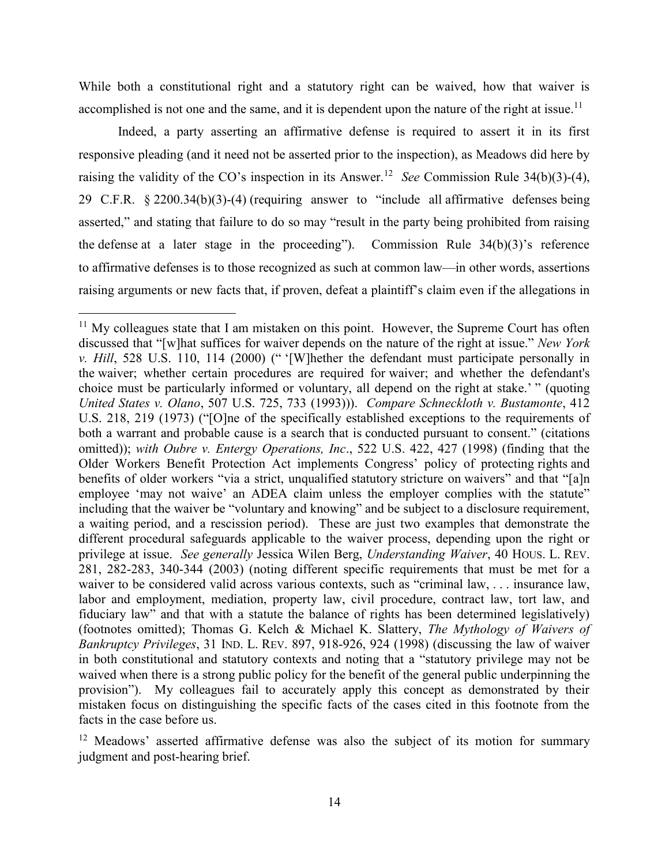While both a constitutional right and a statutory right can be waived, how that waiver is accomplished is not one and the same, and it is dependent upon the nature of the right at issue.<sup>11</sup>

Indeed, a party asserting an affirmative defense is required to assert it in its first responsive pleading (and it need not be asserted prior to the inspection), as Meadows did here by raising the validity of the CO's inspection in its Answer.<sup>12</sup> See Commission Rule 34(b)(3)-(4), 29 C.F.R. § 2200.34(b)(3)-(4) (requiring answer to "include all affirmative defenses being asserted," and stating that failure to do so may "result in the party being prohibited from raising the defense at a later stage in the proceeding"). Commission Rule 34(b)(3)'s reference to affirmative defenses is to those recognized as such at common law—in other words, assertions raising arguments or new facts that, if proven, defeat a plaintiff's claim even if the allegations in

 $11$  My colleagues state that I am mistaken on this point. However, the Supreme Court has often discussed that "[w]hat suffices for waiver depends on the nature of the right at issue." *New York v. Hill*, 528 U.S. 110, 114 (2000) (" '[W]hether the defendant must participate personally in the waiver; whether certain procedures are required for waiver; and whether the defendant's choice must be particularly informed or voluntary, all depend on the right at stake.' " (quoting *United States v. Olano*, 507 U.S. 725, 733 (1993))). *Compare Schneckloth v. Bustamonte*, 412 U.S. 218, 219 (1973) ("[O]ne of the specifically established exceptions to the requirements of both a warrant and probable cause is a search that is conducted pursuant to consent." (citations omitted)); *with Oubre v. Entergy Operations, Inc*., 522 U.S. 422, 427 (1998) (finding that the Older Workers Benefit Protection Act implements Congress' policy of protecting rights and benefits of older workers "via a strict, unqualified statutory stricture on waivers" and that "[a]n employee 'may not waive' an ADEA claim unless the employer complies with the statute" including that the waiver be "voluntary and knowing" and be subject to a disclosure requirement, a waiting period, and a rescission period). These are just two examples that demonstrate the different procedural safeguards applicable to the waiver process, depending upon the right or privilege at issue. *See generally* Jessica Wilen Berg, *Understanding Waiver*, 40 HOUS. L. REV. 281, 282-283, 340-344 (2003) (noting different specific requirements that must be met for a waiver to be considered valid across various contexts, such as "criminal law, . . . insurance law, labor and employment, mediation, property law, civil procedure, contract law, tort law, and fiduciary law" and that with a statute the balance of rights has been determined legislatively) (footnotes omitted); Thomas G. Kelch & Michael K. Slattery, *The Mythology of Waivers of Bankruptcy Privileges*, 31 IND. L. REV. 897, 918-926, 924 (1998) (discussing the law of waiver in both constitutional and statutory contexts and noting that a "statutory privilege may not be waived when there is a strong public policy for the benefit of the general public underpinning the provision"). My colleagues fail to accurately apply this concept as demonstrated by their mistaken focus on distinguishing the specific facts of the cases cited in this footnote from the facts in the case before us.

 $12$  Meadows' asserted affirmative defense was also the subject of its motion for summary judgment and post-hearing brief.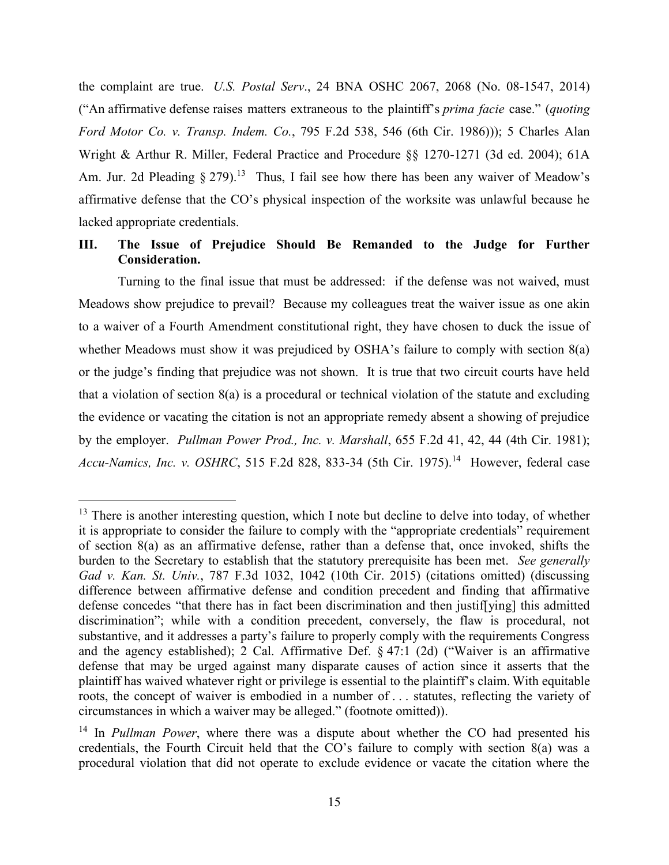the complaint are true. *U.S. Postal Serv*., 24 BNA OSHC 2067, 2068 (No. 08-1547, 2014) ("An affirmative defense raises matters extraneous to the plaintiff's *prima facie* case." (*quoting Ford Motor Co. v. Transp. Indem. Co.*, 795 F.2d 538, 546 (6th Cir. 1986))); 5 Charles Alan Wright & Arthur R. Miller, Federal Practice and Procedure §§ 1270-1271 (3d ed. 2004); 61A Am. Jur. 2d Pleading  $\S 279$ .<sup>13</sup> Thus, I fail see how there has been any waiver of Meadow's affirmative defense that the CO's physical inspection of the worksite was unlawful because he lacked appropriate credentials.

## **III. The Issue of Prejudice Should Be Remanded to the Judge for Further Consideration.**

Turning to the final issue that must be addressed: if the defense was not waived, must Meadows show prejudice to prevail? Because my colleagues treat the waiver issue as one akin to a waiver of a Fourth Amendment constitutional right, they have chosen to duck the issue of whether Meadows must show it was prejudiced by OSHA's failure to comply with section 8(a) or the judge's finding that prejudice was not shown. It is true that two circuit courts have held that a violation of section 8(a) is a procedural or technical violation of the statute and excluding the evidence or vacating the citation is not an appropriate remedy absent a showing of prejudice by the employer. *Pullman Power Prod., Inc. v. Marshall*, 655 F.2d 41, 42, 44 (4th Cir. 1981); Accu-Namics, Inc. v. OSHRC, 515 F.2d 828, 833-34 (5th Cir. 1975).<sup>14</sup> However, federal case

<sup>&</sup>lt;sup>13</sup> There is another interesting question, which I note but decline to delve into today, of whether it is appropriate to consider the failure to comply with the "appropriate credentials" requirement of section 8(a) as an affirmative defense, rather than a defense that, once invoked, shifts the burden to the Secretary to establish that the statutory prerequisite has been met. *See generally Gad v. Kan. St. Univ.*, 787 F.3d 1032, 1042 (10th Cir. 2015) (citations omitted) (discussing difference between affirmative defense and condition precedent and finding that affirmative defense concedes "that there has in fact been discrimination and then justif[ying] this admitted discrimination"; while with a condition precedent, conversely, the flaw is procedural, not substantive, and it addresses a party's failure to properly comply with the requirements Congress and the agency established); 2 Cal. Affirmative Def. § 47:1 (2d) ("Waiver is an affirmative defense that may be urged against many disparate causes of action since it asserts that the plaintiff has waived whatever right or privilege is essential to the plaintiff's claim. With equitable roots, the concept of waiver is embodied in a number of . . . statutes, reflecting the variety of circumstances in which a waiver may be alleged." (footnote omitted)).

<sup>&</sup>lt;sup>14</sup> In *Pullman Power*, where there was a dispute about whether the CO had presented his credentials, the Fourth Circuit held that the CO's failure to comply with section 8(a) was a procedural violation that did not operate to exclude evidence or vacate the citation where the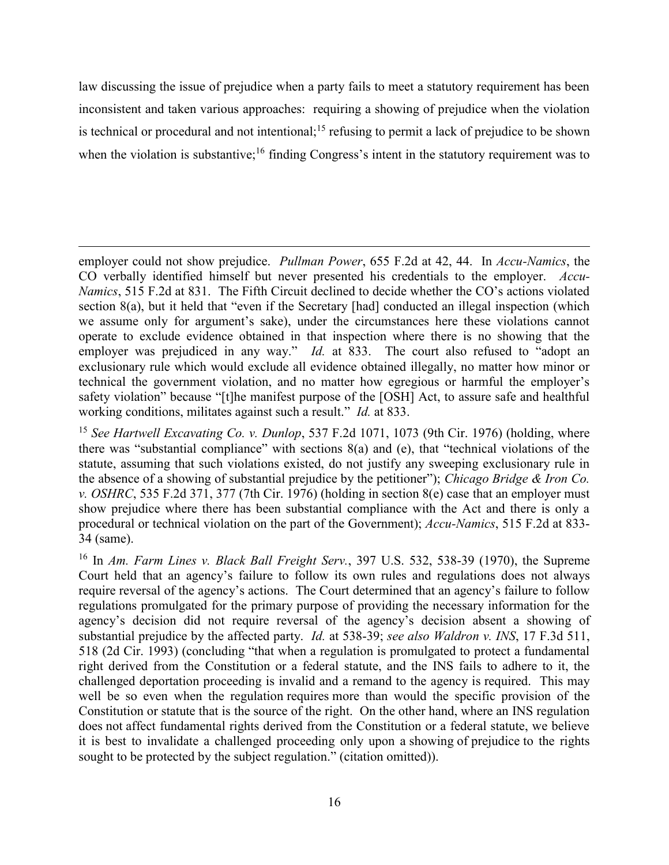law discussing the issue of prejudice when a party fails to meet a statutory requirement has been inconsistent and taken various approaches: requiring a showing of prejudice when the violation is technical or procedural and not intentional;<sup>15</sup> refusing to permit a lack of prejudice to be shown when the violation is substantive;<sup>16</sup> finding Congress's intent in the statutory requirement was to

employer could not show prejudice. *Pullman Power*, 655 F.2d at 42, 44. In *Accu-Namics*, the CO verbally identified himself but never presented his credentials to the employer. *Accu-Namics*, 515 F.2d at 831. The Fifth Circuit declined to decide whether the CO's actions violated section 8(a), but it held that "even if the Secretary [had] conducted an illegal inspection (which we assume only for argument's sake), under the circumstances here these violations cannot operate to exclude evidence obtained in that inspection where there is no showing that the employer was prejudiced in any way." *Id.* at 833. The court also refused to "adopt an exclusionary rule which would exclude all evidence obtained illegally, no matter how minor or technical the government violation, and no matter how egregious or harmful the employer's safety violation" because "[t]he manifest purpose of the [OSH] Act, to assure safe and healthful working conditions, militates against such a result." *Id.* at 833.

 $\overline{a}$ 

<sup>15</sup> *See Hartwell Excavating Co. v. Dunlop*, 537 F.2d 1071, 1073 (9th Cir. 1976) (holding, where there was "substantial compliance" with sections 8(a) and (e), that "technical violations of the statute, assuming that such violations existed, do not justify any sweeping exclusionary rule in the absence of a showing of substantial prejudice by the petitioner"); *Chicago Bridge & Iron Co. v. OSHRC*, 535 F.2d 371, 377 (7th Cir. 1976) (holding in section 8(e) case that an employer must show prejudice where there has been substantial compliance with the Act and there is only a procedural or technical violation on the part of the Government); *Accu-Namics*, 515 F.2d at 833- 34 (same).

<sup>16</sup> In *Am. Farm Lines v. Black Ball Freight Serv.*, 397 U.S. 532, 538-39 (1970), the Supreme Court held that an agency's failure to follow its own rules and regulations does not always require reversal of the agency's actions. The Court determined that an agency's failure to follow regulations promulgated for the primary purpose of providing the necessary information for the agency's decision did not require reversal of the agency's decision absent a showing of substantial prejudice by the affected party. *Id.* at 538-39; *see also Waldron v. INS*, 17 F.3d 511, 518 (2d Cir. 1993) (concluding "that when a regulation is promulgated to protect a fundamental right derived from the Constitution or a federal statute, and the INS fails to adhere to it, the challenged deportation proceeding is invalid and a remand to the agency is required. This may well be so even when the regulation requires more than would the specific provision of the Constitution or statute that is the source of the right. On the other hand, where an INS regulation does not affect fundamental rights derived from the Constitution or a federal statute, we believe it is best to invalidate a challenged proceeding only upon a showing of prejudice to the rights sought to be protected by the subject regulation." (citation omitted)).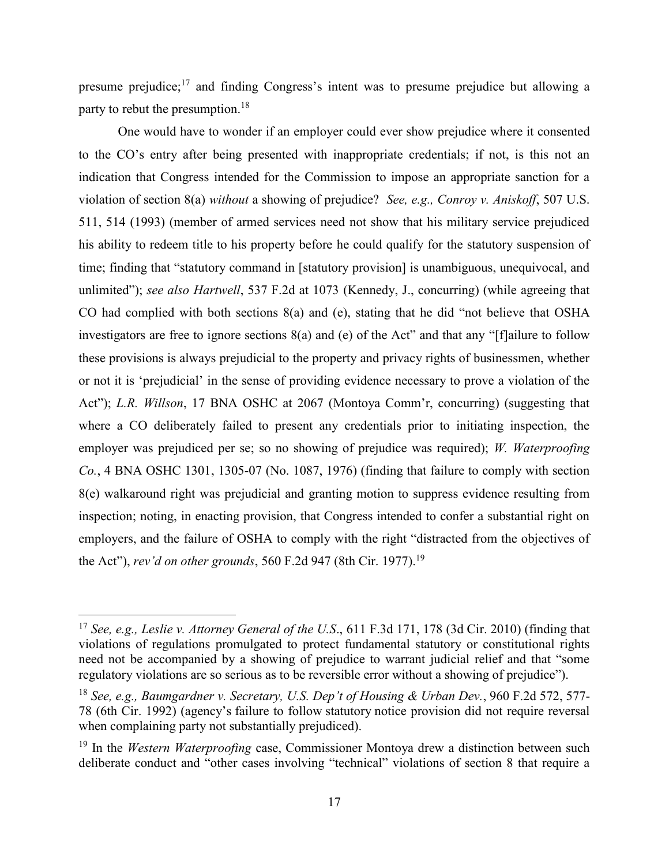presume prejudice; $17$  and finding Congress's intent was to presume prejudice but allowing a party to rebut the presumption.<sup>18</sup>

One would have to wonder if an employer could ever show prejudice where it consented to the CO's entry after being presented with inappropriate credentials; if not, is this not an indication that Congress intended for the Commission to impose an appropriate sanction for a violation of section 8(a) *without* a showing of prejudice? *See, e.g., Conroy v. Aniskoff*, 507 U.S. 511, 514 (1993) (member of armed services need not show that his military service prejudiced his ability to redeem title to his property before he could qualify for the statutory suspension of time; finding that "statutory command in [statutory provision] is unambiguous, unequivocal, and unlimited"); *see also Hartwell*, 537 F.2d at 1073 (Kennedy, J., concurring) (while agreeing that CO had complied with both sections 8(a) and (e), stating that he did "not believe that OSHA investigators are free to ignore sections 8(a) and (e) of the Act" and that any "[f]ailure to follow these provisions is always prejudicial to the property and privacy rights of businessmen, whether or not it is 'prejudicial' in the sense of providing evidence necessary to prove a violation of the Act"); *L.R. Willson*, 17 BNA OSHC at 2067 (Montoya Comm'r, concurring) (suggesting that where a CO deliberately failed to present any credentials prior to initiating inspection, the employer was prejudiced per se; so no showing of prejudice was required); *W. Waterproofing Co.*, 4 BNA OSHC 1301, 1305-07 (No. 1087, 1976) (finding that failure to comply with section 8(e) walkaround right was prejudicial and granting motion to suppress evidence resulting from inspection; noting, in enacting provision, that Congress intended to confer a substantial right on employers, and the failure of OSHA to comply with the right "distracted from the objectives of the Act"), *rev'd on other grounds*, 560 F.2d 947 (8th Cir. 1977). 19

<sup>17</sup> *See, e.g., Leslie v. Attorney General of the U.S*., 611 F.3d 171, 178 (3d Cir. 2010) (finding that violations of regulations promulgated to protect fundamental statutory or constitutional rights need not be accompanied by a showing of prejudice to warrant judicial relief and that "some regulatory violations are so serious as to be reversible error without a showing of prejudice").

<sup>18</sup> *See, e.g., Baumgardner v. Secretary, U.S. Dep't of Housing & Urban Dev.*, 960 F.2d 572, 577- 78 (6th Cir. 1992) (agency's failure to follow statutory notice provision did not require reversal when complaining party not substantially prejudiced).

<sup>&</sup>lt;sup>19</sup> In the *Western Waterproofing* case, Commissioner Montoya drew a distinction between such deliberate conduct and "other cases involving "technical" violations of section 8 that require a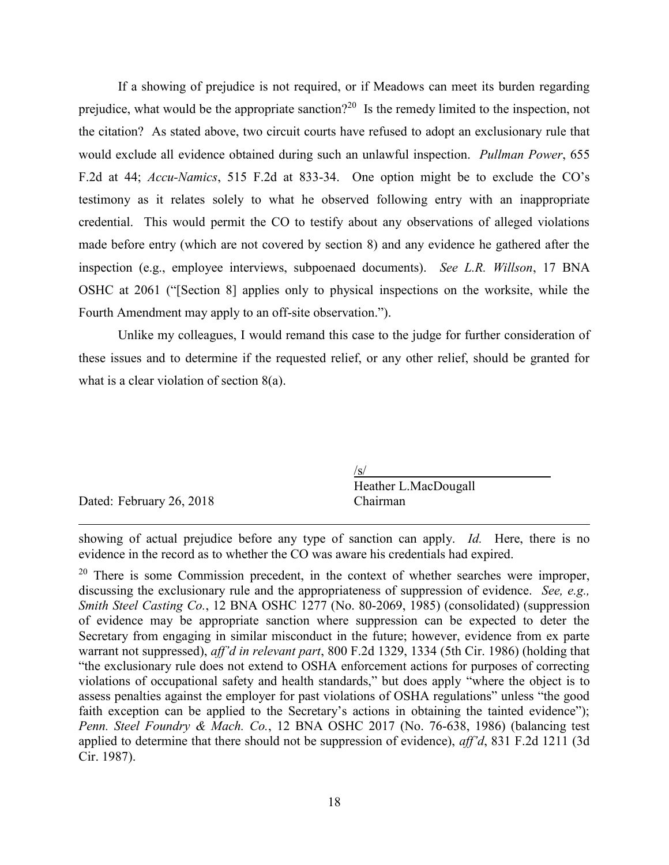If a showing of prejudice is not required, or if Meadows can meet its burden regarding prejudice, what would be the appropriate sanction?<sup>20</sup> Is the remedy limited to the inspection, not the citation? As stated above, two circuit courts have refused to adopt an exclusionary rule that would exclude all evidence obtained during such an unlawful inspection. *Pullman Power*, 655 F.2d at 44; *Accu-Namics*, 515 F.2d at 833-34. One option might be to exclude the CO's testimony as it relates solely to what he observed following entry with an inappropriate credential. This would permit the CO to testify about any observations of alleged violations made before entry (which are not covered by section 8) and any evidence he gathered after the inspection (e.g., employee interviews, subpoenaed documents). *See L.R. Willson*, 17 BNA OSHC at 2061 ("[Section 8] applies only to physical inspections on the worksite, while the Fourth Amendment may apply to an off-site observation.").

Unlike my colleagues, I would remand this case to the judge for further consideration of these issues and to determine if the requested relief, or any other relief, should be granted for what is a clear violation of section 8(a).

|                          | 'S                   |
|--------------------------|----------------------|
|                          | Heather L.MacDougall |
| Dated: February 26, 2018 | Chairman             |
|                          |                      |
|                          |                      |

showing of actual prejudice before any type of sanction can apply. *Id.* Here, there is no evidence in the record as to whether the CO was aware his credentials had expired.

 $20$  There is some Commission precedent, in the context of whether searches were improper, discussing the exclusionary rule and the appropriateness of suppression of evidence. *See, e.g., Smith Steel Casting Co.*, 12 BNA OSHC 1277 (No. 80-2069, 1985) (consolidated) (suppression of evidence may be appropriate sanction where suppression can be expected to deter the Secretary from engaging in similar misconduct in the future; however, evidence from ex parte warrant not suppressed), *aff'd in relevant part*, 800 F.2d 1329, 1334 (5th Cir. 1986) (holding that "the exclusionary rule does not extend to OSHA enforcement actions for purposes of correcting violations of occupational safety and health standards," but does apply "where the object is to assess penalties against the employer for past violations of OSHA regulations" unless "the good faith exception can be applied to the Secretary's actions in obtaining the tainted evidence"); *Penn. Steel Foundry & Mach. Co.*, 12 BNA OSHC 2017 (No. 76-638, 1986) (balancing test applied to determine that there should not be suppression of evidence), *aff'd*, 831 F.2d 1211 (3d Cir. 1987).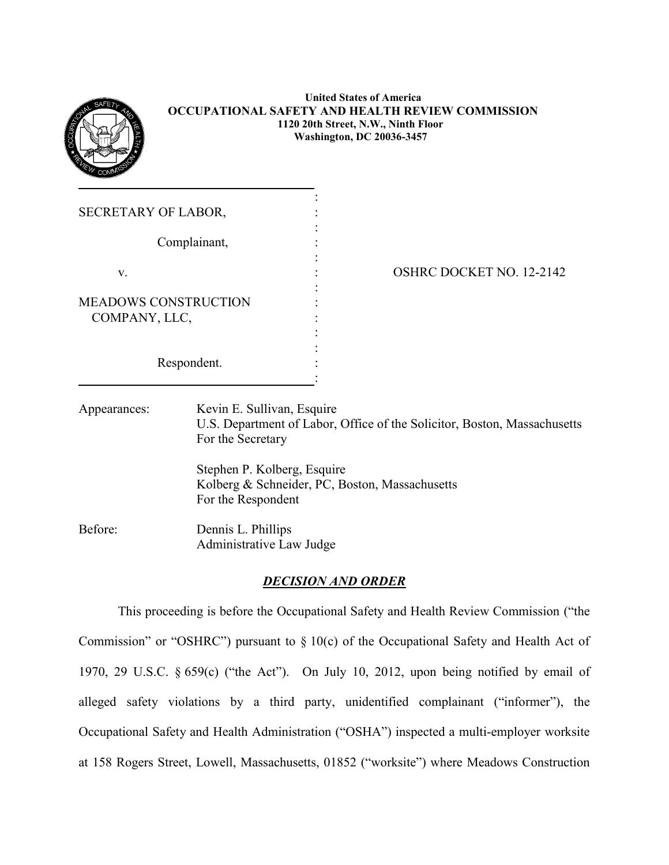

### **United States of America OCCUPATIONAL SAFETY AND HEALTH REVIEW COMMISSION 1120 20th Street, N.W., Ninth Floor Washington, DC 20036-3457**

:

:

| <b>SECRETARY OF LABOR,</b>                   |  |
|----------------------------------------------|--|
| Complainant,                                 |  |
| V.                                           |  |
| <b>MEADOWS CONSTRUCTION</b><br>COMPANY, LLC, |  |
| Respondent.                                  |  |

# OSHRC DOCKET NO. 12-2142

Appearances: Kevin E. Sullivan, Esquire U.S. Department of Labor, Office of the Solicitor, Boston, Massachusetts For the Secretary

> Stephen P. Kolberg, Esquire Kolberg & Schneider, PC, Boston, Massachusetts For the Respondent

Before: Dennis L. Phillips Administrative Law Judge

### *DECISION AND ORDER*

This proceeding is before the Occupational Safety and Health Review Commission ("the Commission" or "OSHRC") pursuant to § 10(c) of the Occupational Safety and Health Act of 1970, 29 U.S.C. § 659(c) ("the Act"). On July 10, 2012, upon being notified by email of alleged safety violations by a third party, unidentified complainant ("informer"), the Occupational Safety and Health Administration ("OSHA") inspected a multi-employer worksite at 158 Rogers Street, Lowell, Massachusetts, 01852 ("worksite") where Meadows Construction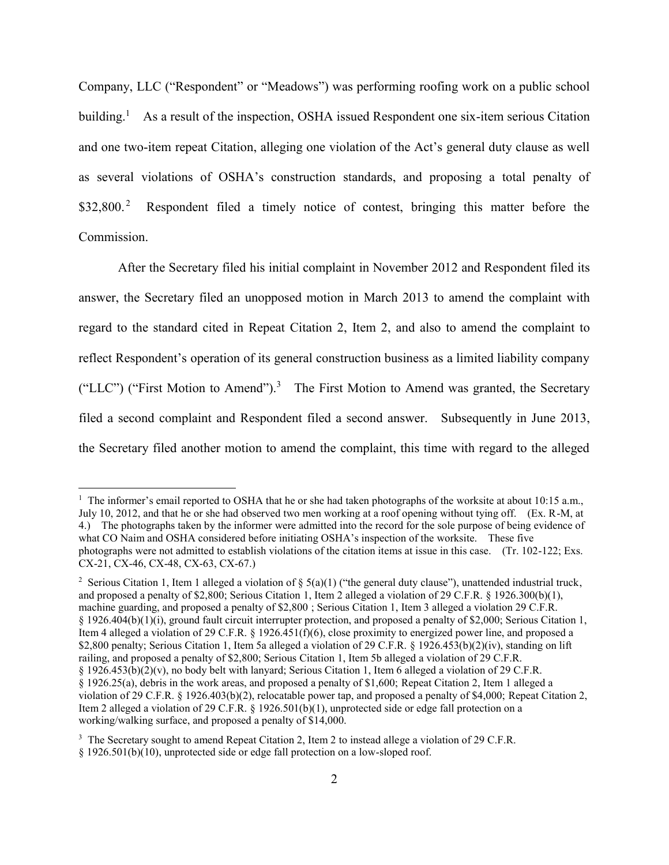Company, LLC ("Respondent" or "Meadows") was performing roofing work on a public school building.<sup>1</sup> As a result of the inspection, OSHA issued Respondent one six-item serious Citation and one two-item repeat Citation, alleging one violation of the Act's general duty clause as well as several violations of OSHA's construction standards, and proposing a total penalty of \$32,800. 2 Respondent filed a timely notice of contest, bringing this matter before the Commission.

After the Secretary filed his initial complaint in November 2012 and Respondent filed its answer, the Secretary filed an unopposed motion in March 2013 to amend the complaint with regard to the standard cited in Repeat Citation 2, Item 2, and also to amend the complaint to reflect Respondent's operation of its general construction business as a limited liability company ("LLC") ("First Motion to Amend").<sup>3</sup> The First Motion to Amend was granted, the Secretary filed a second complaint and Respondent filed a second answer. Subsequently in June 2013, the Secretary filed another motion to amend the complaint, this time with regard to the alleged

<sup>&</sup>lt;sup>1</sup> The informer's email reported to OSHA that he or she had taken photographs of the worksite at about 10:15 a.m., July 10, 2012, and that he or she had observed two men working at a roof opening without tying off. (Ex. R-M, at 4.) The photographs taken by the informer were admitted into the record for the sole purpose of being evidence of what CO Naim and OSHA considered before initiating OSHA's inspection of the worksite. These five photographs were not admitted to establish violations of the citation items at issue in this case. (Tr. 102-122; Exs. CX-21, CX-46, CX-48, CX-63, CX-67.)

<sup>&</sup>lt;sup>2</sup> Serious Citation 1, Item 1 alleged a violation of § 5(a)(1) ("the general duty clause"), unattended industrial truck, and proposed a penalty of \$2,800; Serious Citation 1, Item 2 alleged a violation of 29 C.F.R. § 1926.300(b)(1), machine guarding, and proposed a penalty of \$2,800 ; Serious Citation 1, Item 3 alleged a violation 29 C.F.R. § 1926.404(b)(1)(i), ground fault circuit interrupter protection, and proposed a penalty of \$2,000; Serious Citation 1, Item 4 alleged a violation of 29 C.F.R. § 1926.451(f)(6), close proximity to energized power line, and proposed a \$2,800 penalty; Serious Citation 1, Item 5a alleged a violation of 29 C.F.R. § 1926.453(b)(2)(iv), standing on lift railing, and proposed a penalty of \$2,800; Serious Citation 1, Item 5b alleged a violation of 29 C.F.R. § 1926.453(b)(2)(v), no body belt with lanyard; Serious Citation 1, Item 6 alleged a violation of 29 C.F.R. § 1926.25(a), debris in the work areas, and proposed a penalty of \$1,600; Repeat Citation 2, Item 1 alleged a violation of 29 C.F.R. § 1926.403(b)(2), relocatable power tap, and proposed a penalty of \$4,000; Repeat Citation 2, Item 2 alleged a violation of 29 C.F.R. § 1926.501(b)(1), unprotected side or edge fall protection on a working/walking surface, and proposed a penalty of \$14,000.

<sup>&</sup>lt;sup>3</sup> The Secretary sought to amend Repeat Citation 2, Item 2 to instead allege a violation of 29 C.F.R.

<sup>§</sup> 1926.501(b)(10), unprotected side or edge fall protection on a low-sloped roof.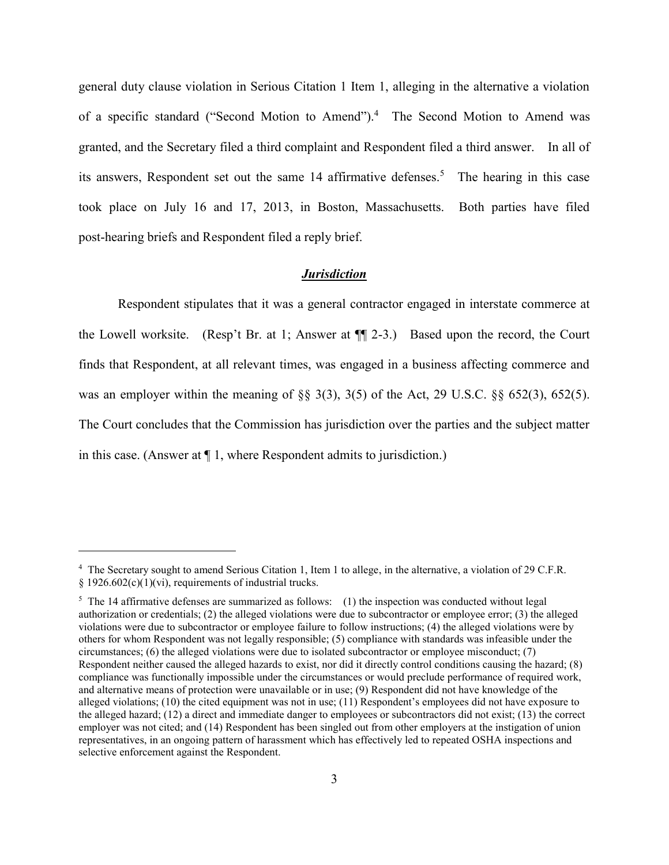general duty clause violation in Serious Citation 1 Item 1, alleging in the alternative a violation of a specific standard ("Second Motion to Amend").<sup>4</sup> The Second Motion to Amend was granted, and the Secretary filed a third complaint and Respondent filed a third answer. In all of its answers, Respondent set out the same 14 affirmative defenses. 5 The hearing in this case took place on July 16 and 17, 2013, in Boston, Massachusetts. Both parties have filed post-hearing briefs and Respondent filed a reply brief.

#### *Jurisdiction*

Respondent stipulates that it was a general contractor engaged in interstate commerce at the Lowell worksite. (Resp't Br. at 1; Answer at ¶¶ 2-3.) Based upon the record, the Court finds that Respondent, at all relevant times, was engaged in a business affecting commerce and was an employer within the meaning of §§ 3(3), 3(5) of the Act, 29 U.S.C. §§ 652(3), 652(5). The Court concludes that the Commission has jurisdiction over the parties and the subject matter in this case. (Answer at ¶ 1, where Respondent admits to jurisdiction.)

<sup>&</sup>lt;sup>4</sup> The Secretary sought to amend Serious Citation 1, Item 1 to allege, in the alternative, a violation of 29 C.F.R. § 1926.602(c)(1)(vi), requirements of industrial trucks.

<sup>&</sup>lt;sup>5</sup> The 14 affirmative defenses are summarized as follows: (1) the inspection was conducted without legal authorization or credentials; (2) the alleged violations were due to subcontractor or employee error; (3) the alleged violations were due to subcontractor or employee failure to follow instructions; (4) the alleged violations were by others for whom Respondent was not legally responsible; (5) compliance with standards was infeasible under the circumstances; (6) the alleged violations were due to isolated subcontractor or employee misconduct; (7) Respondent neither caused the alleged hazards to exist, nor did it directly control conditions causing the hazard; (8) compliance was functionally impossible under the circumstances or would preclude performance of required work, and alternative means of protection were unavailable or in use; (9) Respondent did not have knowledge of the alleged violations; (10) the cited equipment was not in use; (11) Respondent's employees did not have exposure to the alleged hazard; (12) a direct and immediate danger to employees or subcontractors did not exist; (13) the correct employer was not cited; and (14) Respondent has been singled out from other employers at the instigation of union representatives, in an ongoing pattern of harassment which has effectively led to repeated OSHA inspections and selective enforcement against the Respondent.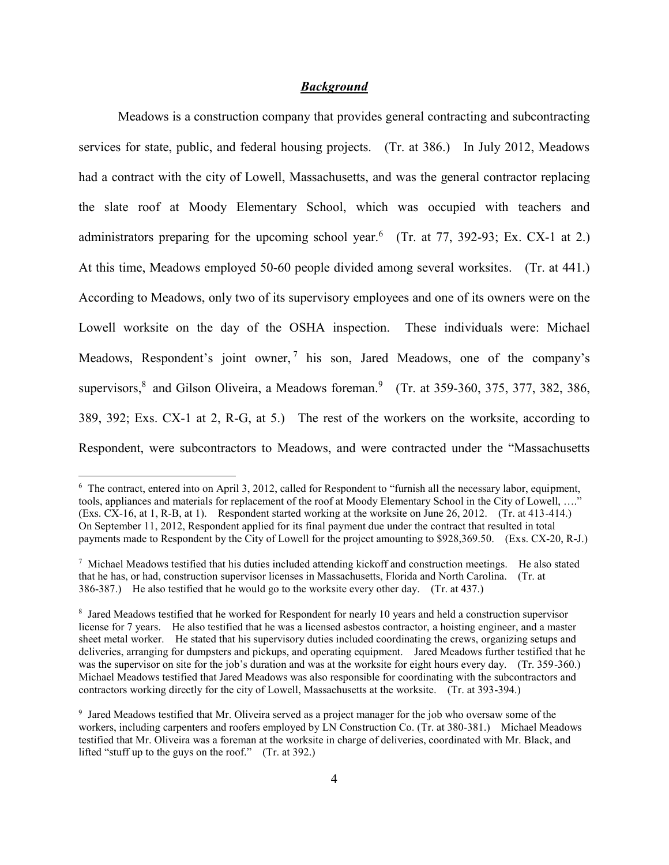### *Background*

 Meadows is a construction company that provides general contracting and subcontracting services for state, public, and federal housing projects. (Tr. at 386.) In July 2012, Meadows had a contract with the city of Lowell, Massachusetts, and was the general contractor replacing the slate roof at Moody Elementary School, which was occupied with teachers and administrators preparing for the upcoming school year.<sup>6</sup> (Tr. at 77, 392-93; Ex. CX-1 at 2.) At this time, Meadows employed 50-60 people divided among several worksites. (Tr. at 441.) According to Meadows, only two of its supervisory employees and one of its owners were on the Lowell worksite on the day of the OSHA inspection. These individuals were: Michael Meadows, Respondent's joint owner, 7 his son, Jared Meadows, one of the company's supervisors,<sup>8</sup> and Gilson Oliveira, a Meadows foreman.<sup>9</sup> (Tr. at 359-360, 375, 377, 382, 386, 389, 392; Exs. CX-1 at 2, R-G, at 5.) The rest of the workers on the worksite, according to Respondent, were subcontractors to Meadows, and were contracted under the "Massachusetts

<sup>6</sup> The contract, entered into on April 3, 2012, called for Respondent to "furnish all the necessary labor, equipment, tools, appliances and materials for replacement of the roof at Moody Elementary School in the City of Lowell, …." (Exs. CX-16, at 1, R-B, at 1). Respondent started working at the worksite on June 26, 2012. (Tr. at 413-414.) On September 11, 2012, Respondent applied for its final payment due under the contract that resulted in total payments made to Respondent by the City of Lowell for the project amounting to \$928,369.50. (Exs. CX-20, R-J.)

 $\frac{7}{1}$  Michael Meadows testified that his duties included attending kickoff and construction meetings. He also stated that he has, or had, construction supervisor licenses in Massachusetts, Florida and North Carolina. (Tr. at 386-387.) He also testified that he would go to the worksite every other day. (Tr. at 437.)

<sup>&</sup>lt;sup>8</sup> Jared Meadows testified that he worked for Respondent for nearly 10 years and held a construction supervisor license for 7 years. He also testified that he was a licensed asbestos contractor, a hoisting engineer, and a master sheet metal worker. He stated that his supervisory duties included coordinating the crews, organizing setups and deliveries, arranging for dumpsters and pickups, and operating equipment. Jared Meadows further testified that he was the supervisor on site for the job's duration and was at the worksite for eight hours every day. (Tr. 359-360.) Michael Meadows testified that Jared Meadows was also responsible for coordinating with the subcontractors and contractors working directly for the city of Lowell, Massachusetts at the worksite. (Tr. at 393-394.)

<sup>9</sup> Jared Meadows testified that Mr. Oliveira served as a project manager for the job who oversaw some of the workers, including carpenters and roofers employed by LN Construction Co. (Tr. at 380-381.) Michael Meadows testified that Mr. Oliveira was a foreman at the worksite in charge of deliveries, coordinated with Mr. Black, and lifted "stuff up to the guys on the roof." (Tr. at 392.)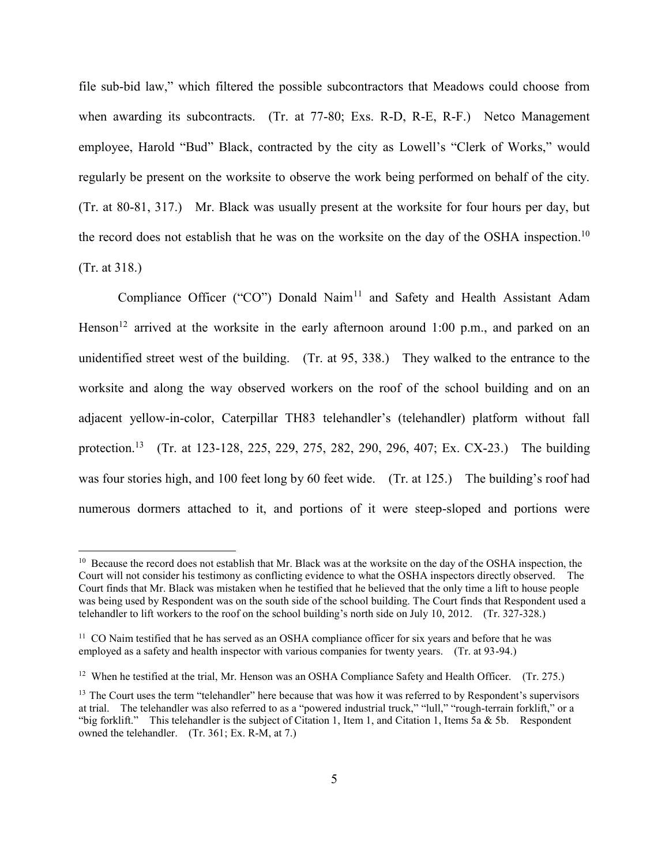file sub-bid law," which filtered the possible subcontractors that Meadows could choose from when awarding its subcontracts. (Tr. at 77-80; Exs. R-D, R-E, R-F.) Netco Management employee, Harold "Bud" Black, contracted by the city as Lowell's "Clerk of Works," would regularly be present on the worksite to observe the work being performed on behalf of the city. (Tr. at 80-81, 317.) Mr. Black was usually present at the worksite for four hours per day, but the record does not establish that he was on the worksite on the day of the OSHA inspection.<sup>10</sup> (Tr. at 318.)

Compliance Officer ("CO") Donald Naim<sup>11</sup> and Safety and Health Assistant Adam Henson<sup>12</sup> arrived at the worksite in the early afternoon around 1:00 p.m., and parked on an unidentified street west of the building. (Tr. at 95, 338.) They walked to the entrance to the worksite and along the way observed workers on the roof of the school building and on an adjacent yellow-in-color, Caterpillar TH83 telehandler's (telehandler) platform without fall protection.<sup>13</sup> (Tr. at 123-128, 225, 229, 275, 282, 290, 296, 407; Ex. CX-23.) The building was four stories high, and 100 feet long by 60 feet wide. (Tr. at 125.) The building's roof had numerous dormers attached to it, and portions of it were steep-sloped and portions were

<sup>&</sup>lt;sup>10</sup> Because the record does not establish that Mr. Black was at the worksite on the day of the OSHA inspection, the Court will not consider his testimony as conflicting evidence to what the OSHA inspectors directly observed. The Court finds that Mr. Black was mistaken when he testified that he believed that the only time a lift to house people was being used by Respondent was on the south side of the school building. The Court finds that Respondent used a telehandler to lift workers to the roof on the school building's north side on July 10, 2012. (Tr. 327-328.)

<sup>&</sup>lt;sup>11</sup> CO Naim testified that he has served as an OSHA compliance officer for six years and before that he was employed as a safety and health inspector with various companies for twenty years. (Tr. at 93-94.)

<sup>&</sup>lt;sup>12</sup> When he testified at the trial, Mr. Henson was an OSHA Compliance Safety and Health Officer. (Tr. 275.)

<sup>&</sup>lt;sup>13</sup> The Court uses the term "telehandler" here because that was how it was referred to by Respondent's supervisors at trial. The telehandler was also referred to as a "powered industrial truck," "lull," "rough-terrain forklift," or a "big forklift." This telehandler is the subject of Citation 1, Item 1, and Citation 1, Items 5a & 5b. Respondent owned the telehandler. (Tr. 361; Ex. R-M, at 7.)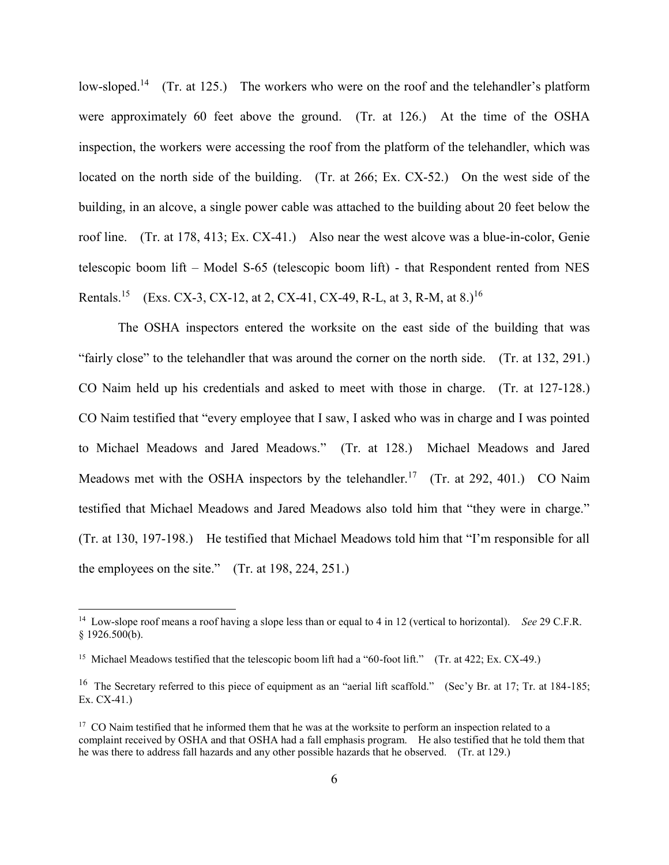low-sloped.<sup>14</sup> (Tr. at 125.) The workers who were on the roof and the telehandler's platform were approximately 60 feet above the ground. (Tr. at 126.) At the time of the OSHA inspection, the workers were accessing the roof from the platform of the telehandler, which was located on the north side of the building. (Tr. at 266; Ex. CX-52.) On the west side of the building, in an alcove, a single power cable was attached to the building about 20 feet below the roof line. (Tr. at 178, 413; Ex. CX-41.) Also near the west alcove was a blue-in-color, Genie telescopic boom lift – Model S-65 (telescopic boom lift) - that Respondent rented from NES Rentals.<sup>15</sup> (Exs. CX-3, CX-12, at 2, CX-41, CX-49, R-L, at 3, R-M, at 8.)<sup>16</sup>

The OSHA inspectors entered the worksite on the east side of the building that was "fairly close" to the telehandler that was around the corner on the north side. (Tr. at 132, 291.) CO Naim held up his credentials and asked to meet with those in charge. (Tr. at 127-128.) CO Naim testified that "every employee that I saw, I asked who was in charge and I was pointed to Michael Meadows and Jared Meadows." (Tr. at 128.) Michael Meadows and Jared Meadows met with the OSHA inspectors by the telehandler.<sup>17</sup> (Tr. at 292, 401.) CO Naim testified that Michael Meadows and Jared Meadows also told him that "they were in charge." (Tr. at 130, 197-198.) He testified that Michael Meadows told him that "I'm responsible for all the employees on the site." (Tr. at 198, 224, 251.)

<sup>14</sup> Low-slope roof means a roof having a slope less than or equal to 4 in 12 (vertical to horizontal). *See* 29 C.F.R. § 1926.500(b).

<sup>&</sup>lt;sup>15</sup> Michael Meadows testified that the telescopic boom lift had a "60-foot lift." (Tr. at 422; Ex. CX-49.)

<sup>&</sup>lt;sup>16</sup> The Secretary referred to this piece of equipment as an "aerial lift scaffold." (Sec'y Br. at 17; Tr. at 184-185; Ex. CX-41.)

<sup>&</sup>lt;sup>17</sup> CO Naim testified that he informed them that he was at the worksite to perform an inspection related to a complaint received by OSHA and that OSHA had a fall emphasis program. He also testified that he told them that he was there to address fall hazards and any other possible hazards that he observed. (Tr. at 129.)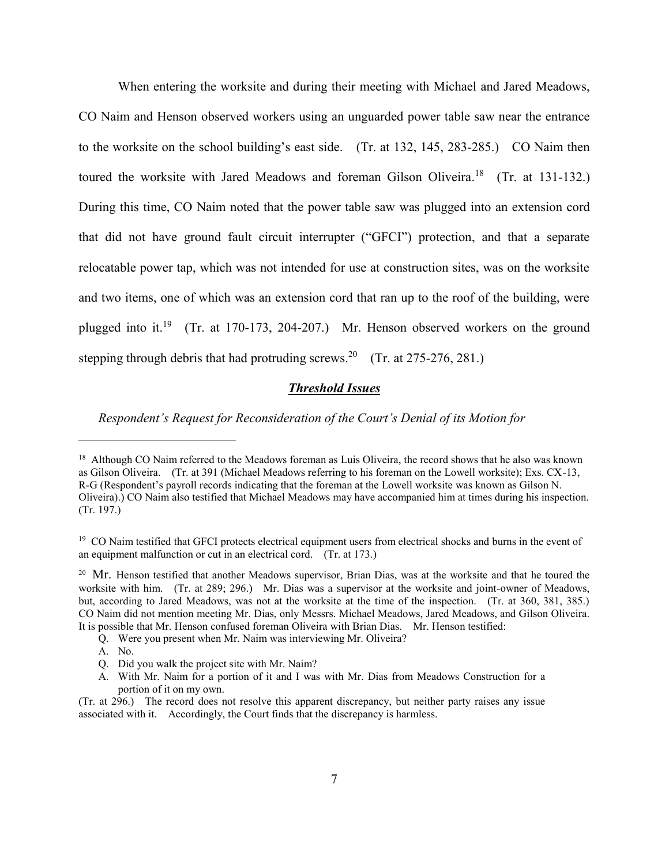When entering the worksite and during their meeting with Michael and Jared Meadows, CO Naim and Henson observed workers using an unguarded power table saw near the entrance to the worksite on the school building's east side. (Tr. at 132, 145, 283-285.) CO Naim then toured the worksite with Jared Meadows and foreman Gilson Oliveira.<sup>18</sup> (Tr. at 131-132.) During this time, CO Naim noted that the power table saw was plugged into an extension cord that did not have ground fault circuit interrupter ("GFCI") protection, and that a separate relocatable power tap, which was not intended for use at construction sites, was on the worksite and two items, one of which was an extension cord that ran up to the roof of the building, were plugged into it.<sup>19</sup> (Tr. at 170-173, 204-207.) Mr. Henson observed workers on the ground stepping through debris that had protruding screws.<sup>20</sup> (Tr. at 275-276, 281.)

### *Threshold Issues*

*Respondent's Request for Reconsideration of the Court's Denial of its Motion for* 

A. No.

<sup>&</sup>lt;sup>18</sup> Although CO Naim referred to the Meadows foreman as Luis Oliveira, the record shows that he also was known as Gilson Oliveira. (Tr. at 391 (Michael Meadows referring to his foreman on the Lowell worksite); Exs. CX-13, R-G (Respondent's payroll records indicating that the foreman at the Lowell worksite was known as Gilson N. Oliveira).) CO Naim also testified that Michael Meadows may have accompanied him at times during his inspection. (Tr. 197.)

<sup>&</sup>lt;sup>19</sup> CO Naim testified that GFCI protects electrical equipment users from electrical shocks and burns in the event of an equipment malfunction or cut in an electrical cord. (Tr. at 173.)

<sup>&</sup>lt;sup>20</sup> Mr. Henson testified that another Meadows supervisor, Brian Dias, was at the worksite and that he toured the worksite with him. (Tr. at 289; 296.) Mr. Dias was a supervisor at the worksite and joint-owner of Meadows, but, according to Jared Meadows, was not at the worksite at the time of the inspection. (Tr. at 360, 381, 385.) CO Naim did not mention meeting Mr. Dias, only Messrs. Michael Meadows, Jared Meadows, and Gilson Oliveira. It is possible that Mr. Henson confused foreman Oliveira with Brian Dias. Mr. Henson testified:

Q. Were you present when Mr. Naim was interviewing Mr. Oliveira?

Q. Did you walk the project site with Mr. Naim?

A. With Mr. Naim for a portion of it and I was with Mr. Dias from Meadows Construction for a portion of it on my own.

<sup>(</sup>Tr. at 296.) The record does not resolve this apparent discrepancy, but neither party raises any issue associated with it. Accordingly, the Court finds that the discrepancy is harmless.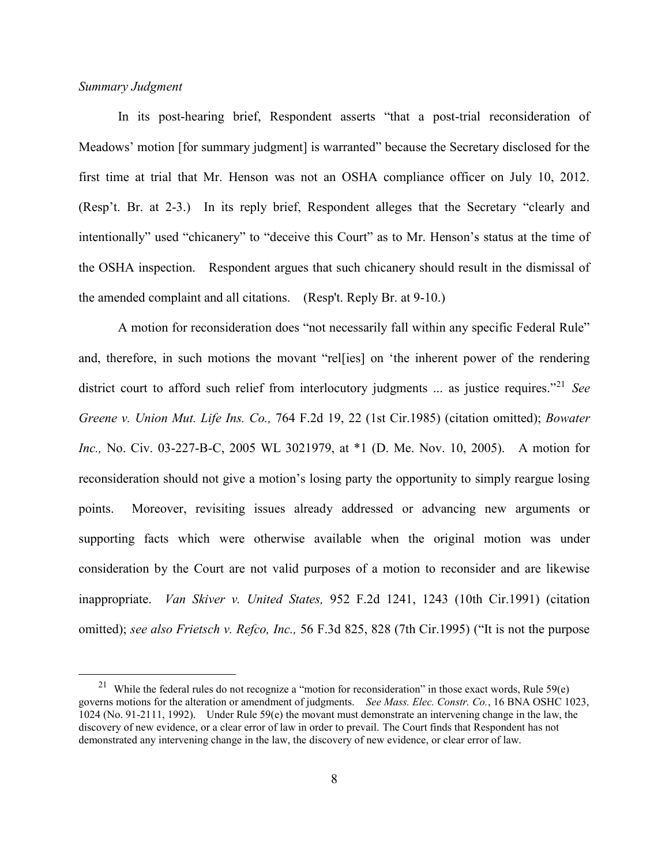### *Summary Judgment*

 $\overline{a}$ 

In its post-hearing brief, Respondent asserts "that a post-trial reconsideration of Meadows' motion [for summary judgment] is warranted" because the Secretary disclosed for the first time at trial that Mr. Henson was not an OSHA compliance officer on July 10, 2012. (Resp't. Br. at 2-3.) In its reply brief, Respondent alleges that the Secretary "clearly and intentionally" used "chicanery" to "deceive this Court" as to Mr. Henson's status at the time of the OSHA inspection. Respondent argues that such chicanery should result in the dismissal of the amended complaint and all citations. (Resp't. Reply Br. at 9-10.)

A motion for reconsideration does "not necessarily fall within any specific Federal Rule" and, therefore, in such motions the movant "rel[ies] on 'the inherent power of the rendering district court to afford such relief from interlocutory judgments ... as justice requires."<sup>21</sup> *See [Greene v. Union Mut.](http://www.westlaw.com/Find/Default.wl?rs=dfa1.0&vr=2.0&DB=350&FindType=Y&ReferencePositionType=S&SerialNum=1985118874&ReferencePosition=22) Life Ins. Co.,* [764 F.2d 19, 22 \(1st Cir.1985\)](http://www.westlaw.com/Find/Default.wl?rs=dfa1.0&vr=2.0&DB=350&FindType=Y&ReferencePositionType=S&SerialNum=1985118874&ReferencePosition=22) (citation omitted); *Bowater Inc.,* No. Civ. 03-227-B-C, 2005 WL 3021979, at \*1 (D. Me. Nov. 10, 2005). A motion for reconsideration should not give a motion's losing party the opportunity to simply reargue losing points. Moreover, revisiting issues already addressed or advancing new arguments or supporting facts which were otherwise available when the original motion was under consideration by the Court are not valid purposes of a motion to reconsider and are likewise inappropriate. *[Van Skiver v. United States,](http://www.westlaw.com/Find/Default.wl?rs=dfa1.0&vr=2.0&DB=350&FindType=Y&ReferencePositionType=S&SerialNum=1991209132&ReferencePosition=1243)* [952 F.2d 1241, 1243 \(10th Cir.1991\)](http://www.westlaw.com/Find/Default.wl?rs=dfa1.0&vr=2.0&DB=350&FindType=Y&ReferencePositionType=S&SerialNum=1991209132&ReferencePosition=1243) (citation omitted); *see also [Frietsch v. Refco, Inc.,](http://www.westlaw.com/Find/Default.wl?rs=dfa1.0&vr=2.0&DB=506&FindType=Y&ReferencePositionType=S&SerialNum=1995124498&ReferencePosition=828)* [56 F.3d 825, 828 \(7th Cir.1995\)](http://www.westlaw.com/Find/Default.wl?rs=dfa1.0&vr=2.0&DB=506&FindType=Y&ReferencePositionType=S&SerialNum=1995124498&ReferencePosition=828) ("It is not the purpose

<sup>&</sup>lt;sup>21</sup> While the federal rules do not recognize a "motion for reconsideration" in those exact words, Rule 59 $(e)$ governs motions for the alteration or amendment of judgments. *See Mass. Elec. Constr. Co.*, 16 BNA OSHC 1023, 1024 (No. 91-2111, 1992). Under Rule 59(e) the movant must demonstrate an intervening change in the law, the discovery of new evidence, or a clear error of law in order to prevail. The Court finds that Respondent has not demonstrated any intervening change in the law, the discovery of new evidence, or clear error of law.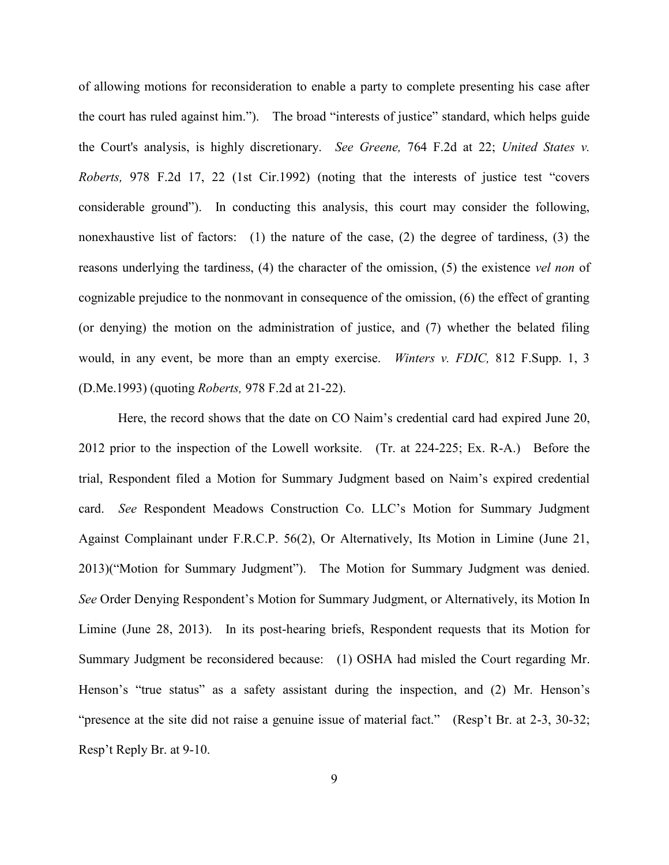of allowing motions for reconsideration to enable a party to complete presenting his case after the court has ruled against him."). The broad "interests of justice" standard, which helps guide the Court's analysis, is highly discretionary. *See [Greene,](http://www.westlaw.com/Find/Default.wl?rs=dfa1.0&vr=2.0&DB=350&FindType=Y&ReferencePositionType=S&SerialNum=1985118874&ReferencePosition=22)* [764 F.2d at 22;](http://www.westlaw.com/Find/Default.wl?rs=dfa1.0&vr=2.0&DB=350&FindType=Y&ReferencePositionType=S&SerialNum=1985118874&ReferencePosition=22) *[United States v.](http://www.westlaw.com/Find/Default.wl?rs=dfa1.0&vr=2.0&DB=350&FindType=Y&ReferencePositionType=S&SerialNum=1992184963&ReferencePosition=22)  [Roberts,](http://www.westlaw.com/Find/Default.wl?rs=dfa1.0&vr=2.0&DB=350&FindType=Y&ReferencePositionType=S&SerialNum=1992184963&ReferencePosition=22)* [978 F.2d 17, 22 \(1st Cir.1992\)](http://www.westlaw.com/Find/Default.wl?rs=dfa1.0&vr=2.0&DB=350&FindType=Y&ReferencePositionType=S&SerialNum=1992184963&ReferencePosition=22) (noting that the interests of justice test "covers considerable ground"). In conducting this analysis, this court may consider the following, nonexhaustive list of factors: (1) the nature of the case, (2) the degree of tardiness, (3) the reasons underlying the tardiness, (4) the character of the omission, (5) the existence *vel non* of cognizable prejudice to the nonmovant in consequence of the omission, (6) the effect of granting (or denying) the motion on the administration of justice, and (7) whether the belated filing would, in any event, be more than an empty exercise. *[Winters v. FDIC,](http://www.westlaw.com/Find/Default.wl?rs=dfa1.0&vr=2.0&DB=345&FindType=Y&ReferencePositionType=S&SerialNum=1993028594&ReferencePosition=3)* [812 F.Supp. 1, 3](http://www.westlaw.com/Find/Default.wl?rs=dfa1.0&vr=2.0&DB=345&FindType=Y&ReferencePositionType=S&SerialNum=1993028594&ReferencePosition=3)  [\(D.Me.1993\)](http://www.westlaw.com/Find/Default.wl?rs=dfa1.0&vr=2.0&DB=345&FindType=Y&ReferencePositionType=S&SerialNum=1993028594&ReferencePosition=3) (quoting *[Roberts,](http://www.westlaw.com/Find/Default.wl?rs=dfa1.0&vr=2.0&DB=350&FindType=Y&ReferencePositionType=S&SerialNum=1992184963&ReferencePosition=21)* [978 F.2d at 21-22\).](http://www.westlaw.com/Find/Default.wl?rs=dfa1.0&vr=2.0&DB=350&FindType=Y&ReferencePositionType=S&SerialNum=1992184963&ReferencePosition=21)

Here, the record shows that the date on CO Naim's credential card had expired June 20, 2012 prior to the inspection of the Lowell worksite. (Tr. at 224-225; Ex. R-A.) Before the trial, Respondent filed a Motion for Summary Judgment based on Naim's expired credential card. *See* Respondent Meadows Construction Co. LLC's Motion for Summary Judgment Against Complainant under F.R.C.P. 56(2), Or Alternatively, Its Motion in Limine (June 21, 2013)("Motion for Summary Judgment"). The Motion for Summary Judgment was denied. *See* Order Denying Respondent's Motion for Summary Judgment, or Alternatively, its Motion In Limine (June 28, 2013). In its post-hearing briefs, Respondent requests that its Motion for Summary Judgment be reconsidered because: (1) OSHA had misled the Court regarding Mr. Henson's "true status" as a safety assistant during the inspection, and (2) Mr. Henson's "presence at the site did not raise a genuine issue of material fact." (Resp't Br. at 2-3, 30-32; Resp't Reply Br. at 9-10.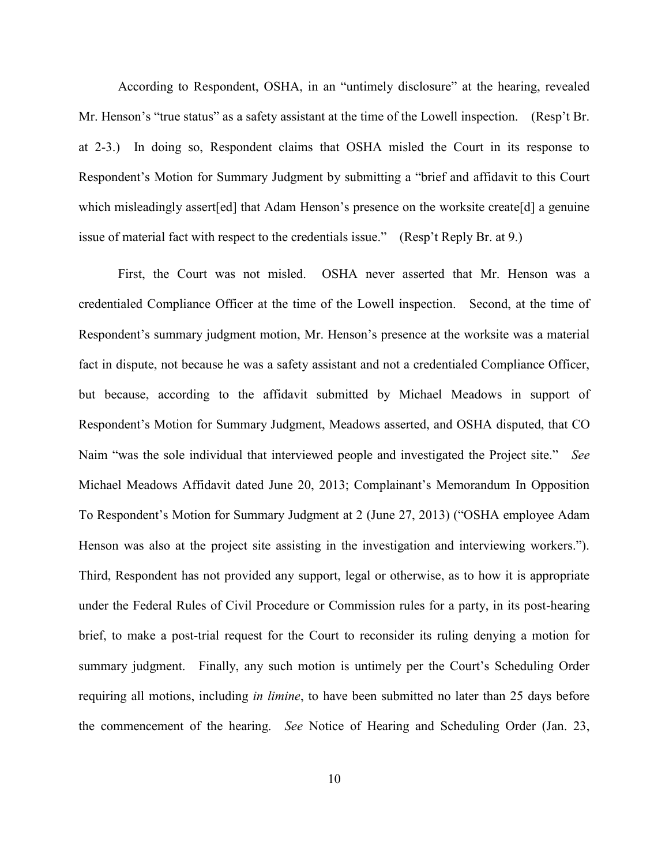According to Respondent, OSHA, in an "untimely disclosure" at the hearing, revealed Mr. Henson's "true status" as a safety assistant at the time of the Lowell inspection. (Resp't Br. at 2-3.) In doing so, Respondent claims that OSHA misled the Court in its response to Respondent's Motion for Summary Judgment by submitting a "brief and affidavit to this Court which misleadingly assert [ed] that Adam Henson's presence on the worksite create [d] a genuine issue of material fact with respect to the credentials issue." (Resp't Reply Br. at 9.)

First, the Court was not misled. OSHA never asserted that Mr. Henson was a credentialed Compliance Officer at the time of the Lowell inspection. Second, at the time of Respondent's summary judgment motion, Mr. Henson's presence at the worksite was a material fact in dispute, not because he was a safety assistant and not a credentialed Compliance Officer, but because, according to the affidavit submitted by Michael Meadows in support of Respondent's Motion for Summary Judgment, Meadows asserted, and OSHA disputed, that CO Naim "was the sole individual that interviewed people and investigated the Project site." *See* Michael Meadows Affidavit dated June 20, 2013; Complainant's Memorandum In Opposition To Respondent's Motion for Summary Judgment at 2 (June 27, 2013) ("OSHA employee Adam Henson was also at the project site assisting in the investigation and interviewing workers."). Third, Respondent has not provided any support, legal or otherwise, as to how it is appropriate under the Federal Rules of Civil Procedure or Commission rules for a party, in its post-hearing brief, to make a post-trial request for the Court to reconsider its ruling denying a motion for summary judgment. Finally, any such motion is untimely per the Court's Scheduling Order requiring all motions, including *in limine*, to have been submitted no later than 25 days before the commencement of the hearing. *See* Notice of Hearing and Scheduling Order (Jan. 23,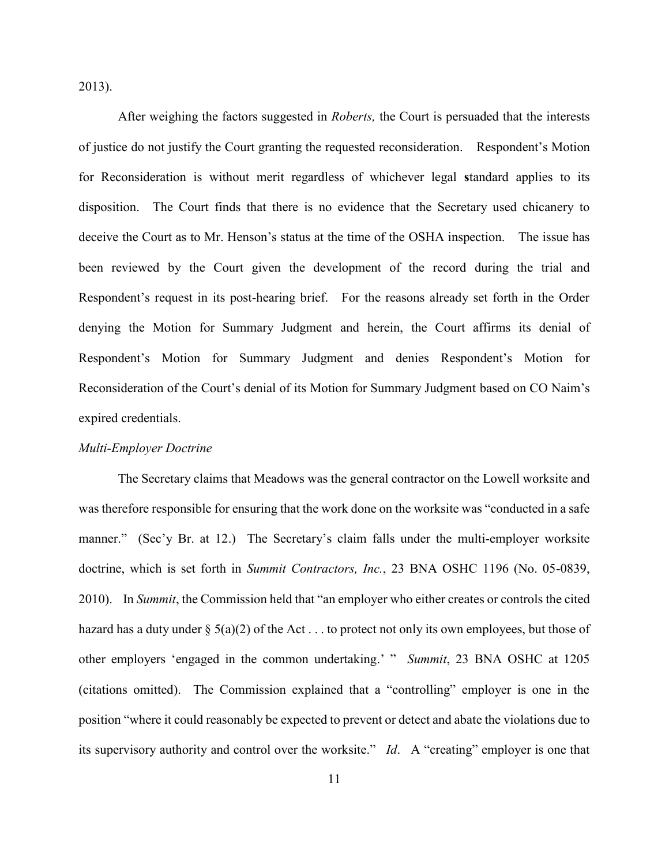2013).

After weighing the factors suggested in *Roberts,* the Court is persuaded that the interests of justice do not justify the Court granting the requested reconsideration. Respondent's Motion for Reconsideration is without merit regardless of whichever legal **s**tandard applies to its disposition. The Court finds that there is no evidence that the Secretary used chicanery to deceive the Court as to Mr. Henson's status at the time of the OSHA inspection. The issue has been reviewed by the Court given the development of the record during the trial and Respondent's request in its post-hearing brief. For the reasons already set forth in the Order denying the Motion for Summary Judgment and herein, the Court affirms its denial of Respondent's Motion for Summary Judgment and denies Respondent's Motion for Reconsideration of the Court's denial of its Motion for Summary Judgment based on CO Naim's expired credentials.

#### *Multi-Employer Doctrine*

The Secretary claims that Meadows was the general contractor on the Lowell worksite and was therefore responsible for ensuring that the work done on the worksite was "conducted in a safe manner." (Sec'y Br. at 12.) The Secretary's claim falls under the multi-employer worksite doctrine, which is set forth in *Summit Contractors, Inc.*, 23 BNA OSHC 1196 (No. 05-0839, 2010). In *Summit*, the Commission held that "an employer who either creates or controls the cited hazard has a duty under  $\S$  5(a)(2) of the Act . . . to protect not only its own employees, but those of other employers 'engaged in the common undertaking.' " *Summit*, 23 BNA OSHC at 1205 (citations omitted). The Commission explained that a "controlling" employer is one in the position "where it could reasonably be expected to prevent or detect and abate the violations due to its supervisory authority and control over the worksite." *Id*. A "creating" employer is one that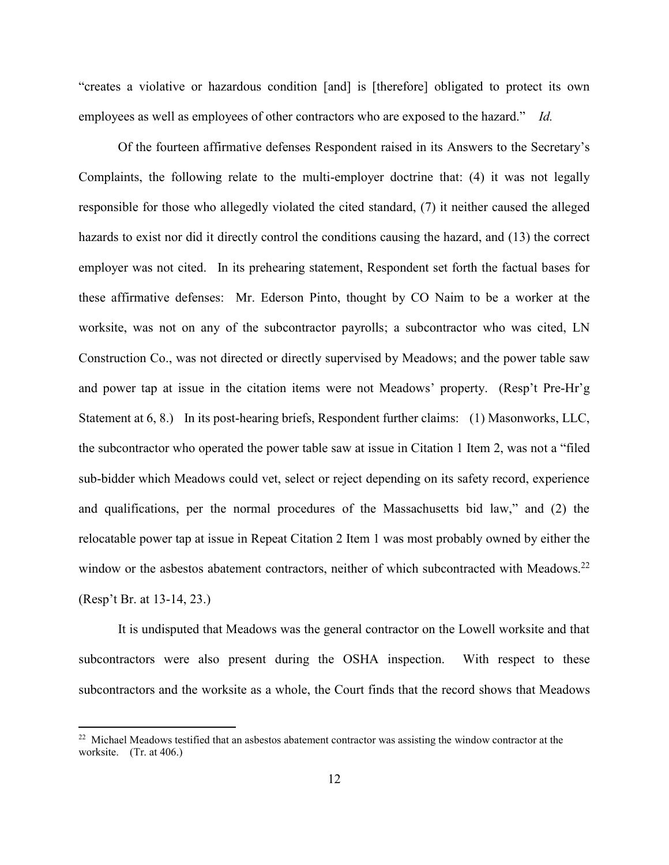"creates a violative or hazardous condition [and] is [therefore] obligated to protect its own employees as well as employees of other contractors who are exposed to the hazard." *Id.*

Of the fourteen affirmative defenses Respondent raised in its Answers to the Secretary's Complaints, the following relate to the multi-employer doctrine that: (4) it was not legally responsible for those who allegedly violated the cited standard, (7) it neither caused the alleged hazards to exist nor did it directly control the conditions causing the hazard, and (13) the correct employer was not cited. In its prehearing statement, Respondent set forth the factual bases for these affirmative defenses: Mr. Ederson Pinto, thought by CO Naim to be a worker at the worksite, was not on any of the subcontractor payrolls; a subcontractor who was cited, LN Construction Co., was not directed or directly supervised by Meadows; and the power table saw and power tap at issue in the citation items were not Meadows' property. (Resp't Pre-Hr'g Statement at 6, 8.) In its post-hearing briefs, Respondent further claims: (1) Masonworks, LLC, the subcontractor who operated the power table saw at issue in Citation 1 Item 2, was not a "filed sub-bidder which Meadows could vet, select or reject depending on its safety record, experience and qualifications, per the normal procedures of the Massachusetts bid law," and (2) the relocatable power tap at issue in Repeat Citation 2 Item 1 was most probably owned by either the window or the asbestos abatement contractors, neither of which subcontracted with Meadows.<sup>22</sup> (Resp't Br. at 13-14, 23.)

It is undisputed that Meadows was the general contractor on the Lowell worksite and that subcontractors were also present during the OSHA inspection. With respect to these subcontractors and the worksite as a whole, the Court finds that the record shows that Meadows

<sup>&</sup>lt;sup>22</sup> Michael Meadows testified that an asbestos abatement contractor was assisting the window contractor at the worksite. (Tr. at 406.)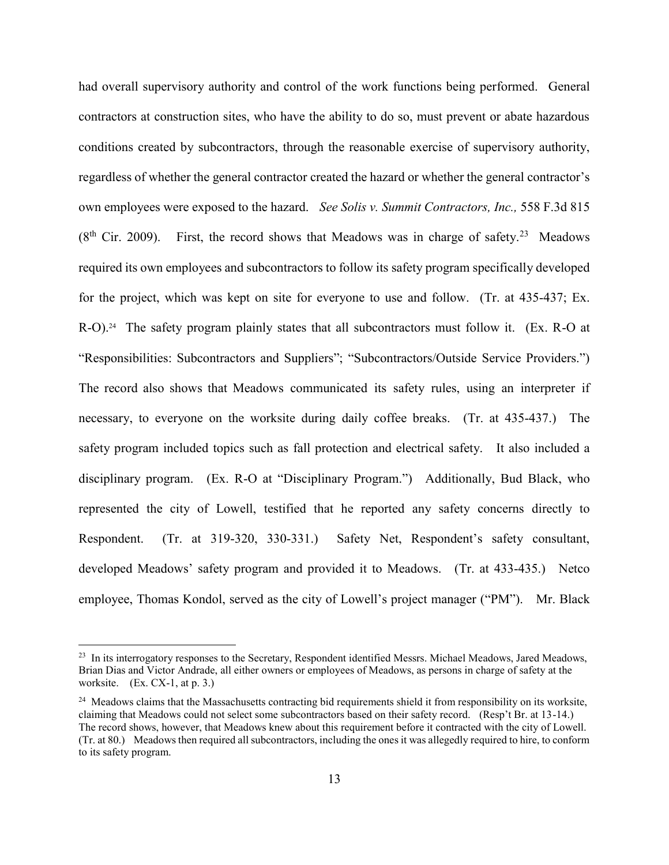had overall supervisory authority and control of the work functions being performed. General contractors at construction sites, who have the ability to do so, must prevent or abate hazardous conditions created by subcontractors, through the reasonable exercise of supervisory authority, regardless of whether the general contractor created the hazard or whether the general contractor's own employees were exposed to the hazard. *See Solis v. Summit Contractors, Inc.,* 558 F.3d 815  $(8<sup>th</sup> Cir. 2009)$ . First, the record shows that Meadows was in charge of safety.<sup>23</sup> Meadows required its own employees and subcontractors to follow its safety program specifically developed for the project, which was kept on site for everyone to use and follow. (Tr. at 435-437; Ex. R-O).<sup>24</sup> The safety program plainly states that all subcontractors must follow it. (Ex. R-O at "Responsibilities: Subcontractors and Suppliers"; "Subcontractors/Outside Service Providers.") The record also shows that Meadows communicated its safety rules, using an interpreter if necessary, to everyone on the worksite during daily coffee breaks. (Tr. at 435-437.) The safety program included topics such as fall protection and electrical safety. It also included a disciplinary program. (Ex. R-O at "Disciplinary Program.") Additionally, Bud Black, who represented the city of Lowell, testified that he reported any safety concerns directly to Respondent. (Tr. at 319-320, 330-331.) Safety Net, Respondent's safety consultant, developed Meadows' safety program and provided it to Meadows. (Tr. at 433-435.) Netco employee, Thomas Kondol, served as the city of Lowell's project manager ("PM"). Mr. Black

<sup>&</sup>lt;sup>23</sup> In its interrogatory responses to the Secretary, Respondent identified Messrs. Michael Meadows, Jared Meadows, Brian Dias and Victor Andrade, all either owners or employees of Meadows, as persons in charge of safety at the worksite.  $(Ex. CX-1, at p. 3.)$ 

<sup>&</sup>lt;sup>24</sup> Meadows claims that the Massachusetts contracting bid requirements shield it from responsibility on its worksite, claiming that Meadows could not select some subcontractors based on their safety record. (Resp't Br. at 13-14.) The record shows, however, that Meadows knew about this requirement before it contracted with the city of Lowell. (Tr. at 80.) Meadows then required all subcontractors, including the ones it was allegedly required to hire, to conform to its safety program.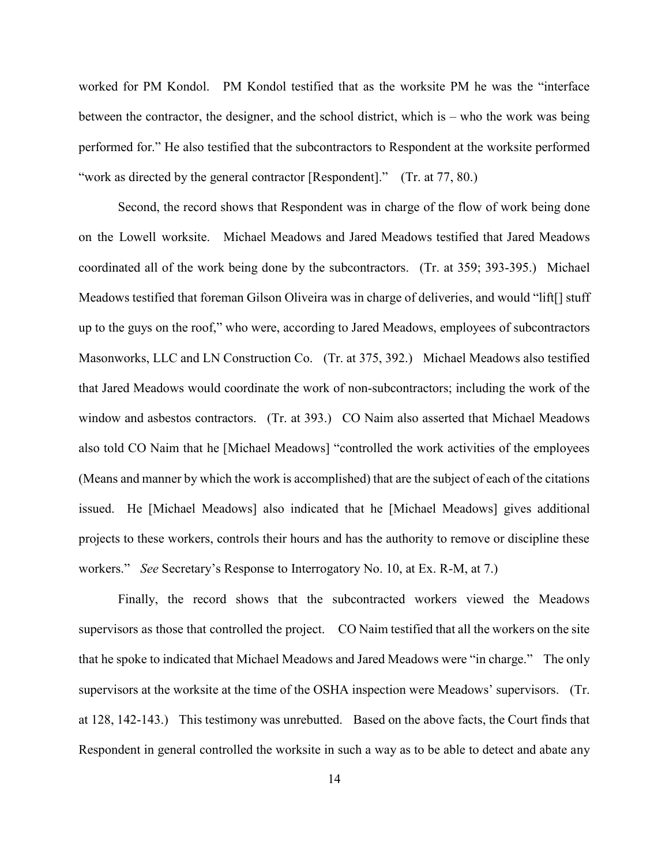worked for PM Kondol. PM Kondol testified that as the worksite PM he was the "interface between the contractor, the designer, and the school district, which is – who the work was being performed for." He also testified that the subcontractors to Respondent at the worksite performed "work as directed by the general contractor [Respondent]." (Tr. at 77, 80.)

Second, the record shows that Respondent was in charge of the flow of work being done on the Lowell worksite. Michael Meadows and Jared Meadows testified that Jared Meadows coordinated all of the work being done by the subcontractors. (Tr. at 359; 393-395.) Michael Meadows testified that foreman Gilson Oliveira was in charge of deliveries, and would "lift[] stuff up to the guys on the roof," who were, according to Jared Meadows, employees of subcontractors Masonworks, LLC and LN Construction Co. (Tr. at 375, 392.) Michael Meadows also testified that Jared Meadows would coordinate the work of non-subcontractors; including the work of the window and asbestos contractors. (Tr. at 393.) CO Naim also asserted that Michael Meadows also told CO Naim that he [Michael Meadows] "controlled the work activities of the employees (Means and manner by which the work is accomplished) that are the subject of each of the citations issued. He [Michael Meadows] also indicated that he [Michael Meadows] gives additional projects to these workers, controls their hours and has the authority to remove or discipline these workers." *See* Secretary's Response to Interrogatory No. 10, at Ex. R-M, at 7.)

Finally, the record shows that the subcontracted workers viewed the Meadows supervisors as those that controlled the project. CO Naim testified that all the workers on the site that he spoke to indicated that Michael Meadows and Jared Meadows were "in charge." The only supervisors at the worksite at the time of the OSHA inspection were Meadows' supervisors. (Tr. at 128, 142-143.) This testimony was unrebutted. Based on the above facts, the Court finds that Respondent in general controlled the worksite in such a way as to be able to detect and abate any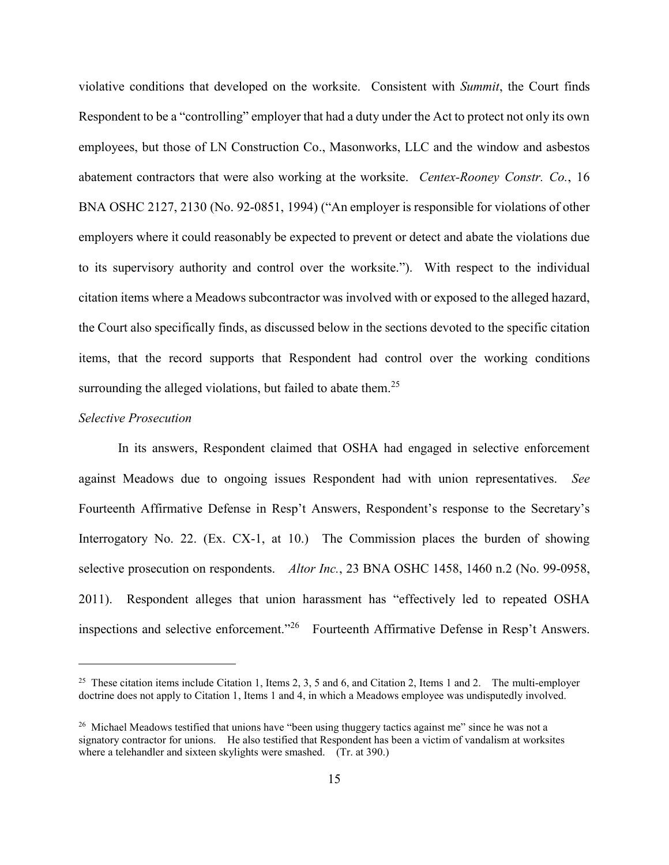violative conditions that developed on the worksite. Consistent with *Summit*, the Court finds Respondent to be a "controlling" employer that had a duty under the Act to protect not only its own employees, but those of LN Construction Co., Masonworks, LLC and the window and asbestos abatement contractors that were also working at the worksite. *Centex-Rooney Constr. Co.*, 16 BNA OSHC 2127, 2130 (No. 92-0851, 1994) ("An employer is responsible for violations of other employers where it could reasonably be expected to prevent or detect and abate the violations due to its supervisory authority and control over the worksite."). With respect to the individual citation items where a Meadows subcontractor was involved with or exposed to the alleged hazard, the Court also specifically finds, as discussed below in the sections devoted to the specific citation items, that the record supports that Respondent had control over the working conditions surrounding the alleged violations, but failed to abate them.<sup>25</sup>

### *Selective Prosecution*

 $\overline{a}$ 

In its answers, Respondent claimed that OSHA had engaged in selective enforcement against Meadows due to ongoing issues Respondent had with union representatives. *See* Fourteenth Affirmative Defense in Resp't Answers, Respondent's response to the Secretary's Interrogatory No. 22. (Ex. CX-1, at 10.) The Commission places the burden of showing selective prosecution on respondents. *Altor Inc.*, 23 BNA OSHC 1458, 1460 n.2 (No. 99-0958, 2011). Respondent alleges that union harassment has "effectively led to repeated OSHA inspections and selective enforcement."<sup>26</sup> Fourteenth Affirmative Defense in Resp't Answers.

<sup>&</sup>lt;sup>25</sup> These citation items include Citation 1, Items 2, 3, 5 and 6, and Citation 2, Items 1 and 2. The multi-employer doctrine does not apply to Citation 1, Items 1 and 4, in which a Meadows employee was undisputedly involved.

 $26$  Michael Meadows testified that unions have "been using thuggery tactics against me" since he was not a signatory contractor for unions. He also testified that Respondent has been a victim of vandalism at worksites where a telehandler and sixteen skylights were smashed. (Tr. at 390.)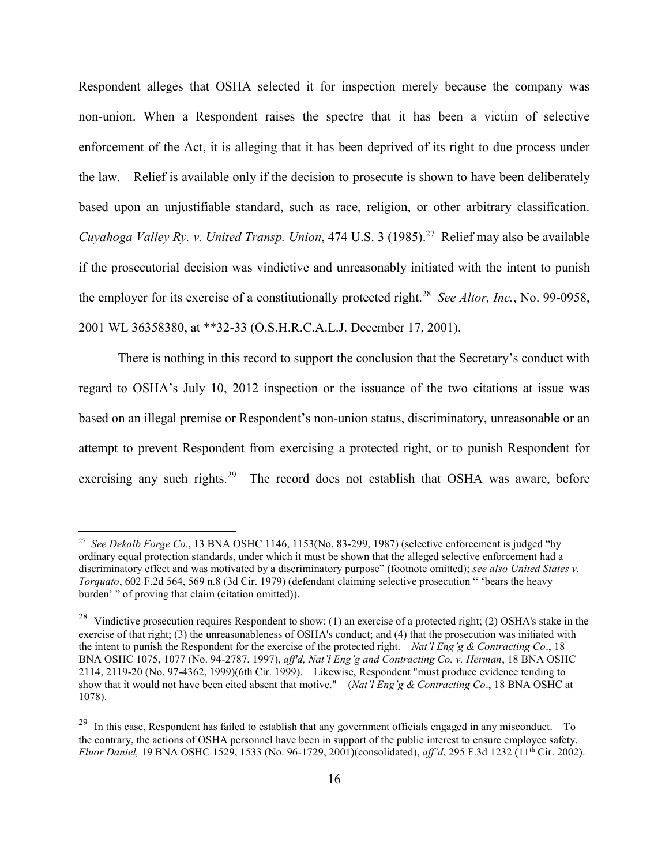Respondent alleges that OSHA selected it for inspection merely because the company was non-union. When a Respondent raises the spectre that it has been a victim of selective enforcement of the Act, it is alleging that it has been deprived of its right to due process under the law. Relief is available only if the decision to prosecute is shown to have been deliberately based upon an unjustifiable standard, such as race, religion, or other arbitrary classification. *Cuyahoga Valley Ry. v. United Transp. Union*, 474 U.S. 3 (1985).<sup>27</sup> Relief may also be available if the prosecutorial decision was vindictive and unreasonably initiated with the intent to punish the employer for its exercise of a constitutionally protected right.<sup>28</sup> *See Altor, Inc.*, No. 99-0958, 2001 WL 36358380, at \*\*32-33 (O.S.H.R.C.A.L.J. December 17, 2001).

There is nothing in this record to support the conclusion that the Secretary's conduct with regard to OSHA's July 10, 2012 inspection or the issuance of the two citations at issue was based on an illegal premise or Respondent's non-union status, discriminatory, unreasonable or an attempt to prevent Respondent from exercising a protected right, or to punish Respondent for exercising any such rights.<sup>29</sup> The record does not establish that OSHA was aware, before

<sup>27</sup> *See Dekalb Forge Co.*, 13 BNA OSHC 1146, 1153(No. 83-299, 1987) (selective enforcement is judged "by ordinary equal protection standards, under which it must be shown that the alleged selective enforcement had a discriminatory effect and was motivated by a discriminatory purpose" (footnote omitted); *see also United States v. Torquato*, 602 F.2d 564, 569 n.8 (3d Cir. 1979) (defendant claiming selective prosecution " 'bears the heavy burden' " of proving that claim (citation omitted)).

<sup>&</sup>lt;sup>28</sup> Vindictive prosecution requires Respondent to show: (1) an exercise of a protected right; (2) OSHA's stake in the exercise of that right; (3) the unreasonableness of OSHA's conduct; and (4) that the prosecution was initiated with the intent to punish the Respondent for the exercise of the protected right. *Nat'l Eng'g & Contracting Co*., 18 BNA OSHC 1075, 1077 (No. 94-2787, 1997), *aff'd, Nat'l Eng'g and Contracting Co. v. Herman*, 18 BNA OSHC 2114, 2119-20 (No. 97-4362, 1999)(6th Cir. 1999). Likewise, Respondent "must produce evidence tending to show that it would not have been cited absent that motive." (*Nat'l Eng'g & Contracting Co*., 18 BNA OSHC at 1078).

 $^{29}$  In this case, Respondent has failed to establish that any government officials engaged in any misconduct. To the contrary, the actions of OSHA personnel have been in support of the public interest to ensure employee safety. *Fluor Daniel,* 19 BNA OSHC 1529, 1533 (No. 96-1729, 2001)(consolidated), *aff'd*, 295 F.3d 1232 (11th Cir. 2002).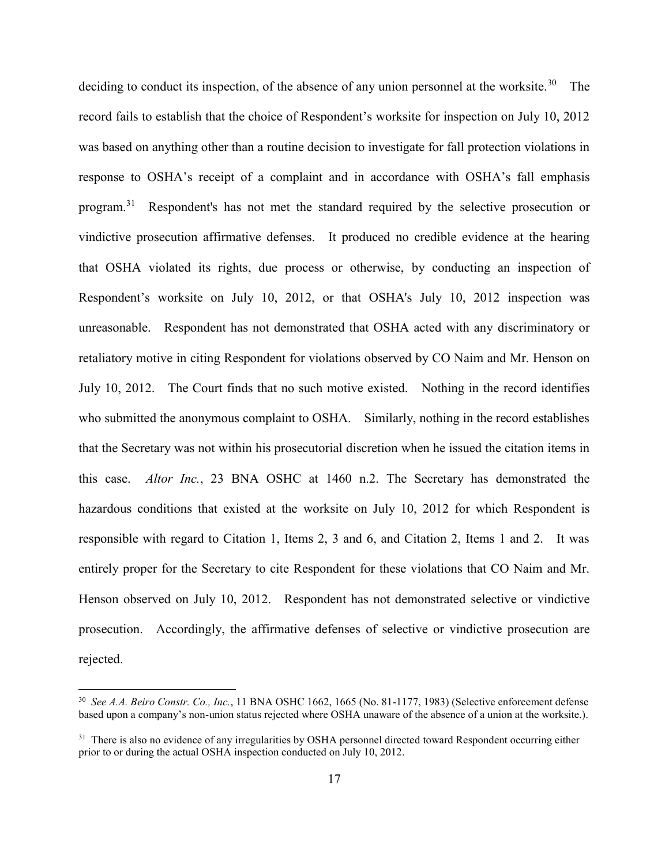deciding to conduct its inspection, of the absence of any union personnel at the worksite.<sup>30</sup> The record fails to establish that the choice of Respondent's worksite for inspection on July 10, 2012 was based on anything other than a routine decision to investigate for fall protection violations in response to OSHA's receipt of a complaint and in accordance with OSHA's fall emphasis program.<sup>31</sup> Respondent's has not met the standard required by the selective prosecution or vindictive prosecution affirmative defenses. It produced no credible evidence at the hearing that OSHA violated its rights, due process or otherwise, by conducting an inspection of Respondent's worksite on July 10, 2012, or that OSHA's July 10, 2012 inspection was unreasonable. Respondent has not demonstrated that OSHA acted with any discriminatory or retaliatory motive in citing Respondent for violations observed by CO Naim and Mr. Henson on July 10, 2012. The Court finds that no such motive existed. Nothing in the record identifies who submitted the anonymous complaint to OSHA. Similarly, nothing in the record establishes that the Secretary was not within his prosecutorial discretion when he issued the citation items in this case. *Altor Inc.*, 23 BNA OSHC at 1460 n.2. The Secretary has demonstrated the hazardous conditions that existed at the worksite on July 10, 2012 for which Respondent is responsible with regard to Citation 1, Items 2, 3 and 6, and Citation 2, Items 1 and 2. It was entirely proper for the Secretary to cite Respondent for these violations that CO Naim and Mr. Henson observed on July 10, 2012. Respondent has not demonstrated selective or vindictive prosecution. Accordingly, the affirmative defenses of selective or vindictive prosecution are rejected.

<sup>30</sup> *See A.A. Beiro Constr. Co., Inc.*, 11 BNA OSHC 1662, 1665 (No. 81-1177, 1983) (Selective enforcement defense based upon a company's non-union status rejected where OSHA unaware of the absence of a union at the worksite.).

<sup>&</sup>lt;sup>31</sup> There is also no evidence of any irregularities by OSHA personnel directed toward Respondent occurring either prior to or during the actual OSHA inspection conducted on July 10, 2012.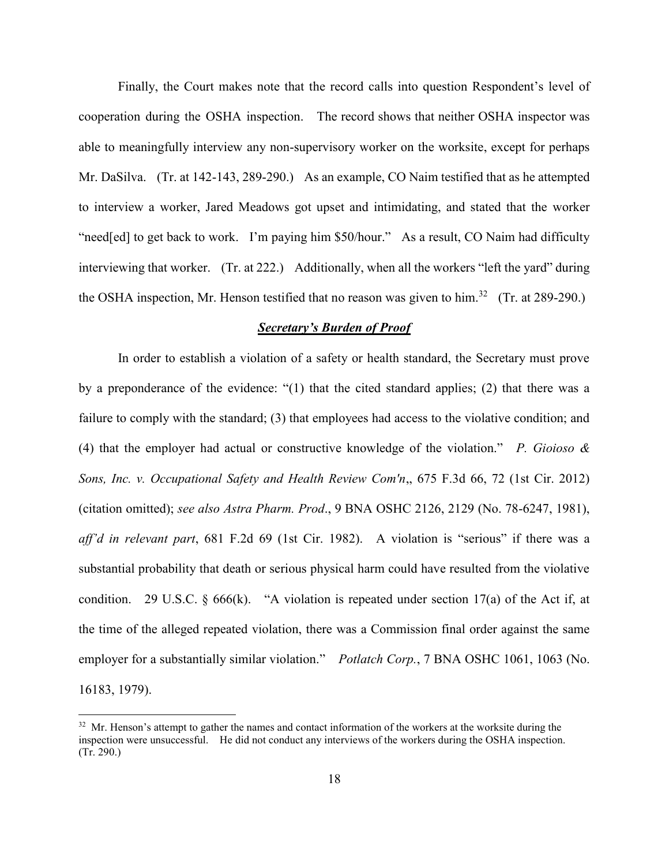Finally, the Court makes note that the record calls into question Respondent's level of cooperation during the OSHA inspection. The record shows that neither OSHA inspector was able to meaningfully interview any non-supervisory worker on the worksite, except for perhaps Mr. DaSilva. (Tr. at 142-143, 289-290.) As an example, CO Naim testified that as he attempted to interview a worker, Jared Meadows got upset and intimidating, and stated that the worker "need[ed] to get back to work. I'm paying him \$50/hour." As a result, CO Naim had difficulty interviewing that worker. (Tr. at 222.) Additionally, when all the workers "left the yard" during the OSHA inspection, Mr. Henson testified that no reason was given to him.<sup>32</sup> (Tr. at 289-290.)

### *Secretary's Burden of Proof*

In order to establish a violation of a safety or health standard, the Secretary must prove by a preponderance of the evidence: "(1) that the cited standard applies; (2) that there was a failure to comply with the standard; (3) that employees had access to the violative condition; and (4) that the employer had actual or constructive knowledge of the violation." *P. Gioioso & Sons, Inc. v. Occupational Safety and Health Review Com'n*,, 675 F.3d 66, 72 (1st Cir. 2012) (citation omitted); *see also Astra Pharm. Prod*., 9 BNA OSHC 2126, 2129 (No. 78-6247, 1981), *aff'd in relevant part*, 681 F.2d 69 (1st Cir. 1982). A violation is "serious" if there was a substantial probability that death or serious physical harm could have resulted from the violative condition. 29 U.S.C.  $\S$  666(k). "A violation is repeated under section 17(a) of the Act if, at the time of the alleged repeated violation, there was a Commission final order against the same employer for a substantially similar violation." *Potlatch Corp.*, 7 BNA OSHC 1061, 1063 (No. 16183, 1979).

<sup>&</sup>lt;sup>32</sup> Mr. Henson's attempt to gather the names and contact information of the workers at the worksite during the inspection were unsuccessful. He did not conduct any interviews of the workers during the OSHA inspection. (Tr. 290.)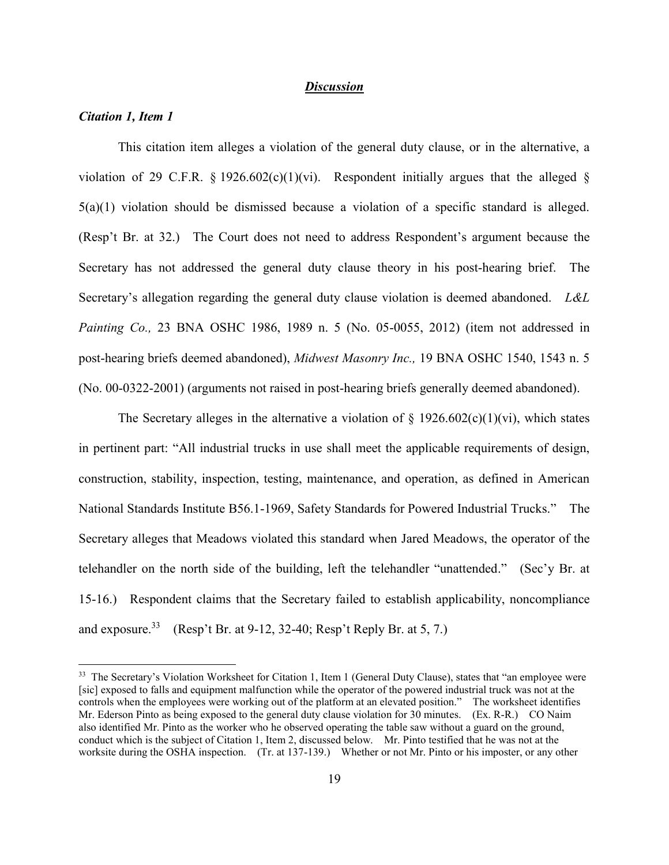### *Discussion*

### *Citation 1, Item 1*

 $\overline{a}$ 

This citation item alleges a violation of the general duty clause, or in the alternative, a violation of 29 C.F.R. § 1926.602(c)(1)(vi). Respondent initially argues that the alleged §  $5(a)(1)$  violation should be dismissed because a violation of a specific standard is alleged. (Resp't Br. at 32.) The Court does not need to address Respondent's argument because the Secretary has not addressed the general duty clause theory in his post-hearing brief. The Secretary's allegation regarding the general duty clause violation is deemed abandoned. *L&L Painting Co.,* 23 BNA OSHC 1986, 1989 n. 5 (No. 05-0055, 2012) (item not addressed in post-hearing briefs deemed abandoned), *Midwest Masonry Inc.,* 19 BNA OSHC 1540, 1543 n. 5 (No. 00-0322-2001) (arguments not raised in post-hearing briefs generally deemed abandoned).

The Secretary alleges in the alternative a violation of  $\S 1926.602(c)(1)(vi)$ , which states in pertinent part: "All industrial trucks in use shall meet the applicable requirements of design, construction, stability, inspection, testing, maintenance, and operation, as defined in American National Standards Institute B56.1-1969, Safety Standards for Powered Industrial Trucks." The Secretary alleges that Meadows violated this standard when Jared Meadows, the operator of the telehandler on the north side of the building, left the telehandler "unattended." (Sec'y Br. at 15-16.) Respondent claims that the Secretary failed to establish applicability, noncompliance and exposure.<sup>33</sup> (Resp't Br. at 9-12, 32-40; Resp't Reply Br. at 5, 7.)

<sup>&</sup>lt;sup>33</sup> The Secretary's Violation Worksheet for Citation 1, Item 1 (General Duty Clause), states that "an employee were [sic] exposed to falls and equipment malfunction while the operator of the powered industrial truck was not at the controls when the employees were working out of the platform at an elevated position." The worksheet identifies Mr. Ederson Pinto as being exposed to the general duty clause violation for 30 minutes. (Ex. R-R.) CO Naim also identified Mr. Pinto as the worker who he observed operating the table saw without a guard on the ground, conduct which is the subject of Citation 1, Item 2, discussed below. Mr. Pinto testified that he was not at the worksite during the OSHA inspection. (Tr. at 137-139.) Whether or not Mr. Pinto or his imposter, or any other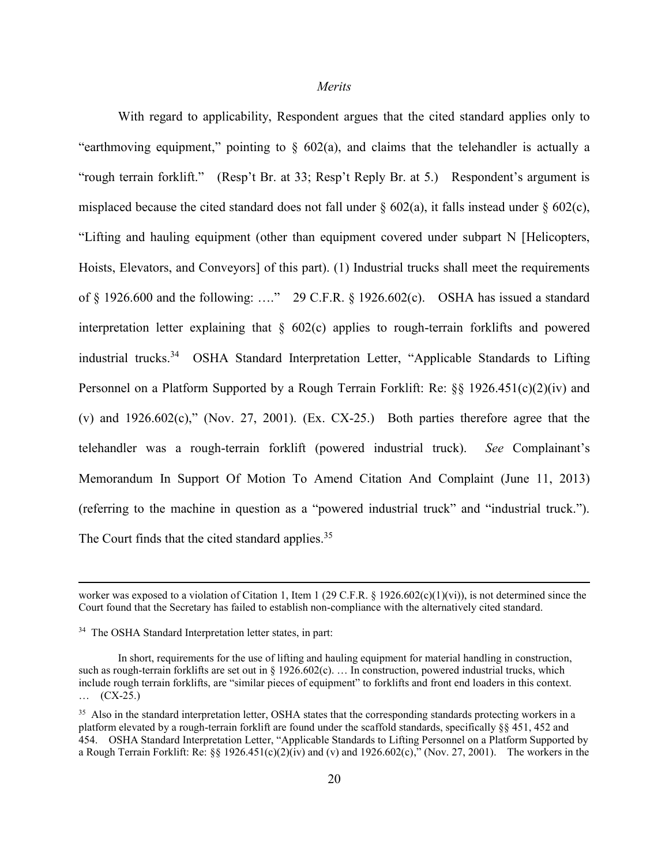#### *Merits*

With regard to applicability, Respondent argues that the cited standard applies only to "earthmoving equipment," pointing to  $\S$  602(a), and claims that the telehandler is actually a "rough terrain forklift." (Resp't Br. at 33; Resp't Reply Br. at 5.) Respondent's argument is misplaced because the cited standard does not fall under  $\S 602(a)$ , it falls instead under  $\S 602(c)$ , "Lifting and hauling equipment (other than equipment covered under subpart N [Helicopters, Hoists, Elevators, and Conveyors] of this part). (1) Industrial trucks shall meet the requirements of  $\S$  1926.600 and the following: ...." 29 C.F.R.  $\S$  1926.602(c). OSHA has issued a standard interpretation letter explaining that § 602(c) applies to rough-terrain forklifts and powered industrial trucks.<sup>34</sup> OSHA Standard Interpretation Letter, "Applicable Standards to Lifting Personnel on a Platform Supported by a Rough Terrain Forklift: Re: §§ 1926.451(c)(2)(iv) and (v) and  $1926.602(c)$ ," (Nov. 27, 2001). (Ex. CX-25.) Both parties therefore agree that the telehandler was a rough-terrain forklift (powered industrial truck). *See* Complainant's Memorandum In Support Of Motion To Amend Citation And Complaint (June 11, 2013) (referring to the machine in question as a "powered industrial truck" and "industrial truck."). The Court finds that the cited standard applies.<sup>35</sup>

worker was exposed to a violation of Citation 1, Item 1 (29 C.F.R. § 1926.602(c)(1)(vi)), is not determined since the Court found that the Secretary has failed to establish non-compliance with the alternatively cited standard.

<sup>34</sup> The OSHA Standard Interpretation letter states, in part:

In short, requirements for the use of lifting and hauling equipment for material handling in construction, such as rough-terrain forklifts are set out in  $\S 1926.602(c)$ ... In construction, powered industrial trucks, which include rough terrain forklifts, are "similar pieces of equipment" to forklifts and front end loaders in this context. … (CX-25.)

<sup>&</sup>lt;sup>35</sup> Also in the standard interpretation letter, OSHA states that the corresponding standards protecting workers in a platform elevated by a rough-terrain forklift are found under the scaffold standards, specifically §§ 451, 452 and 454. OSHA Standard Interpretation Letter, "Applicable Standards to Lifting Personnel on a Platform Supported by a Rough Terrain Forklift: Re:  $\S$ [926.451(c)(2)(iv) and (v) and 1926.602(c)," (Nov. 27, 2001). The workers in the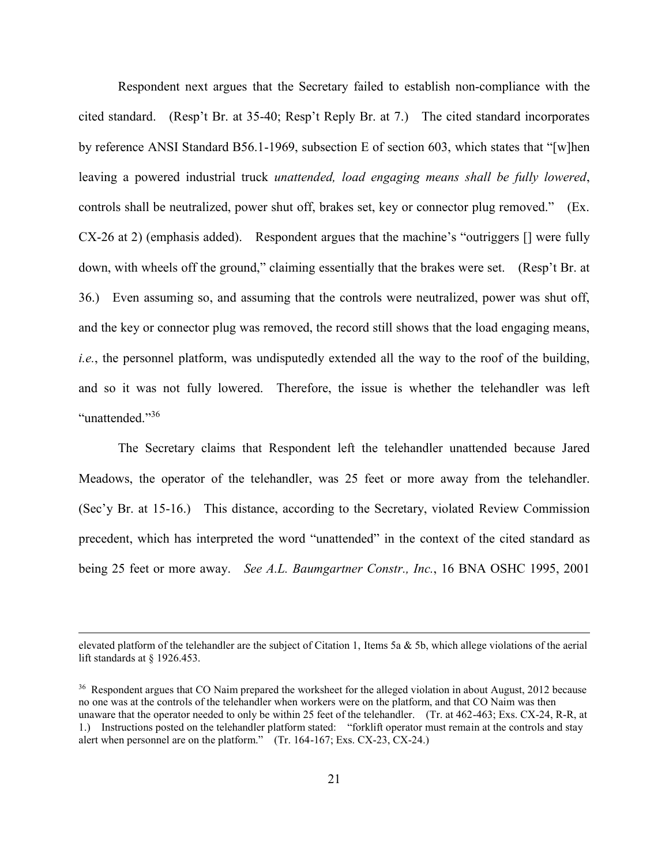Respondent next argues that the Secretary failed to establish non-compliance with the cited standard. (Resp't Br. at 35-40; Resp't Reply Br. at 7.) The cited standard incorporates by reference ANSI Standard B56.1-1969, subsection E of section 603, which states that "[w]hen leaving a powered industrial truck *unattended, load engaging means shall be fully lowered*, controls shall be neutralized, power shut off, brakes set, key or connector plug removed." (Ex. CX-26 at 2) (emphasis added). Respondent argues that the machine's "outriggers [] were fully down, with wheels off the ground," claiming essentially that the brakes were set. (Resp't Br. at 36.) Even assuming so, and assuming that the controls were neutralized, power was shut off, and the key or connector plug was removed, the record still shows that the load engaging means, *i.e.*, the personnel platform, was undisputedly extended all the way to the roof of the building, and so it was not fully lowered. Therefore, the issue is whether the telehandler was left "unattended."<sup>36</sup>

The Secretary claims that Respondent left the telehandler unattended because Jared Meadows, the operator of the telehandler, was 25 feet or more away from the telehandler. (Sec'y Br. at 15-16.) This distance, according to the Secretary, violated Review Commission precedent, which has interpreted the word "unattended" in the context of the cited standard as being 25 feet or more away. *See A.L. Baumgartner Constr., Inc.*, 16 BNA OSHC 1995, 2001

elevated platform of the telehandler are the subject of Citation 1, Items 5a  $\&$  5b, which allege violations of the aerial lift standards at § 1926.453.

<sup>&</sup>lt;sup>36</sup> Respondent argues that CO Naim prepared the worksheet for the alleged violation in about August, 2012 because no one was at the controls of the telehandler when workers were on the platform, and that CO Naim was then unaware that the operator needed to only be within 25 feet of the telehandler. (Tr. at 462-463; Exs. CX-24, R-R, at 1.) Instructions posted on the telehandler platform stated: "forklift operator must remain at the controls and stay alert when personnel are on the platform." (Tr. 164-167; Exs. CX-23, CX-24.)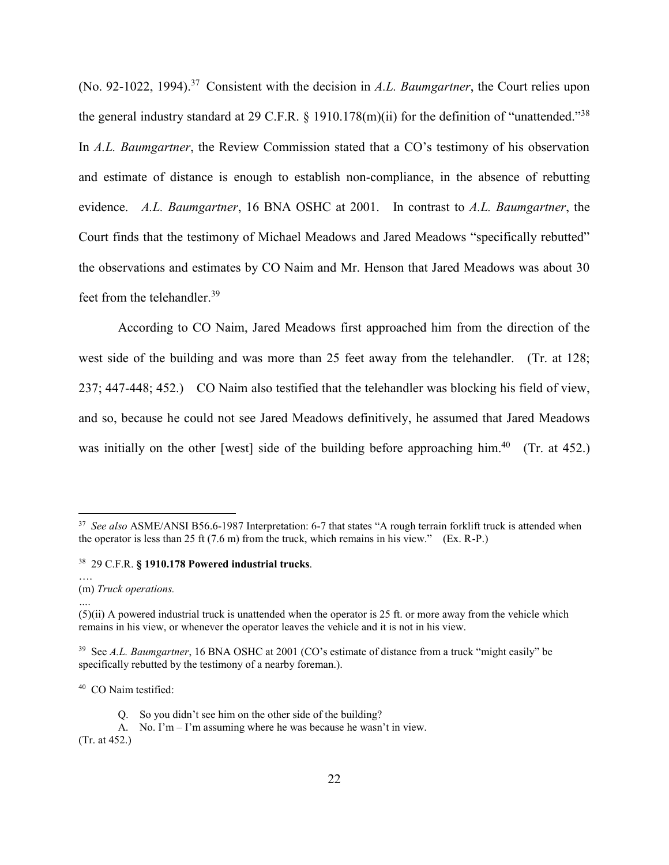(No. 92-1022, 1994). <sup>37</sup> Consistent with the decision in *A.L. Baumgartner*, the Court relies upon the general industry standard at 29 C.F.R.  $\S$  1910.178(m)(ii) for the definition of "unattended."<sup>38</sup> In *A.L. Baumgartner*, the Review Commission stated that a CO's testimony of his observation and estimate of distance is enough to establish non-compliance, in the absence of rebutting evidence. *A.L. Baumgartner*, 16 BNA OSHC at 2001. In contrast to *A.L. Baumgartner*, the Court finds that the testimony of Michael Meadows and Jared Meadows "specifically rebutted" the observations and estimates by CO Naim and Mr. Henson that Jared Meadows was about 30 feet from the telehandler.<sup>39</sup>

According to CO Naim, Jared Meadows first approached him from the direction of the west side of the building and was more than 25 feet away from the telehandler. (Tr. at 128; 237; 447-448; 452.) CO Naim also testified that the telehandler was blocking his field of view, and so, because he could not see Jared Meadows definitively, he assumed that Jared Meadows was initially on the other [west] side of the building before approaching him.<sup>40</sup> (Tr. at 452.)

<sup>38</sup> 29 C.F.R. **§ 1910.178 Powered industrial trucks**.

 $\overline{a}$ 

*….*

(Tr. at 452.)

<sup>&</sup>lt;sup>37</sup> See also ASME/ANSI B56.6-1987 Interpretation: 6-7 that states "A rough terrain forklift truck is attended when the operator is less than 25 ft  $(7.6 \text{ m})$  from the truck, which remains in his view." (Ex. R-P.)

<sup>….</sup> (m) *Truck operations.*

 $(5)(ii)$  A powered industrial truck is unattended when the operator is 25 ft. or more away from the vehicle which remains in his view, or whenever the operator leaves the vehicle and it is not in his view.

<sup>39</sup> See *A.L. Baumgartner*, 16 BNA OSHC at 2001 (CO's estimate of distance from a truck "might easily" be specifically rebutted by the testimony of a nearby foreman.).

<sup>40</sup> CO Naim testified:

Q. So you didn't see him on the other side of the building?

A. No. I'm – I'm assuming where he was because he wasn't in view.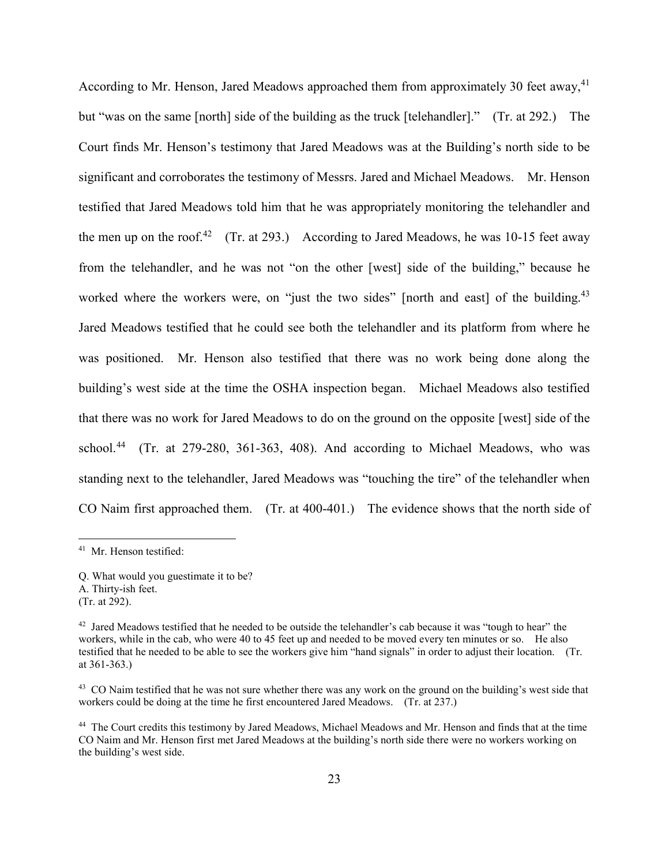According to Mr. Henson, Jared Meadows approached them from approximately 30 feet away,  $4<sup>1</sup>$ but "was on the same [north] side of the building as the truck [telehandler]." (Tr. at 292.) The Court finds Mr. Henson's testimony that Jared Meadows was at the Building's north side to be significant and corroborates the testimony of Messrs. Jared and Michael Meadows. Mr. Henson testified that Jared Meadows told him that he was appropriately monitoring the telehandler and the men up on the roof.<sup>42</sup> (Tr. at 293.) According to Jared Meadows, he was 10-15 feet away from the telehandler, and he was not "on the other [west] side of the building," because he worked where the workers were, on "just the two sides" [north and east] of the building.<sup>43</sup> Jared Meadows testified that he could see both the telehandler and its platform from where he was positioned. Mr. Henson also testified that there was no work being done along the building's west side at the time the OSHA inspection began. Michael Meadows also testified that there was no work for Jared Meadows to do on the ground on the opposite [west] side of the school.<sup>44</sup> (Tr. at 279-280, 361-363, 408). And according to Michael Meadows, who was standing next to the telehandler, Jared Meadows was "touching the tire" of the telehandler when CO Naim first approached them. (Tr. at 400-401.) The evidence shows that the north side of

<sup>41</sup> Mr. Henson testified:

Q. What would you guestimate it to be? A. Thirty-ish feet. (Tr. at 292).

 $42$  Jared Meadows testified that he needed to be outside the telehandler's cab because it was "tough to hear" the workers, while in the cab, who were 40 to 45 feet up and needed to be moved every ten minutes or so. He also testified that he needed to be able to see the workers give him "hand signals" in order to adjust their location. (Tr. at 361-363.)

<sup>&</sup>lt;sup>43</sup> CO Naim testified that he was not sure whether there was any work on the ground on the building's west side that workers could be doing at the time he first encountered Jared Meadows. (Tr. at 237.)

<sup>44</sup> The Court credits this testimony by Jared Meadows, Michael Meadows and Mr. Henson and finds that at the time CO Naim and Mr. Henson first met Jared Meadows at the building's north side there were no workers working on the building's west side.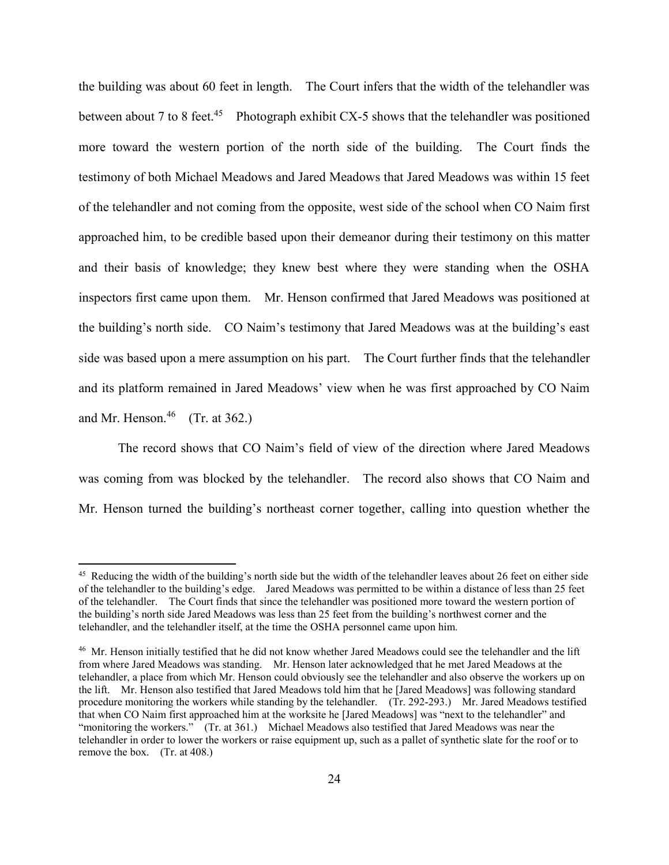the building was about 60 feet in length. The Court infers that the width of the telehandler was between about 7 to 8 feet.<sup>45</sup> Photograph exhibit CX-5 shows that the telehandler was positioned more toward the western portion of the north side of the building. The Court finds the testimony of both Michael Meadows and Jared Meadows that Jared Meadows was within 15 feet of the telehandler and not coming from the opposite, west side of the school when CO Naim first approached him, to be credible based upon their demeanor during their testimony on this matter and their basis of knowledge; they knew best where they were standing when the OSHA inspectors first came upon them. Mr. Henson confirmed that Jared Meadows was positioned at the building's north side. CO Naim's testimony that Jared Meadows was at the building's east side was based upon a mere assumption on his part. The Court further finds that the telehandler and its platform remained in Jared Meadows' view when he was first approached by CO Naim and Mr. Henson.<sup>46</sup> (Tr. at 362.)

The record shows that CO Naim's field of view of the direction where Jared Meadows was coming from was blocked by the telehandler. The record also shows that CO Naim and Mr. Henson turned the building's northeast corner together, calling into question whether the

 $45$  Reducing the width of the building's north side but the width of the telehandler leaves about 26 feet on either side of the telehandler to the building's edge. Jared Meadows was permitted to be within a distance of less than 25 feet of the telehandler. The Court finds that since the telehandler was positioned more toward the western portion of the building's north side Jared Meadows was less than 25 feet from the building's northwest corner and the telehandler, and the telehandler itself, at the time the OSHA personnel came upon him.

<sup>&</sup>lt;sup>46</sup> Mr. Henson initially testified that he did not know whether Jared Meadows could see the telehandler and the lift from where Jared Meadows was standing. Mr. Henson later acknowledged that he met Jared Meadows at the telehandler, a place from which Mr. Henson could obviously see the telehandler and also observe the workers up on the lift. Mr. Henson also testified that Jared Meadows told him that he [Jared Meadows] was following standard procedure monitoring the workers while standing by the telehandler. (Tr. 292-293.) Mr. Jared Meadows testified that when CO Naim first approached him at the worksite he [Jared Meadows] was "next to the telehandler" and "monitoring the workers." (Tr. at 361.) Michael Meadows also testified that Jared Meadows was near the telehandler in order to lower the workers or raise equipment up, such as a pallet of synthetic slate for the roof or to remove the box. (Tr. at 408.)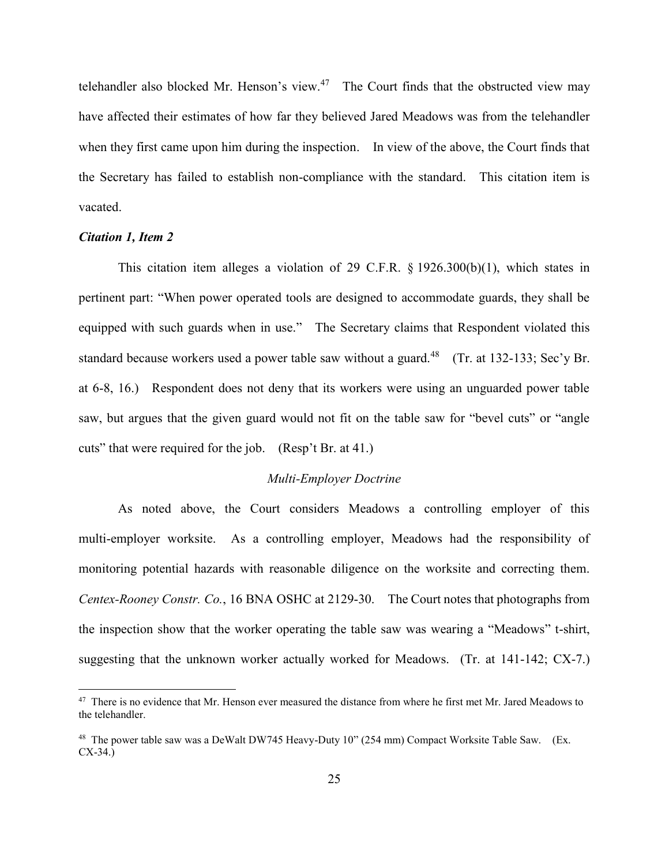telehandler also blocked Mr. Henson's view. $47$  The Court finds that the obstructed view may have affected their estimates of how far they believed Jared Meadows was from the telehandler when they first came upon him during the inspection. In view of the above, the Court finds that the Secretary has failed to establish non-compliance with the standard. This citation item is vacated.

### *Citation 1, Item 2*

 $\overline{a}$ 

This citation item alleges a violation of 29 C.F.R. § 1926.300(b)(1), which states in pertinent part: "When power operated tools are designed to accommodate guards, they shall be equipped with such guards when in use." The Secretary claims that Respondent violated this standard because workers used a power table saw without a guard.<sup>48</sup> (Tr. at 132-133; Sec'y Br. at 6-8, 16.) Respondent does not deny that its workers were using an unguarded power table saw, but argues that the given guard would not fit on the table saw for "bevel cuts" or "angle cuts" that were required for the job. (Resp't Br. at 41.)

#### *Multi-Employer Doctrine*

As noted above, the Court considers Meadows a controlling employer of this multi-employer worksite. As a controlling employer, Meadows had the responsibility of monitoring potential hazards with reasonable diligence on the worksite and correcting them. *Centex-Rooney Constr. Co.*, 16 BNA OSHC at 2129-30. The Court notes that photographs from the inspection show that the worker operating the table saw was wearing a "Meadows" t-shirt, suggesting that the unknown worker actually worked for Meadows. (Tr. at 141-142; CX-7.)

<sup>&</sup>lt;sup>47</sup> There is no evidence that Mr. Henson ever measured the distance from where he first met Mr. Jared Meadows to the telehandler.

<sup>&</sup>lt;sup>48</sup> The power table saw was a DeWalt DW745 Heavy-Duty 10" (254 mm) Compact Worksite Table Saw. (Ex. CX-34.)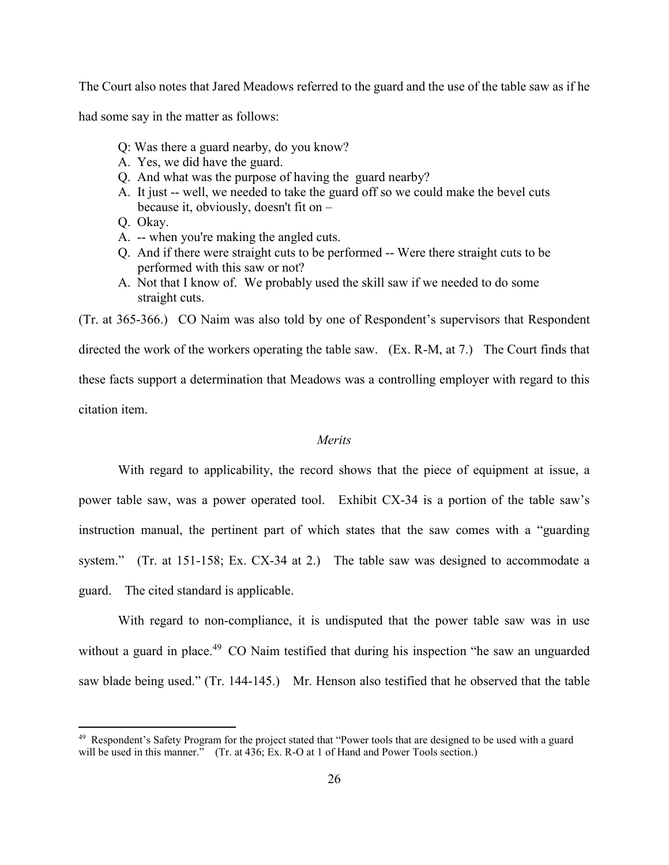The Court also notes that Jared Meadows referred to the guard and the use of the table saw as if he

had some say in the matter as follows:

- Q: Was there a guard nearby, do you know?
- A. Yes, we did have the guard.
- Q. And what was the purpose of having the guard nearby?
- A. It just -- well, we needed to take the guard off so we could make the bevel cuts because it, obviously, doesn't fit on –
- Q. Okay.

 $\overline{a}$ 

- A. -- when you're making the angled cuts.
- Q. And if there were straight cuts to be performed -- Were there straight cuts to be performed with this saw or not?
- A. Not that I know of. We probably used the skill saw if we needed to do some straight cuts.

(Tr. at 365-366.) CO Naim was also told by one of Respondent's supervisors that Respondent directed the work of the workers operating the table saw. (Ex. R-M, at 7.) The Court finds that these facts support a determination that Meadows was a controlling employer with regard to this citation item.

# *Merits*

With regard to applicability, the record shows that the piece of equipment at issue, a power table saw, was a power operated tool. Exhibit CX-34 is a portion of the table saw's instruction manual, the pertinent part of which states that the saw comes with a "guarding system." (Tr. at 151-158; Ex. CX-34 at 2.) The table saw was designed to accommodate a guard. The cited standard is applicable.

With regard to non-compliance, it is undisputed that the power table saw was in use without a guard in place.<sup>49</sup> CO Naim testified that during his inspection "he saw an unguarded saw blade being used." (Tr. 144-145.) Mr. Henson also testified that he observed that the table

<sup>&</sup>lt;sup>49</sup> Respondent's Safety Program for the project stated that "Power tools that are designed to be used with a guard will be used in this manner." (Tr. at 436; Ex. R-O at 1 of Hand and Power Tools section.)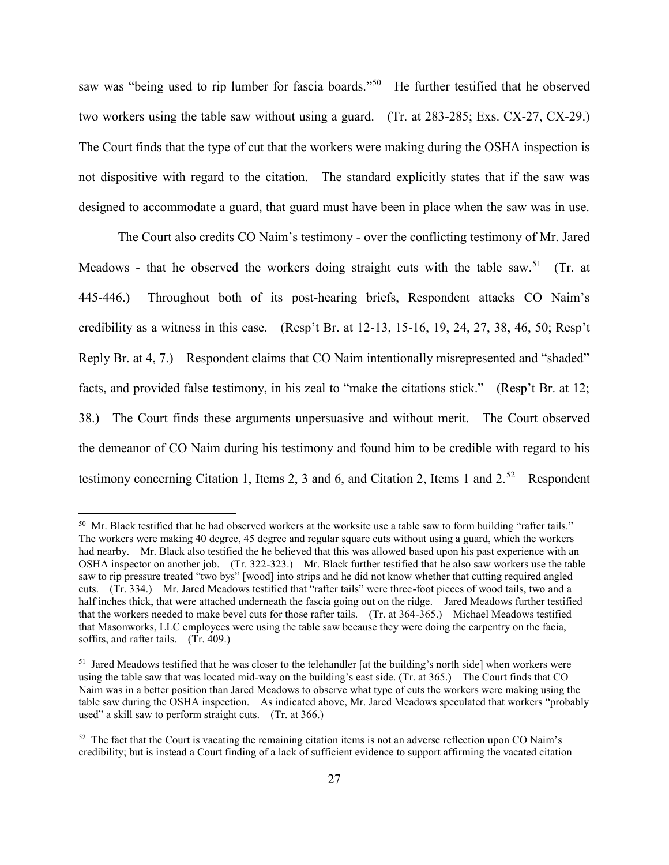saw was "being used to rip lumber for fascia boards."<sup>50</sup> He further testified that he observed two workers using the table saw without using a guard. (Tr. at 283-285; Exs. CX-27, CX-29.) The Court finds that the type of cut that the workers were making during the OSHA inspection is not dispositive with regard to the citation. The standard explicitly states that if the saw was designed to accommodate a guard, that guard must have been in place when the saw was in use.

The Court also credits CO Naim's testimony - over the conflicting testimony of Mr. Jared Meadows - that he observed the workers doing straight cuts with the table saw.<sup>51</sup> (Tr. at 445-446.) Throughout both of its post-hearing briefs, Respondent attacks CO Naim's credibility as a witness in this case. (Resp't Br. at 12-13, 15-16, 19, 24, 27, 38, 46, 50; Resp't Reply Br. at 4, 7.) Respondent claims that CO Naim intentionally misrepresented and "shaded" facts, and provided false testimony, in his zeal to "make the citations stick." (Resp't Br. at 12; 38.) The Court finds these arguments unpersuasive and without merit. The Court observed the demeanor of CO Naim during his testimony and found him to be credible with regard to his testimony concerning Citation 1, Items 2, 3 and 6, and Citation 2, Items 1 and  $2^{52}$  Respondent

 $50$  Mr. Black testified that he had observed workers at the worksite use a table saw to form building "rafter tails." The workers were making 40 degree, 45 degree and regular square cuts without using a guard, which the workers had nearby. Mr. Black also testified the he believed that this was allowed based upon his past experience with an OSHA inspector on another job. (Tr. 322-323.) Mr. Black further testified that he also saw workers use the table saw to rip pressure treated "two bys" [wood] into strips and he did not know whether that cutting required angled cuts. (Tr. 334.) Mr. Jared Meadows testified that "rafter tails" were three-foot pieces of wood tails, two and a half inches thick, that were attached underneath the fascia going out on the ridge. Jared Meadows further testified that the workers needed to make bevel cuts for those rafter tails. (Tr. at 364-365.) Michael Meadows testified that Masonworks, LLC employees were using the table saw because they were doing the carpentry on the facia, soffits, and rafter tails. (Tr. 409.)

 $51$  Jared Meadows testified that he was closer to the telehandler [at the building's north side] when workers were using the table saw that was located mid-way on the building's east side. (Tr. at 365.) The Court finds that CO Naim was in a better position than Jared Meadows to observe what type of cuts the workers were making using the table saw during the OSHA inspection. As indicated above, Mr. Jared Meadows speculated that workers "probably used" a skill saw to perform straight cuts. (Tr. at 366.)

<sup>&</sup>lt;sup>52</sup> The fact that the Court is vacating the remaining citation items is not an adverse reflection upon CO Naim's credibility; but is instead a Court finding of a lack of sufficient evidence to support affirming the vacated citation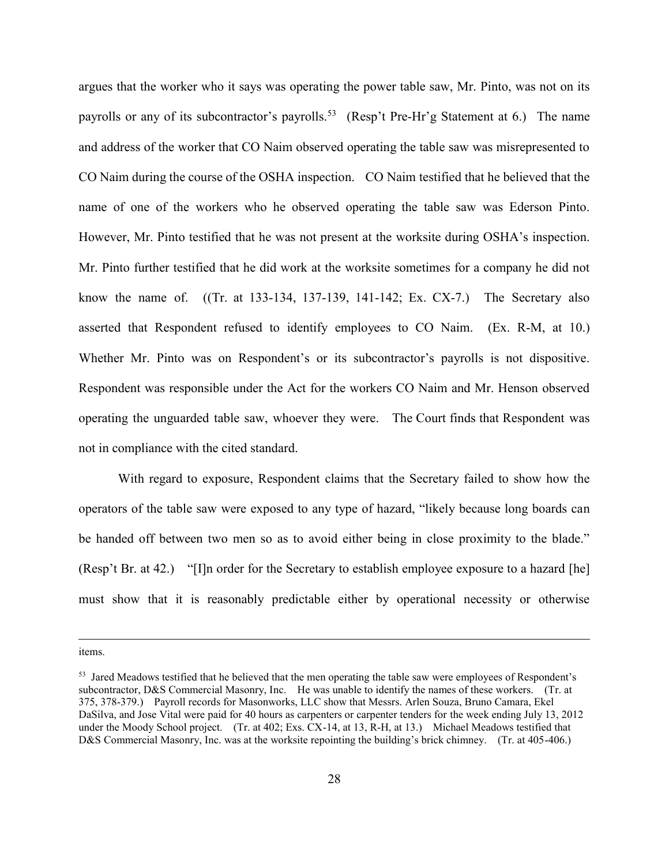argues that the worker who it says was operating the power table saw, Mr. Pinto, was not on its payrolls or any of its subcontractor's payrolls.<sup>53</sup> (Resp't Pre-Hr'g Statement at 6.) The name and address of the worker that CO Naim observed operating the table saw was misrepresented to CO Naim during the course of the OSHA inspection. CO Naim testified that he believed that the name of one of the workers who he observed operating the table saw was Ederson Pinto. However, Mr. Pinto testified that he was not present at the worksite during OSHA's inspection. Mr. Pinto further testified that he did work at the worksite sometimes for a company he did not know the name of. ((Tr. at 133-134, 137-139, 141-142; Ex. CX-7.) The Secretary also asserted that Respondent refused to identify employees to CO Naim. (Ex. R-M, at 10.) Whether Mr. Pinto was on Respondent's or its subcontractor's payrolls is not dispositive. Respondent was responsible under the Act for the workers CO Naim and Mr. Henson observed operating the unguarded table saw, whoever they were. The Court finds that Respondent was not in compliance with the cited standard.

With regard to exposure, Respondent claims that the Secretary failed to show how the operators of the table saw were exposed to any type of hazard, "likely because long boards can be handed off between two men so as to avoid either being in close proximity to the blade." (Resp't Br. at 42.) "[I]n order for the Secretary to establish employee exposure to a hazard [he] must show that it is reasonably predictable either by operational necessity or otherwise

items.

<sup>&</sup>lt;sup>53</sup> Jared Meadows testified that he believed that the men operating the table saw were employees of Respondent's subcontractor, D&S Commercial Masonry, Inc. He was unable to identify the names of these workers. (Tr. at 375, 378-379.) Payroll records for Masonworks, LLC show that Messrs. Arlen Souza, Bruno Camara, Ekel DaSilva, and Jose Vital were paid for 40 hours as carpenters or carpenter tenders for the week ending July 13, 2012 under the Moody School project. (Tr. at 402; Exs. CX-14, at 13, R-H, at 13.) Michael Meadows testified that D&S Commercial Masonry, Inc. was at the worksite repointing the building's brick chimney. (Tr. at 405-406.)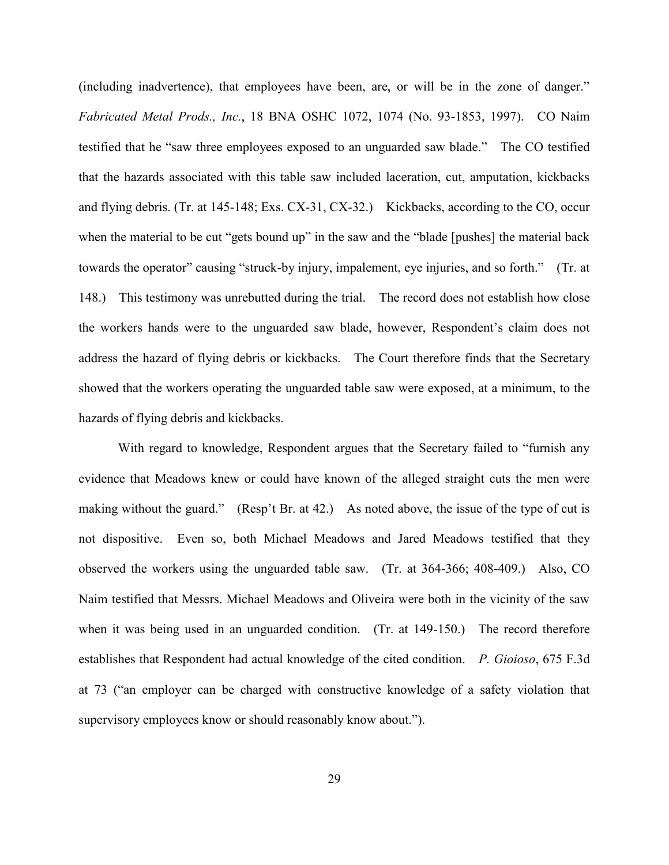(including inadvertence), that employees have been, are, or will be in the zone of danger." *Fabricated Metal Prods., Inc.*, 18 BNA OSHC 1072, 1074 (No. 93-1853, 1997). CO Naim testified that he "saw three employees exposed to an unguarded saw blade." The CO testified that the hazards associated with this table saw included laceration, cut, amputation, kickbacks and flying debris. (Tr. at 145-148; Exs. CX-31, CX-32.) Kickbacks, according to the CO, occur when the material to be cut "gets bound up" in the saw and the "blade [pushes] the material back towards the operator" causing "struck-by injury, impalement, eye injuries, and so forth." (Tr. at 148.) This testimony was unrebutted during the trial. The record does not establish how close the workers hands were to the unguarded saw blade, however, Respondent's claim does not address the hazard of flying debris or kickbacks. The Court therefore finds that the Secretary showed that the workers operating the unguarded table saw were exposed, at a minimum, to the hazards of flying debris and kickbacks.

With regard to knowledge, Respondent argues that the Secretary failed to "furnish any evidence that Meadows knew or could have known of the alleged straight cuts the men were making without the guard." (Resp't Br. at 42.) As noted above, the issue of the type of cut is not dispositive. Even so, both Michael Meadows and Jared Meadows testified that they observed the workers using the unguarded table saw. (Tr. at 364-366; 408-409.) Also, CO Naim testified that Messrs. Michael Meadows and Oliveira were both in the vicinity of the saw when it was being used in an unguarded condition. (Tr. at 149-150.) The record therefore establishes that Respondent had actual knowledge of the cited condition. *P. Gioioso*, 675 F.3d at 73 ("an employer can be charged with constructive knowledge of a safety violation that supervisory employees know or should reasonably know about.").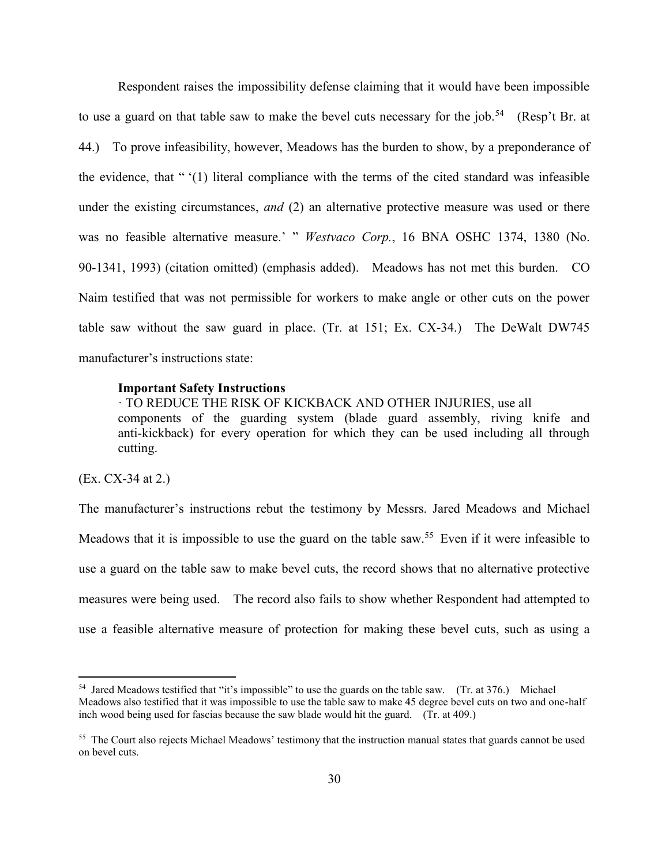Respondent raises the impossibility defense claiming that it would have been impossible to use a guard on that table saw to make the bevel cuts necessary for the job.<sup>54</sup> (Resp't Br. at 44.) To prove infeasibility, however, Meadows has the burden to show, by a preponderance of the evidence, that " '(1) literal compliance with the terms of the cited standard was infeasible under the existing circumstances, *and* (2) an alternative protective measure was used or there was no feasible alternative measure.' " *Westvaco Corp.*, 16 BNA OSHC 1374, 1380 (No. 90-1341, 1993) (citation omitted) (emphasis added). Meadows has not met this burden. CO Naim testified that was not permissible for workers to make angle or other cuts on the power table saw without the saw guard in place. (Tr. at 151; Ex. CX-34.) The DeWalt DW745 manufacturer's instructions state:

#### **Important Safety Instructions**

· TO REDUCE THE RISK OF KICKBACK AND OTHER INJURIES, use all components of the guarding system (blade guard assembly, riving knife and anti-kickback) for every operation for which they can be used including all through cutting.

#### (Ex. CX-34 at 2.)

 $\overline{a}$ 

The manufacturer's instructions rebut the testimony by Messrs. Jared Meadows and Michael Meadows that it is impossible to use the guard on the table saw.<sup>55</sup> Even if it were infeasible to use a guard on the table saw to make bevel cuts, the record shows that no alternative protective measures were being used. The record also fails to show whether Respondent had attempted to use a feasible alternative measure of protection for making these bevel cuts, such as using a

<sup>&</sup>lt;sup>54</sup> Jared Meadows testified that "it's impossible" to use the guards on the table saw. (Tr. at 376.) Michael Meadows also testified that it was impossible to use the table saw to make 45 degree bevel cuts on two and one-half inch wood being used for fascias because the saw blade would hit the guard. (Tr. at 409.)

<sup>&</sup>lt;sup>55</sup> The Court also rejects Michael Meadows' testimony that the instruction manual states that guards cannot be used on bevel cuts.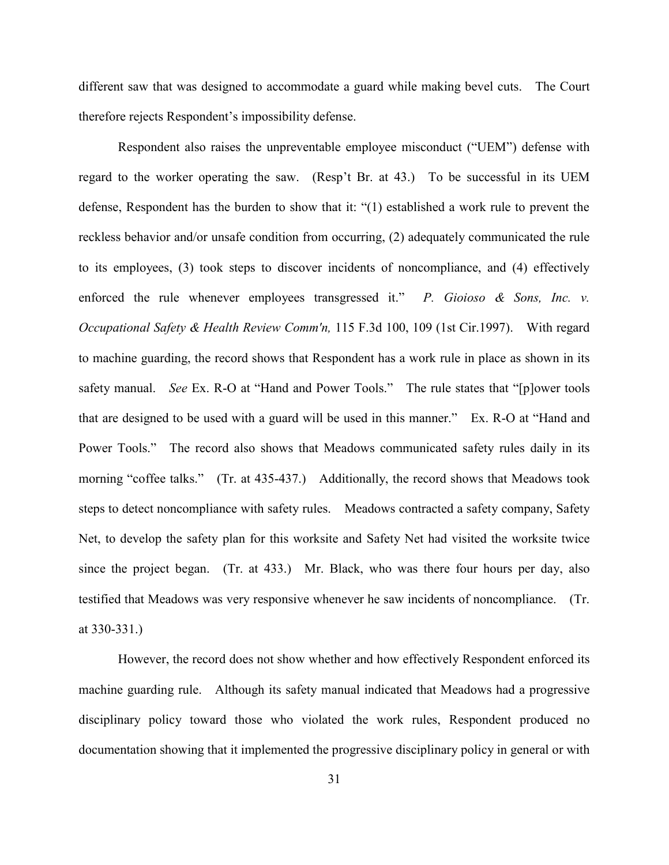different saw that was designed to accommodate a guard while making bevel cuts. The Court therefore rejects Respondent's impossibility defense.

Respondent also raises the unpreventable employee misconduct ("UEM") defense with regard to the worker operating the saw. (Resp't Br. at 43.) To be successful in its UEM defense, Respondent has the burden to show that it: "(1) established a work rule to prevent the reckless behavior and/or unsafe condition from occurring, (2) adequately communicated the rule to its employees, (3) took steps to discover incidents of noncompliance, and (4) effectively enforced the rule whenever employees transgressed it." *P. Gioioso & Sons, Inc. v. Occupational Safety & Health Review Comm'n,* 115 F.3d 100, 109 (1st Cir.1997). With regard to machine guarding, the record shows that Respondent has a work rule in place as shown in its safety manual. *See* Ex. R-O at "Hand and Power Tools." The rule states that "[p]ower tools that are designed to be used with a guard will be used in this manner." Ex. R-O at "Hand and Power Tools." The record also shows that Meadows communicated safety rules daily in its morning "coffee talks." (Tr. at 435-437.) Additionally, the record shows that Meadows took steps to detect noncompliance with safety rules. Meadows contracted a safety company, Safety Net, to develop the safety plan for this worksite and Safety Net had visited the worksite twice since the project began. (Tr. at 433.) Mr. Black, who was there four hours per day, also testified that Meadows was very responsive whenever he saw incidents of noncompliance. (Tr. at 330-331.)

However, the record does not show whether and how effectively Respondent enforced its machine guarding rule. Although its safety manual indicated that Meadows had a progressive disciplinary policy toward those who violated the work rules, Respondent produced no documentation showing that it implemented the progressive disciplinary policy in general or with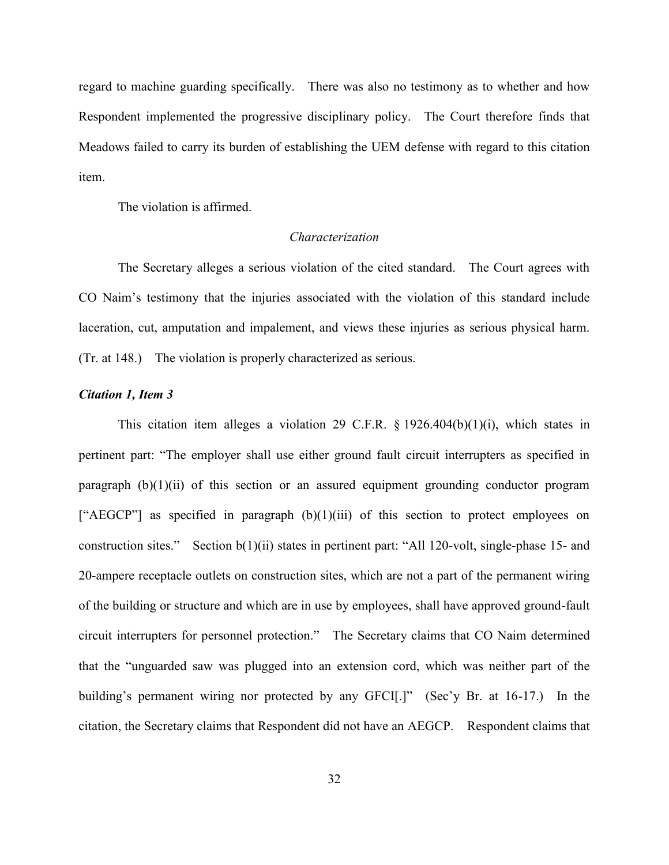regard to machine guarding specifically. There was also no testimony as to whether and how Respondent implemented the progressive disciplinary policy. The Court therefore finds that Meadows failed to carry its burden of establishing the UEM defense with regard to this citation item.

The violation is affirmed.

## *Characterization*

The Secretary alleges a serious violation of the cited standard. The Court agrees with CO Naim's testimony that the injuries associated with the violation of this standard include laceration, cut, amputation and impalement, and views these injuries as serious physical harm. (Tr. at 148.) The violation is properly characterized as serious.

#### *Citation 1, Item 3*

This citation item alleges a violation 29 C.F.R.  $\S 1926.404(b)(1)(i)$ , which states in pertinent part: "The employer shall use either ground fault circuit interrupters as specified in paragraph  $(b)(1)(ii)$  of this section or an assured equipment grounding conductor program ["AEGCP"] as specified in paragraph  $(b)(1)(iii)$  of this section to protect employees on construction sites." Section b(1)(ii) states in pertinent part: "All 120-volt, single-phase 15- and 20-ampere receptacle outlets on construction sites, which are not a part of the permanent wiring of the building or structure and which are in use by employees, shall have approved ground-fault circuit interrupters for personnel protection." The Secretary claims that CO Naim determined that the "unguarded saw was plugged into an extension cord, which was neither part of the building's permanent wiring nor protected by any GFCI.]" (Sec'y Br. at 16-17.) In the citation, the Secretary claims that Respondent did not have an AEGCP. Respondent claims that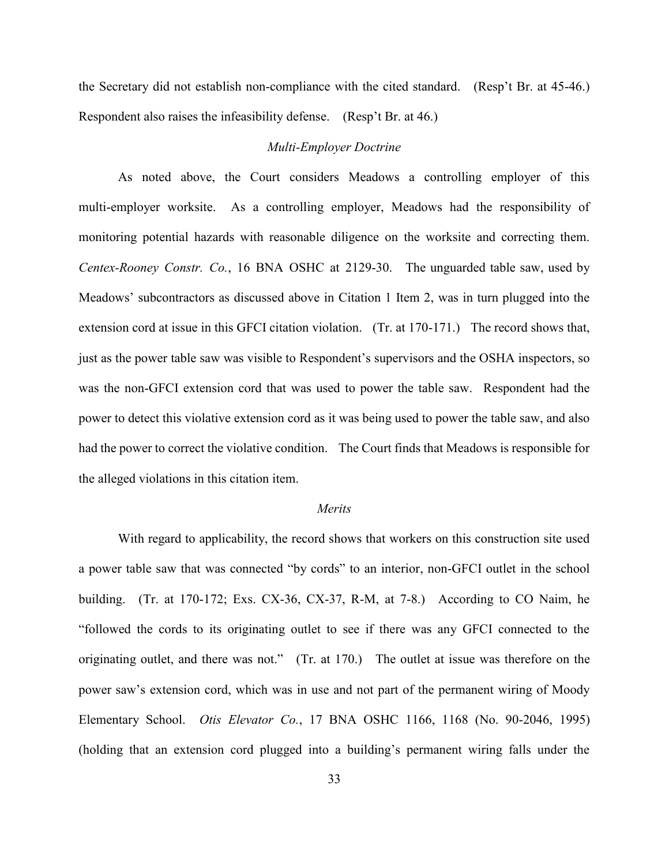the Secretary did not establish non-compliance with the cited standard. (Resp't Br. at 45-46.) Respondent also raises the infeasibility defense. (Resp't Br. at 46.)

## *Multi-Employer Doctrine*

As noted above, the Court considers Meadows a controlling employer of this multi-employer worksite. As a controlling employer, Meadows had the responsibility of monitoring potential hazards with reasonable diligence on the worksite and correcting them. *Centex-Rooney Constr. Co.*, 16 BNA OSHC at 2129-30. The unguarded table saw, used by Meadows' subcontractors as discussed above in Citation 1 Item 2, was in turn plugged into the extension cord at issue in this GFCI citation violation. (Tr. at 170-171.) The record shows that, just as the power table saw was visible to Respondent's supervisors and the OSHA inspectors, so was the non-GFCI extension cord that was used to power the table saw. Respondent had the power to detect this violative extension cord as it was being used to power the table saw, and also had the power to correct the violative condition. The Court finds that Meadows is responsible for the alleged violations in this citation item.

#### *Merits*

With regard to applicability, the record shows that workers on this construction site used a power table saw that was connected "by cords" to an interior, non-GFCI outlet in the school building. (Tr. at 170-172; Exs. CX-36, CX-37, R-M, at 7-8.) According to CO Naim, he "followed the cords to its originating outlet to see if there was any GFCI connected to the originating outlet, and there was not." (Tr. at 170.) The outlet at issue was therefore on the power saw's extension cord, which was in use and not part of the permanent wiring of Moody Elementary School. *Otis Elevator Co.*[, 17 BNA OSHC 1166,](http://web2.westlaw.com/find/default.wl?mt=LaborAndEmployment&db=0003227&rs=WLW14.01&tc=-1&rp=%2ffind%2fdefault.wl&findtype=Y&ordoc=2027162411&serialnum=1995533480&vr=2.0&fn=_top&sv=Split&tf=-1&referencepositiontype=S&pbc=B796360A&referenceposition=1167&utid=1) 1168 (No. 90-2046, 1995) (holding that an extension cord plugged into a building's permanent wiring falls under the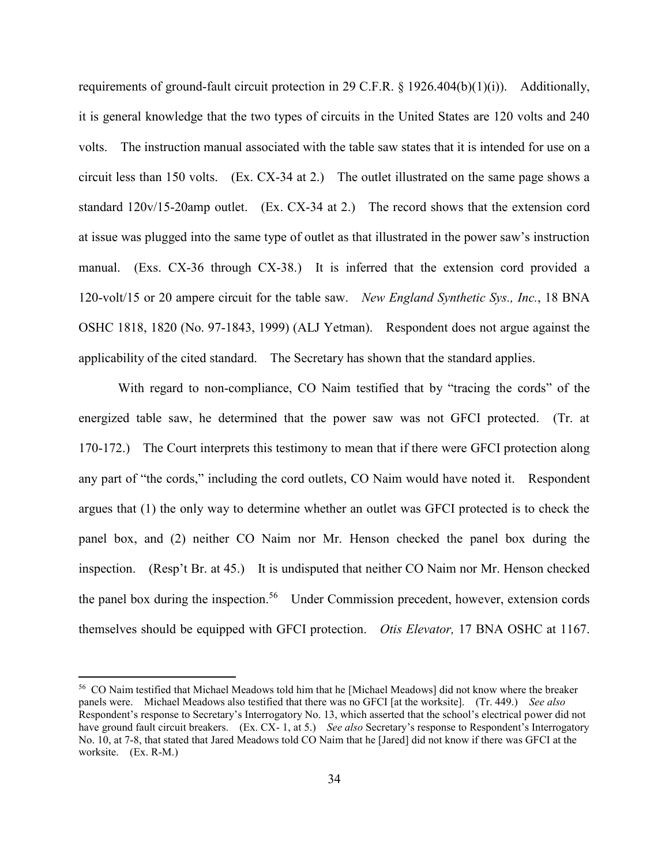requirements of ground-fault circuit protection in 29 C.F.R. § 1926.404(b)(1)(i)). Additionally, it is general knowledge that the two types of circuits in the United States are 120 volts and 240 volts. The instruction manual associated with the table saw states that it is intended for use on a circuit less than 150 volts. (Ex. CX-34 at 2.) The outlet illustrated on the same page shows a standard 120v/15-20amp outlet. (Ex. CX-34 at 2.) The record shows that the extension cord at issue was plugged into the same type of outlet as that illustrated in the power saw's instruction manual. (Exs. CX-36 through CX-38.) It is inferred that the extension cord provided a 120-volt/15 or 20 ampere circuit for the table saw. *New England Synthetic Sys., Inc.*, 18 BNA OSHC 1818, 1820 (No. 97-1843, 1999) (ALJ Yetman). Respondent does not argue against the applicability of the cited standard. The Secretary has shown that the standard applies.

With regard to non-compliance, CO Naim testified that by "tracing the cords" of the energized table saw, he determined that the power saw was not GFCI protected. (Tr. at 170-172.) The Court interprets this testimony to mean that if there were GFCI protection along any part of "the cords," including the cord outlets, CO Naim would have noted it. Respondent argues that (1) the only way to determine whether an outlet was GFCI protected is to check the panel box, and (2) neither CO Naim nor Mr. Henson checked the panel box during the inspection. (Resp't Br. at 45.) It is undisputed that neither CO Naim nor Mr. Henson checked the panel box during the inspection.<sup>56</sup> Under Commission precedent, however, extension cords themselves should be equipped with GFCI protection. *Otis Elevator,* 17 BNA OSHC at 1167.

<sup>56</sup> CO Naim testified that Michael Meadows told him that he [Michael Meadows] did not know where the breaker panels were. Michael Meadows also testified that there was no GFCI [at the worksite]. (Tr. 449.) *See also*  Respondent's response to Secretary's Interrogatory No. 13, which asserted that the school's electrical power did not have ground fault circuit breakers. (Ex. CX- 1, at 5.) *See also* Secretary's response to Respondent's Interrogatory No. 10, at 7-8, that stated that Jared Meadows told CO Naim that he [Jared] did not know if there was GFCI at the worksite. (Ex. R-M.)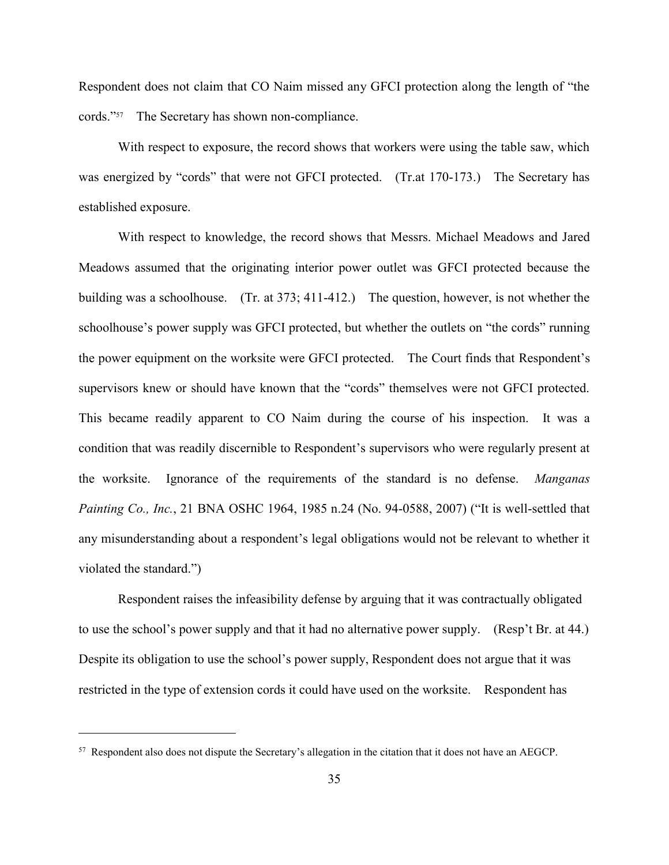Respondent does not claim that CO Naim missed any GFCI protection along the length of "the cords."<sup>57</sup> The Secretary has shown non-compliance.

With respect to exposure, the record shows that workers were using the table saw, which was energized by "cords" that were not GFCI protected. (Tr.at 170-173.) The Secretary has established exposure.

With respect to knowledge, the record shows that Messrs. Michael Meadows and Jared Meadows assumed that the originating interior power outlet was GFCI protected because the building was a schoolhouse. (Tr. at 373; 411-412.) The question, however, is not whether the schoolhouse's power supply was GFCI protected, but whether the outlets on "the cords" running the power equipment on the worksite were GFCI protected. The Court finds that Respondent's supervisors knew or should have known that the "cords" themselves were not GFCI protected. This became readily apparent to CO Naim during the course of his inspection. It was a condition that was readily discernible to Respondent's supervisors who were regularly present at the worksite. Ignorance of the requirements of the standard is no defense. *Manganas Painting Co., Inc.*, 21 BNA OSHC 1964, 1985 n.24 (No. 94-0588, 2007) ("It is well-settled that any misunderstanding about a respondent's legal obligations would not be relevant to whether it violated the standard.")

Respondent raises the infeasibility defense by arguing that it was contractually obligated to use the school's power supply and that it had no alternative power supply. (Resp't Br. at 44.) Despite its obligation to use the school's power supply, Respondent does not argue that it was restricted in the type of extension cords it could have used on the worksite. Respondent has

<sup>57</sup> Respondent also does not dispute the Secretary's allegation in the citation that it does not have an AEGCP.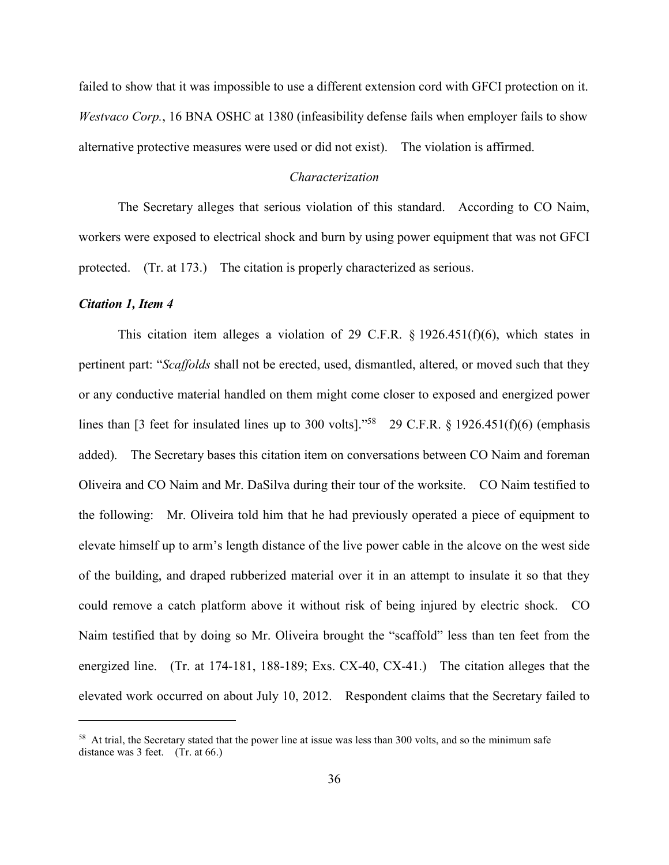failed to show that it was impossible to use a different extension cord with GFCI protection on it. *Westvaco Corp.*, 16 BNA OSHC at 1380 (infeasibility defense fails when employer fails to show alternative protective measures were used or did not exist). The violation is affirmed.

### *Characterization*

The Secretary alleges that serious violation of this standard. According to CO Naim, workers were exposed to electrical shock and burn by using power equipment that was not GFCI protected. (Tr. at 173.) The citation is properly characterized as serious.

### *Citation 1, Item 4*

 $\overline{a}$ 

This citation item alleges a violation of 29 C.F.R.  $\S$  1926.451(f)(6), which states in pertinent part: "*Scaffolds* shall not be erected, used, dismantled, altered, or moved such that they or any conductive material handled on them might come closer to exposed and energized power lines than [3 feet for insulated lines up to 300 volts]."<sup>58</sup> 29 C.F.R. § 1926.451(f)(6) (emphasis added). The Secretary bases this citation item on conversations between CO Naim and foreman Oliveira and CO Naim and Mr. DaSilva during their tour of the worksite. CO Naim testified to the following: Mr. Oliveira told him that he had previously operated a piece of equipment to elevate himself up to arm's length distance of the live power cable in the alcove on the west side of the building, and draped rubberized material over it in an attempt to insulate it so that they could remove a catch platform above it without risk of being injured by electric shock. CO Naim testified that by doing so Mr. Oliveira brought the "scaffold" less than ten feet from the energized line. (Tr. at 174-181, 188-189; Exs. CX-40, CX-41.) The citation alleges that the elevated work occurred on about July 10, 2012. Respondent claims that the Secretary failed to

<sup>&</sup>lt;sup>58</sup> At trial, the Secretary stated that the power line at issue was less than 300 volts, and so the minimum safe distance was 3 feet. (Tr. at 66.)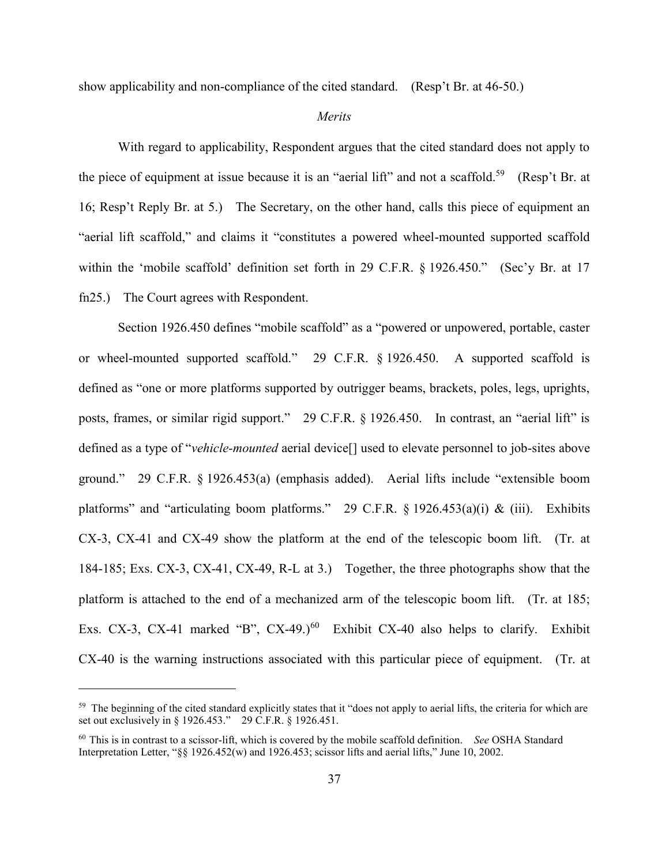show applicability and non-compliance of the cited standard. (Resp't Br. at 46-50.)

### *Merits*

With regard to applicability, Respondent argues that the cited standard does not apply to the piece of equipment at issue because it is an "aerial lift" and not a scaffold.<sup>59</sup> (Resp't Br. at 16; Resp't Reply Br. at 5.) The Secretary, on the other hand, calls this piece of equipment an "aerial lift scaffold," and claims it "constitutes a powered wheel-mounted supported scaffold within the 'mobile scaffold' definition set forth in 29 C.F.R. § 1926.450." (Sec'y Br. at 17 fn25.) The Court agrees with Respondent.

Section 1926.450 defines "mobile scaffold" as a "powered or unpowered, portable, caster or wheel-mounted supported scaffold." 29 C.F.R. § 1926.450. A supported scaffold is defined as "one or more platforms supported by outrigger beams, brackets, poles, legs, uprights, posts, frames, or similar rigid support." 29 C.F.R. § 1926.450. In contrast, an "aerial lift" is defined as a type of "*vehicle-mounted* aerial device[] used to elevate personnel to job-sites above ground." 29 C.F.R. § 1926.453(a) (emphasis added). Aerial lifts include "extensible boom platforms" and "articulating boom platforms." 29 C.F.R.  $\S$  1926.453(a)(i) & (iii). Exhibits CX-3, CX-41 and CX-49 show the platform at the end of the telescopic boom lift. (Tr. at 184-185; Exs. CX-3, CX-41, CX-49, R-L at 3.) Together, the three photographs show that the platform is attached to the end of a mechanized arm of the telescopic boom lift. (Tr. at 185; Exs. CX-3, CX-41 marked "B", CX-49.)<sup>60</sup> Exhibit CX-40 also helps to clarify. Exhibit CX-40 is the warning instructions associated with this particular piece of equipment. (Tr. at

<sup>&</sup>lt;sup>59</sup> The beginning of the cited standard explicitly states that it "does not apply to aerial lifts, the criteria for which are set out exclusively in § 1926.453." 29 C.F.R. § 1926.451.

<sup>60</sup> This is in contrast to a scissor-lift, which is covered by the mobile scaffold definition. *See* OSHA Standard Interpretation Letter, "§§ 1926.452(w) and 1926.453; scissor lifts and aerial lifts," June 10, 2002.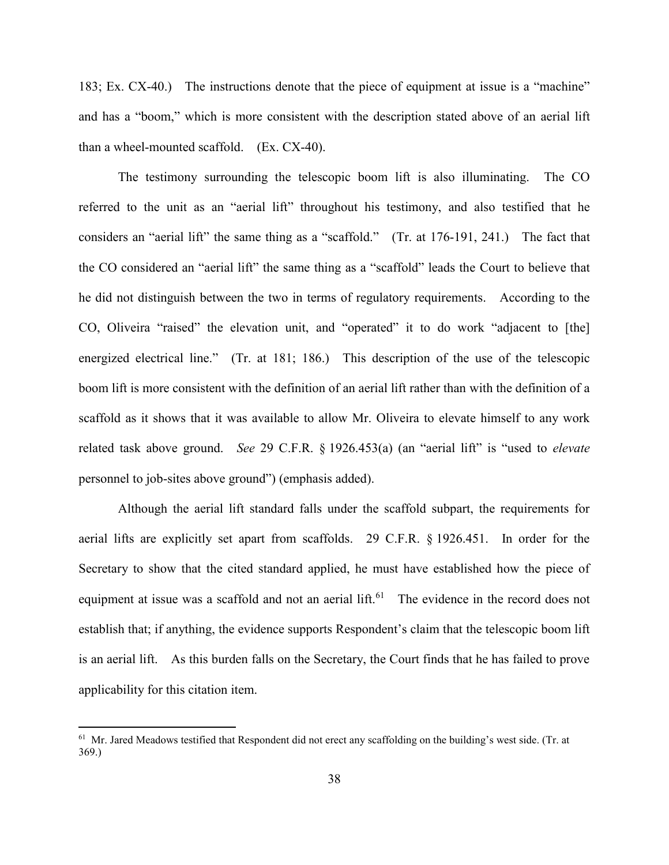183; Ex. CX-40.) The instructions denote that the piece of equipment at issue is a "machine" and has a "boom," which is more consistent with the description stated above of an aerial lift than a wheel-mounted scaffold. (Ex. CX-40).

The testimony surrounding the telescopic boom lift is also illuminating. The CO referred to the unit as an "aerial lift" throughout his testimony, and also testified that he considers an "aerial lift" the same thing as a "scaffold." (Tr. at 176-191, 241.) The fact that the CO considered an "aerial lift" the same thing as a "scaffold" leads the Court to believe that he did not distinguish between the two in terms of regulatory requirements. According to the CO, Oliveira "raised" the elevation unit, and "operated" it to do work "adjacent to [the] energized electrical line." (Tr. at 181; 186.) This description of the use of the telescopic boom lift is more consistent with the definition of an aerial lift rather than with the definition of a scaffold as it shows that it was available to allow Mr. Oliveira to elevate himself to any work related task above ground. *See* 29 C.F.R. § 1926.453(a) (an "aerial lift" is "used to *elevate* personnel to job-sites above ground") (emphasis added).

Although the aerial lift standard falls under the scaffold subpart, the requirements for aerial lifts are explicitly set apart from scaffolds. 29 C.F.R. § 1926.451. In order for the Secretary to show that the cited standard applied, he must have established how the piece of equipment at issue was a scaffold and not an aerial lift.<sup>61</sup> The evidence in the record does not establish that; if anything, the evidence supports Respondent's claim that the telescopic boom lift is an aerial lift. As this burden falls on the Secretary, the Court finds that he has failed to prove applicability for this citation item.

<sup>&</sup>lt;sup>61</sup> Mr. Jared Meadows testified that Respondent did not erect any scaffolding on the building's west side. (Tr. at 369.)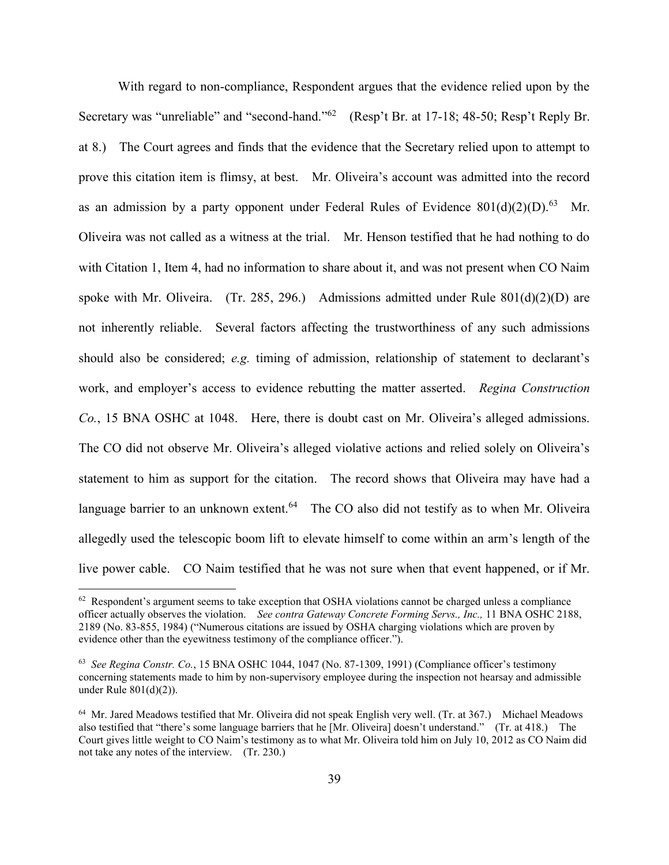With regard to non-compliance, Respondent argues that the evidence relied upon by the Secretary was "unreliable" and "second-hand."<sup>62</sup> (Resp't Br. at 17-18; 48-50; Resp't Reply Br. at 8.) The Court agrees and finds that the evidence that the Secretary relied upon to attempt to prove this citation item is flimsy, at best. Mr. Oliveira's account was admitted into the record as an admission by a party opponent under Federal Rules of Evidence  $801(d)(2)(D)^{63}$  Mr. Oliveira was not called as a witness at the trial. Mr. Henson testified that he had nothing to do with Citation 1, Item 4, had no information to share about it, and was not present when CO Naim spoke with Mr. Oliveira. (Tr. 285, 296.) Admissions admitted under Rule  $801(d)(2)(D)$  are not inherently reliable. Several factors affecting the trustworthiness of any such admissions should also be considered; *e.g.* timing of admission, relationship of statement to declarant's work, and employer's access to evidence rebutting the matter asserted. *Regina Construction Co.*, 15 BNA OSHC at 1048. Here, there is doubt cast on Mr. Oliveira's alleged admissions. The CO did not observe Mr. Oliveira's alleged violative actions and relied solely on Oliveira's statement to him as support for the citation. The record shows that Oliveira may have had a language barrier to an unknown extent.<sup>64</sup> The CO also did not testify as to when Mr. Oliveira allegedly used the telescopic boom lift to elevate himself to come within an arm's length of the live power cable. CO Naim testified that he was not sure when that event happened, or if Mr.

 $62$  Respondent's argument seems to take exception that OSHA violations cannot be charged unless a compliance officer actually observes the violation. *See contra Gateway Concrete Forming Servs., Inc.,* 11 BNA OSHC 2188, 2189 (No. 83-855, 1984) ("Numerous citations are issued by OSHA charging violations which are proven by evidence other than the eyewitness testimony of the compliance officer.").

<sup>63</sup> *See Regina Constr. Co.*, 15 BNA OSHC 1044, 1047 (No. 87-1309, 1991) (Compliance officer's testimony concerning statements made to him by non-supervisory employee during the inspection not hearsay and admissible under Rule 801(d)(2)).

<sup>&</sup>lt;sup>64</sup> Mr. Jared Meadows testified that Mr. Oliveira did not speak English very well. (Tr. at 367.) Michael Meadows also testified that "there's some language barriers that he [Mr. Oliveira] doesn't understand." (Tr. at 418.) The Court gives little weight to CO Naim's testimony as to what Mr. Oliveira told him on July 10, 2012 as CO Naim did not take any notes of the interview. (Tr. 230.)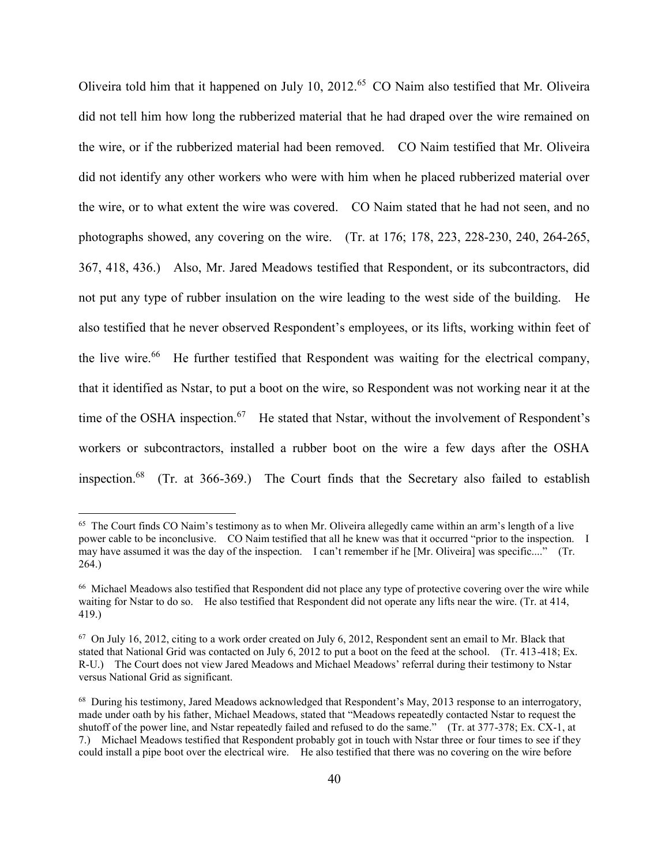Oliveira told him that it happened on July 10, 2012.<sup>65</sup> CO Naim also testified that Mr. Oliveira did not tell him how long the rubberized material that he had draped over the wire remained on the wire, or if the rubberized material had been removed. CO Naim testified that Mr. Oliveira did not identify any other workers who were with him when he placed rubberized material over the wire, or to what extent the wire was covered. CO Naim stated that he had not seen, and no photographs showed, any covering on the wire. (Tr. at 176; 178, 223, 228-230, 240, 264-265, 367, 418, 436.) Also, Mr. Jared Meadows testified that Respondent, or its subcontractors, did not put any type of rubber insulation on the wire leading to the west side of the building. He also testified that he never observed Respondent's employees, or its lifts, working within feet of the live wire.<sup>66</sup> He further testified that Respondent was waiting for the electrical company, that it identified as Nstar, to put a boot on the wire, so Respondent was not working near it at the time of the OSHA inspection.<sup>67</sup> He stated that Nstar, without the involvement of Respondent's workers or subcontractors, installed a rubber boot on the wire a few days after the OSHA inspection.<sup>68</sup> (Tr. at 366-369.) The Court finds that the Secretary also failed to establish

 $65$  The Court finds CO Naim's testimony as to when Mr. Oliveira allegedly came within an arm's length of a live power cable to be inconclusive. CO Naim testified that all he knew was that it occurred "prior to the inspection. I may have assumed it was the day of the inspection. I can't remember if he [Mr. Oliveira] was specific...." (Tr. 264.)

<sup>&</sup>lt;sup>66</sup> Michael Meadows also testified that Respondent did not place any type of protective covering over the wire while waiting for Nstar to do so. He also testified that Respondent did not operate any lifts near the wire. (Tr. at 414, 419.)

 $67$  On July 16, 2012, citing to a work order created on July 6, 2012, Respondent sent an email to Mr. Black that stated that National Grid was contacted on July 6, 2012 to put a boot on the feed at the school. (Tr. 413-418; Ex. R-U.) The Court does not view Jared Meadows and Michael Meadows' referral during their testimony to Nstar versus National Grid as significant.

<sup>&</sup>lt;sup>68</sup> During his testimony, Jared Meadows acknowledged that Respondent's May, 2013 response to an interrogatory, made under oath by his father, Michael Meadows, stated that "Meadows repeatedly contacted Nstar to request the shutoff of the power line, and Nstar repeatedly failed and refused to do the same." (Tr. at 377-378; Ex. CX-1, at 7.) Michael Meadows testified that Respondent probably got in touch with Nstar three or four times to see if they could install a pipe boot over the electrical wire. He also testified that there was no covering on the wire before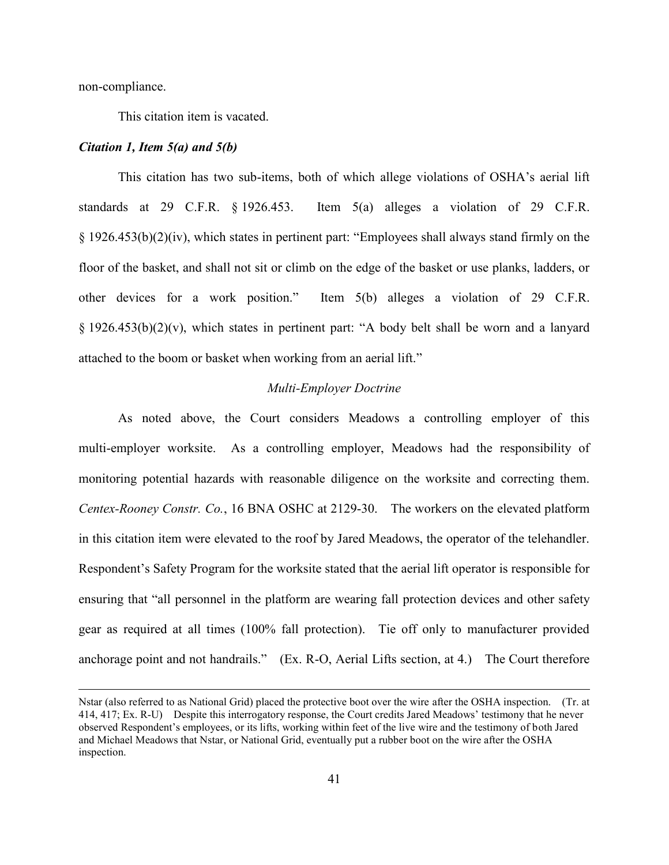non-compliance.

 $\overline{a}$ 

This citation item is vacated.

#### *Citation 1, Item 5(a) and 5(b)*

This citation has two sub-items, both of which allege violations of OSHA's aerial lift standards at 29 C.F.R. § 1926.453. Item 5(a) alleges a violation of 29 C.F.R. § 1926.453(b)(2)(iv), which states in pertinent part: "Employees shall always stand firmly on the floor of the basket, and shall not sit or climb on the edge of the basket or use planks, ladders, or other devices for a work position." Item 5(b) alleges a violation of 29 C.F.R. § 1926.453(b)(2)(v), which states in pertinent part: "A body belt shall be worn and a lanyard attached to the boom or basket when working from an aerial lift."

### *Multi-Employer Doctrine*

As noted above, the Court considers Meadows a controlling employer of this multi-employer worksite. As a controlling employer, Meadows had the responsibility of monitoring potential hazards with reasonable diligence on the worksite and correcting them. *Centex-Rooney Constr. Co.*, 16 BNA OSHC at 2129-30. The workers on the elevated platform in this citation item were elevated to the roof by Jared Meadows, the operator of the telehandler. Respondent's Safety Program for the worksite stated that the aerial lift operator is responsible for ensuring that "all personnel in the platform are wearing fall protection devices and other safety gear as required at all times (100% fall protection). Tie off only to manufacturer provided anchorage point and not handrails." (Ex. R-O, Aerial Lifts section, at 4.) The Court therefore

Nstar (also referred to as National Grid) placed the protective boot over the wire after the OSHA inspection. (Tr. at 414, 417; Ex. R-U) Despite this interrogatory response, the Court credits Jared Meadows' testimony that he never observed Respondent's employees, or its lifts, working within feet of the live wire and the testimony of both Jared and Michael Meadows that Nstar, or National Grid, eventually put a rubber boot on the wire after the OSHA inspection.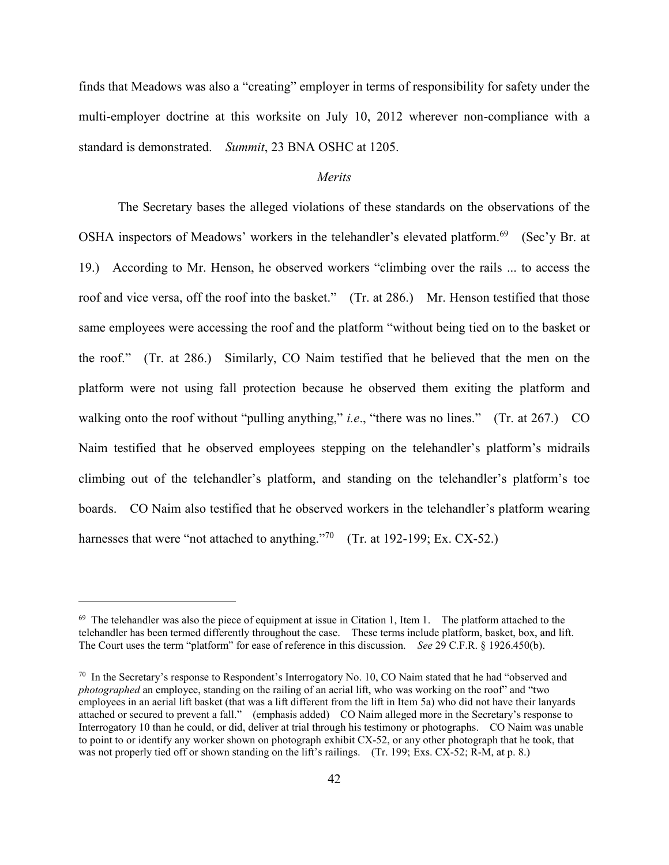finds that Meadows was also a "creating" employer in terms of responsibility for safety under the multi-employer doctrine at this worksite on July 10, 2012 wherever non-compliance with a standard is demonstrated. *Summit*, 23 BNA OSHC at 1205.

### *Merits*

The Secretary bases the alleged violations of these standards on the observations of the OSHA inspectors of Meadows' workers in the telehandler's elevated platform.<sup>69</sup> (Sec'y Br. at 19.) According to Mr. Henson, he observed workers "climbing over the rails ... to access the roof and vice versa, off the roof into the basket." (Tr. at 286.) Mr. Henson testified that those same employees were accessing the roof and the platform "without being tied on to the basket or the roof." (Tr. at 286.) Similarly, CO Naim testified that he believed that the men on the platform were not using fall protection because he observed them exiting the platform and walking onto the roof without "pulling anything," *i.e.*, "there was no lines." (Tr. at 267.) CO Naim testified that he observed employees stepping on the telehandler's platform's midrails climbing out of the telehandler's platform, and standing on the telehandler's platform's toe boards. CO Naim also testified that he observed workers in the telehandler's platform wearing harnesses that were "not attached to anything."<sup>70</sup> (Tr. at 192-199; Ex. CX-52.)

 $69$  The telehandler was also the piece of equipment at issue in Citation 1, Item 1. The platform attached to the telehandler has been termed differently throughout the case. These terms include platform, basket, box, and lift. The Court uses the term "platform" for ease of reference in this discussion. *See* 29 C.F.R. § 1926.450(b).

 $70$  In the Secretary's response to Respondent's Interrogatory No. 10, CO Naim stated that he had "observed and" *photographed* an employee, standing on the railing of an aerial lift, who was working on the roof" and "two employees in an aerial lift basket (that was a lift different from the lift in Item 5a) who did not have their lanyards attached or secured to prevent a fall." (emphasis added) CO Naim alleged more in the Secretary's response to Interrogatory 10 than he could, or did, deliver at trial through his testimony or photographs. CO Naim was unable to point to or identify any worker shown on photograph exhibit CX-52, or any other photograph that he took, that was not properly tied off or shown standing on the lift's railings. (Tr. 199; Exs. CX-52; R-M, at p. 8.)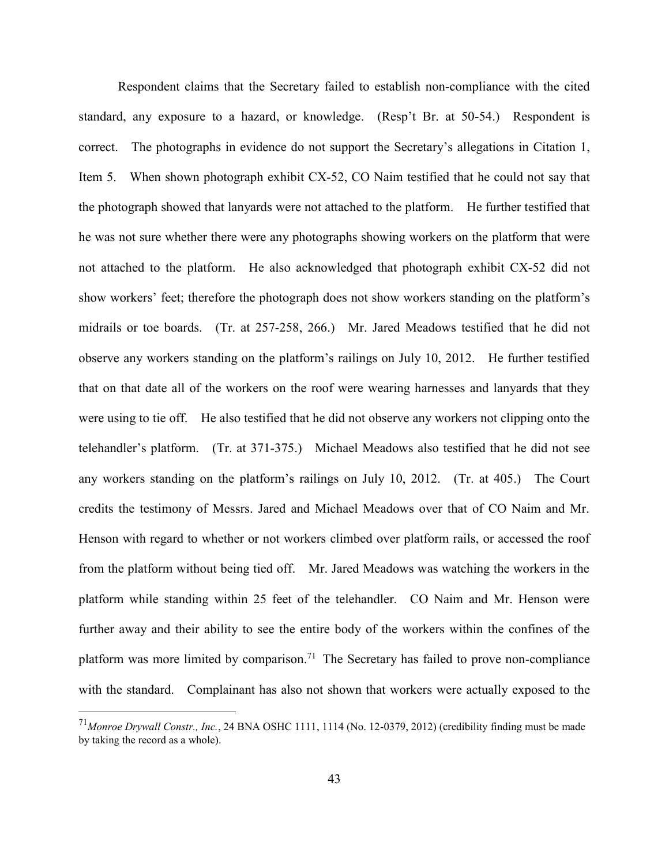Respondent claims that the Secretary failed to establish non-compliance with the cited standard, any exposure to a hazard, or knowledge. (Resp't Br. at 50-54.) Respondent is correct. The photographs in evidence do not support the Secretary's allegations in Citation 1, Item 5. When shown photograph exhibit CX-52, CO Naim testified that he could not say that the photograph showed that lanyards were not attached to the platform. He further testified that he was not sure whether there were any photographs showing workers on the platform that were not attached to the platform. He also acknowledged that photograph exhibit CX-52 did not show workers' feet; therefore the photograph does not show workers standing on the platform's midrails or toe boards. (Tr. at 257-258, 266.) Mr. Jared Meadows testified that he did not observe any workers standing on the platform's railings on July 10, 2012. He further testified that on that date all of the workers on the roof were wearing harnesses and lanyards that they were using to tie off. He also testified that he did not observe any workers not clipping onto the telehandler's platform. (Tr. at 371-375.) Michael Meadows also testified that he did not see any workers standing on the platform's railings on July 10, 2012. (Tr. at 405.) The Court credits the testimony of Messrs. Jared and Michael Meadows over that of CO Naim and Mr. Henson with regard to whether or not workers climbed over platform rails, or accessed the roof from the platform without being tied off. Mr. Jared Meadows was watching the workers in the platform while standing within 25 feet of the telehandler. CO Naim and Mr. Henson were further away and their ability to see the entire body of the workers within the confines of the platform was more limited by comparison.<sup>71</sup> The Secretary has failed to prove non-compliance with the standard. Complainant has also not shown that workers were actually exposed to the

<sup>71</sup>*Monroe Drywall Constr., Inc.*, 24 BNA OSHC 1111, 1114 (No. 12-0379, 2012) (credibility finding must be made by taking the record as a whole).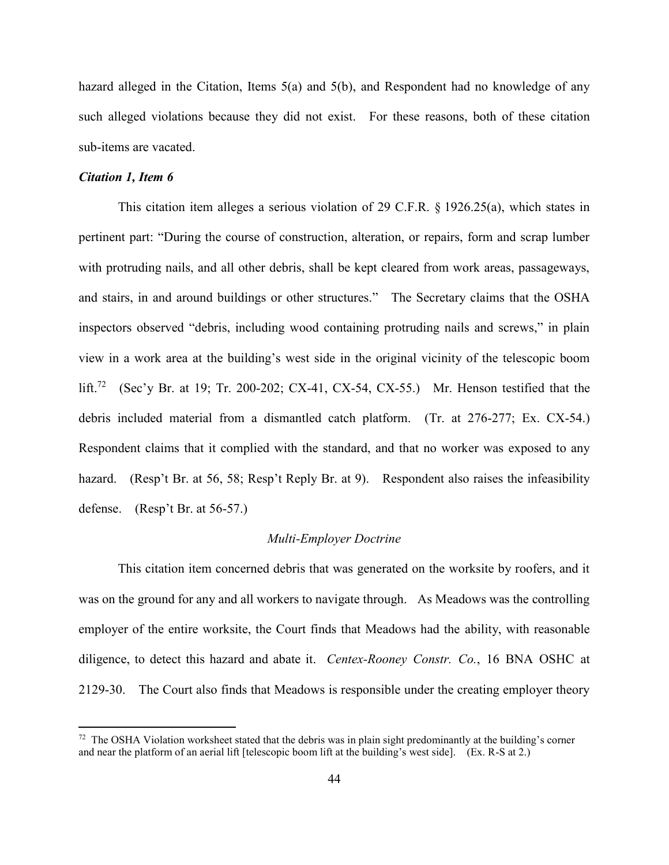hazard alleged in the Citation, Items 5(a) and 5(b), and Respondent had no knowledge of any such alleged violations because they did not exist. For these reasons, both of these citation sub-items are vacated.

### *Citation 1, Item 6*

 $\overline{a}$ 

This citation item alleges a serious violation of 29 C.F.R. § 1926.25(a), which states in pertinent part: "During the course of construction, alteration, or repairs, form and scrap lumber with protruding nails, and all other debris, shall be kept cleared from work areas, passageways, and stairs, in and around buildings or other structures." The Secretary claims that the OSHA inspectors observed "debris, including wood containing protruding nails and screws," in plain view in a work area at the building's west side in the original vicinity of the telescopic boom lift.<sup>72</sup> (Sec'y Br. at 19; Tr. 200-202; CX-41, CX-54, CX-55.) Mr. Henson testified that the debris included material from a dismantled catch platform. (Tr. at 276-277; Ex. CX-54.) Respondent claims that it complied with the standard, and that no worker was exposed to any hazard. (Resp't Br. at 56, 58; Resp't Reply Br. at 9). Respondent also raises the infeasibility defense. (Resp't Br. at 56-57.)

### *Multi-Employer Doctrine*

This citation item concerned debris that was generated on the worksite by roofers, and it was on the ground for any and all workers to navigate through. As Meadows was the controlling employer of the entire worksite, the Court finds that Meadows had the ability, with reasonable diligence, to detect this hazard and abate it. *Centex-Rooney Constr. Co.*, 16 BNA OSHC at 2129-30. The Court also finds that Meadows is responsible under the creating employer theory

 $72$  The OSHA Violation worksheet stated that the debris was in plain sight predominantly at the building's corner and near the platform of an aerial lift [telescopic boom lift at the building's west side]. (Ex. R-S at 2.)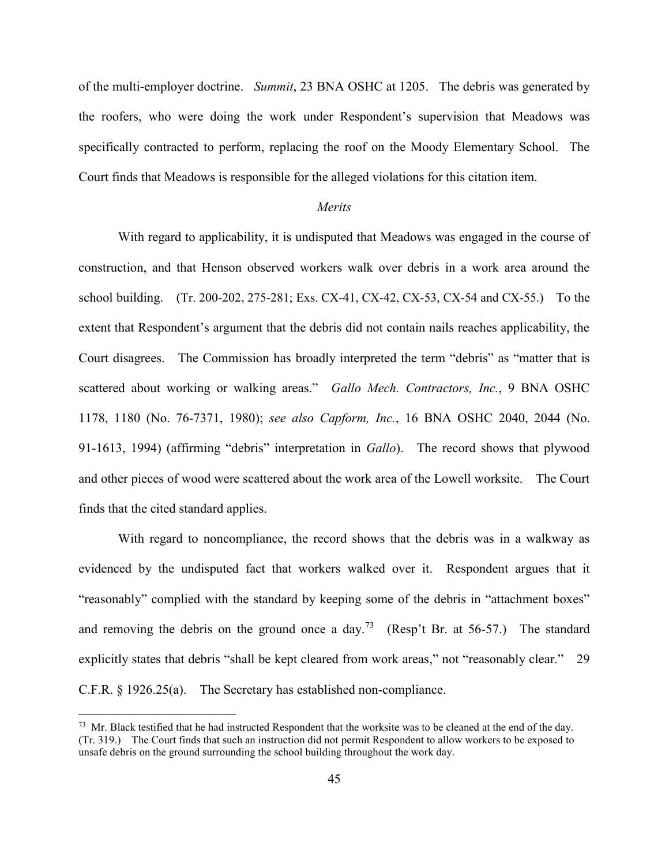of the multi-employer doctrine. *Summit*, 23 BNA OSHC at 1205. The debris was generated by the roofers, who were doing the work under Respondent's supervision that Meadows was specifically contracted to perform, replacing the roof on the Moody Elementary School. The Court finds that Meadows is responsible for the alleged violations for this citation item.

# *Merits*

With regard to applicability, it is undisputed that Meadows was engaged in the course of construction, and that Henson observed workers walk over debris in a work area around the school building. (Tr. 200-202, 275-281; Exs. CX-41, CX-42, CX-53, CX-54 and CX-55.) To the extent that Respondent's argument that the debris did not contain nails reaches applicability, the Court disagrees. The Commission has broadly interpreted the term "debris" as "matter that is scattered about working or walking areas." *Gallo Mech. Contractors, Inc.*, 9 BNA OSHC 1178, 1180 (No. 76-7371, 1980); *see also Capform, Inc.*, 16 BNA OSHC 2040, 2044 (No. 91-1613, 1994) (affirming "debris" interpretation in *Gallo*). The record shows that plywood and other pieces of wood were scattered about the work area of the Lowell worksite. The Court finds that the cited standard applies.

With regard to noncompliance, the record shows that the debris was in a walkway as evidenced by the undisputed fact that workers walked over it. Respondent argues that it "reasonably" complied with the standard by keeping some of the debris in "attachment boxes" and removing the debris on the ground once a day.<sup>73</sup> (Resp't Br. at 56-57.) The standard explicitly states that debris "shall be kept cleared from work areas," not "reasonably clear." 29 C.F.R. § 1926.25(a). The Secretary has established non-compliance.

 $73$  Mr. Black testified that he had instructed Respondent that the worksite was to be cleaned at the end of the day. (Tr. 319.) The Court finds that such an instruction did not permit Respondent to allow workers to be exposed to unsafe debris on the ground surrounding the school building throughout the work day.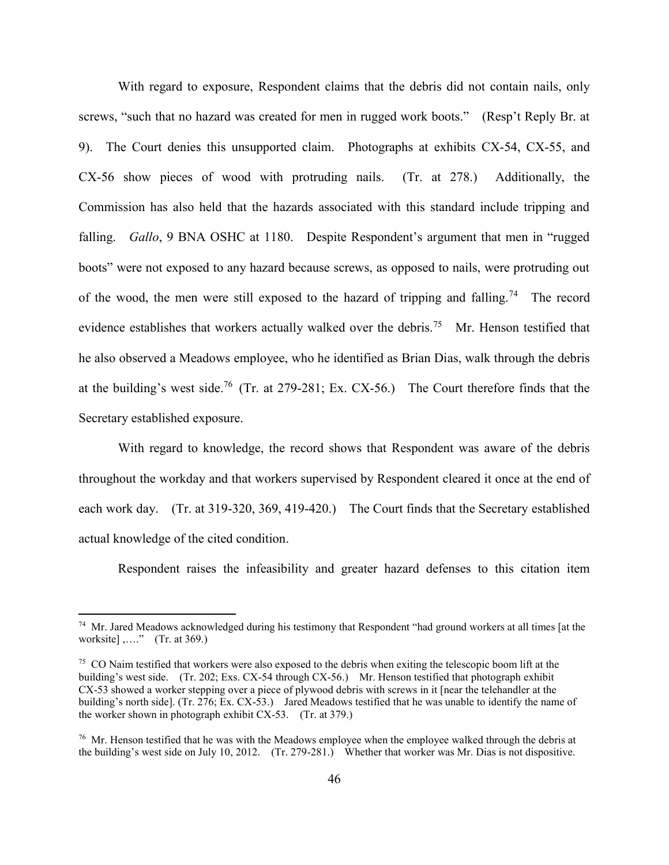With regard to exposure, Respondent claims that the debris did not contain nails, only screws, "such that no hazard was created for men in rugged work boots." (Resp't Reply Br. at 9). The Court denies this unsupported claim. Photographs at exhibits CX-54, CX-55, and CX-56 show pieces of wood with protruding nails. (Tr. at 278.) Additionally, the Commission has also held that the hazards associated with this standard include tripping and falling. *Gallo*, 9 BNA OSHC at 1180. Despite Respondent's argument that men in "rugged boots" were not exposed to any hazard because screws, as opposed to nails, were protruding out of the wood, the men were still exposed to the hazard of tripping and falling.<sup>74</sup> The record evidence establishes that workers actually walked over the debris.<sup>75</sup> Mr. Henson testified that he also observed a Meadows employee, who he identified as Brian Dias, walk through the debris at the building's west side.<sup>76</sup> (Tr. at 279-281; Ex. CX-56.) The Court therefore finds that the Secretary established exposure.

With regard to knowledge, the record shows that Respondent was aware of the debris throughout the workday and that workers supervised by Respondent cleared it once at the end of each work day. (Tr. at 319-320, 369, 419-420.) The Court finds that the Secretary established actual knowledge of the cited condition.

Respondent raises the infeasibility and greater hazard defenses to this citation item

<sup>&</sup>lt;sup>74</sup> Mr. Jared Meadows acknowledged during his testimony that Respondent "had ground workers at all times [at the worksite] ,…." (Tr. at 369.)

<sup>&</sup>lt;sup>75</sup> CO Naim testified that workers were also exposed to the debris when exiting the telescopic boom lift at the building's west side. (Tr. 202; Exs. CX-54 through CX-56.) Mr. Henson testified that photograph exhibit CX-53 showed a worker stepping over a piece of plywood debris with screws in it [near the telehandler at the building's north side]. (Tr. 276; Ex. CX-53.) Jared Meadows testified that he was unable to identify the name of the worker shown in photograph exhibit CX-53. (Tr. at 379.)

<sup>&</sup>lt;sup>76</sup> Mr. Henson testified that he was with the Meadows employee when the employee walked through the debris at the building's west side on July 10, 2012. (Tr. 279-281.) Whether that worker was Mr. Dias is not dispositive.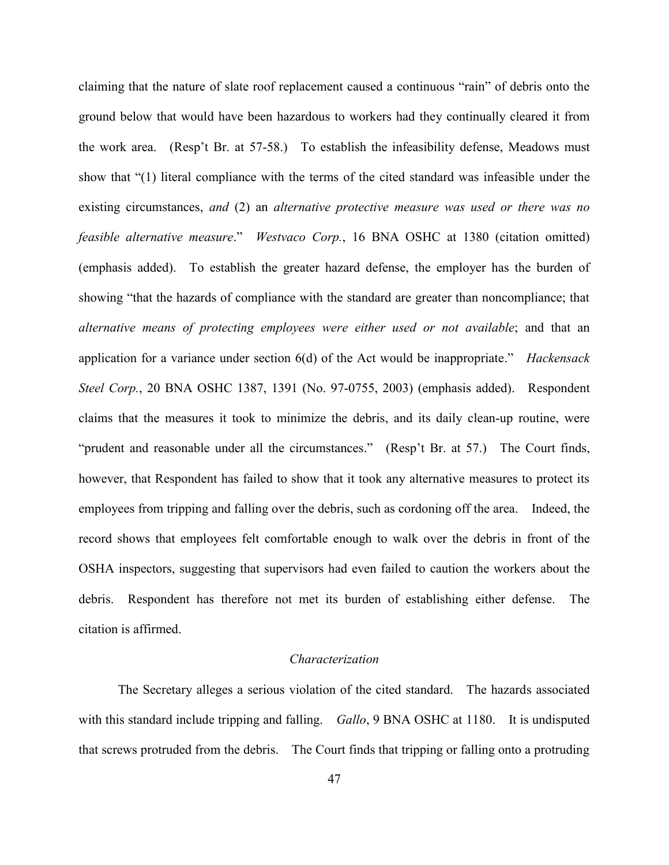claiming that the nature of slate roof replacement caused a continuous "rain" of debris onto the ground below that would have been hazardous to workers had they continually cleared it from the work area. (Resp't Br. at 57-58.) To establish the infeasibility defense, Meadows must show that "(1) literal compliance with the terms of the cited standard was infeasible under the existing circumstances, *and* (2) an *alternative protective measure was used or there was no feasible alternative measure*." *Westvaco Corp.*, 16 BNA OSHC at 1380 (citation omitted) (emphasis added). To establish the greater hazard defense, the employer has the burden of showing "that the hazards of compliance with the standard are greater than noncompliance; that *alternative means of protecting employees were either used or not available*; and that an application for a variance under section 6(d) of the Act would be inappropriate." *Hackensack Steel Corp.*, 20 BNA OSHC 1387, 1391 (No. 97-0755, 2003) (emphasis added). Respondent claims that the measures it took to minimize the debris, and its daily clean-up routine, were "prudent and reasonable under all the circumstances." (Resp't Br. at 57.) The Court finds, however, that Respondent has failed to show that it took any alternative measures to protect its employees from tripping and falling over the debris, such as cordoning off the area. Indeed, the record shows that employees felt comfortable enough to walk over the debris in front of the OSHA inspectors, suggesting that supervisors had even failed to caution the workers about the debris. Respondent has therefore not met its burden of establishing either defense. The citation is affirmed.

### *Characterization*

The Secretary alleges a serious violation of the cited standard. The hazards associated with this standard include tripping and falling. *Gallo*, 9 BNA OSHC at 1180. It is undisputed that screws protruded from the debris. The Court finds that tripping or falling onto a protruding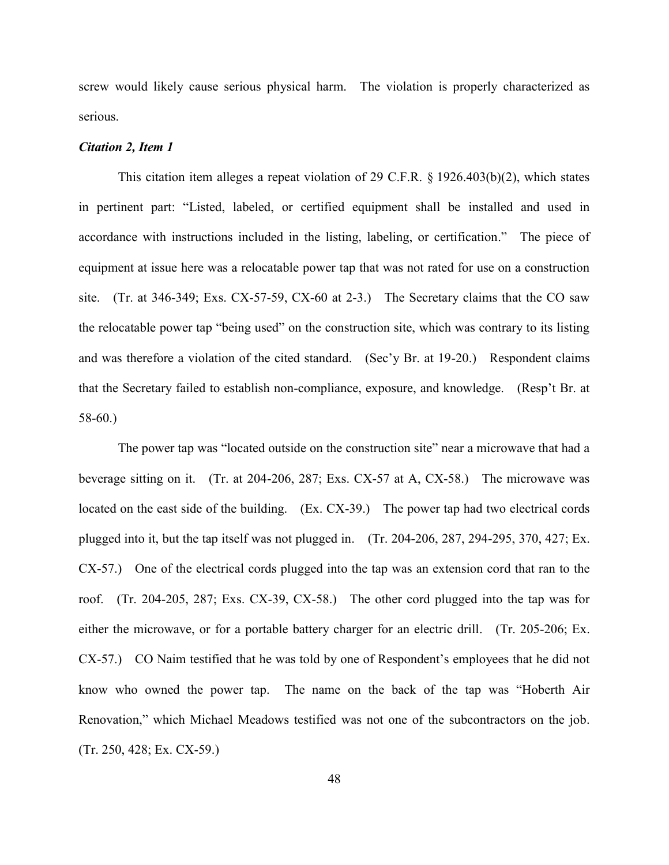screw would likely cause serious physical harm. The violation is properly characterized as serious.

#### *Citation 2, Item 1*

This citation item alleges a repeat violation of 29 C.F.R. § 1926.403(b)(2), which states in pertinent part: "Listed, labeled, or certified equipment shall be installed and used in accordance with instructions included in the listing, labeling, or certification." The piece of equipment at issue here was a relocatable power tap that was not rated for use on a construction site. (Tr. at 346-349; Exs. CX-57-59, CX-60 at 2-3.) The Secretary claims that the CO saw the relocatable power tap "being used" on the construction site, which was contrary to its listing and was therefore a violation of the cited standard. (Sec'y Br. at 19-20.) Respondent claims that the Secretary failed to establish non-compliance, exposure, and knowledge. (Resp't Br. at 58-60.)

The power tap was "located outside on the construction site" near a microwave that had a beverage sitting on it. (Tr. at 204-206, 287; Exs. CX-57 at A, CX-58.) The microwave was located on the east side of the building. (Ex. CX-39.) The power tap had two electrical cords plugged into it, but the tap itself was not plugged in. (Tr. 204-206, 287, 294-295, 370, 427; Ex. CX-57.) One of the electrical cords plugged into the tap was an extension cord that ran to the roof. (Tr. 204-205, 287; Exs. CX-39, CX-58.) The other cord plugged into the tap was for either the microwave, or for a portable battery charger for an electric drill. (Tr. 205-206; Ex. CX-57.) CO Naim testified that he was told by one of Respondent's employees that he did not know who owned the power tap. The name on the back of the tap was "Hoberth Air Renovation," which Michael Meadows testified was not one of the subcontractors on the job. (Tr. 250, 428; Ex. CX-59.)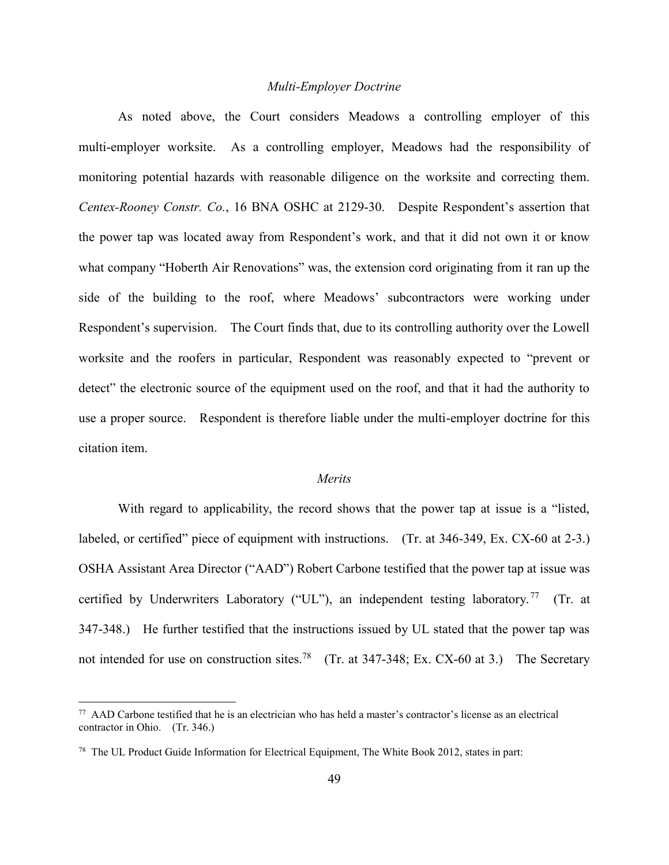### *Multi-Employer Doctrine*

As noted above, the Court considers Meadows a controlling employer of this multi-employer worksite. As a controlling employer, Meadows had the responsibility of monitoring potential hazards with reasonable diligence on the worksite and correcting them. *Centex-Rooney Constr. Co.*, 16 BNA OSHC at 2129-30. Despite Respondent's assertion that the power tap was located away from Respondent's work, and that it did not own it or know what company "Hoberth Air Renovations" was, the extension cord originating from it ran up the side of the building to the roof, where Meadows' subcontractors were working under Respondent's supervision. The Court finds that, due to its controlling authority over the Lowell worksite and the roofers in particular, Respondent was reasonably expected to "prevent or detect" the electronic source of the equipment used on the roof, and that it had the authority to use a proper source. Respondent is therefore liable under the multi-employer doctrine for this citation item.

#### *Merits*

With regard to applicability, the record shows that the power tap at issue is a "listed, labeled, or certified" piece of equipment with instructions. (Tr. at 346-349, Ex. CX-60 at 2-3.) OSHA Assistant Area Director ("AAD") Robert Carbone testified that the power tap at issue was certified by Underwriters Laboratory ("UL"), an independent testing laboratory.<sup>77</sup> (Tr. at 347-348.) He further testified that the instructions issued by UL stated that the power tap was not intended for use on construction sites.<sup>78</sup> (Tr. at 347-348; Ex. CX-60 at 3.) The Secretary

 $77$  AAD Carbone testified that he is an electrician who has held a master's contractor's license as an electrical contractor in Ohio. (Tr. 346.)

<sup>&</sup>lt;sup>78</sup> The UL Product Guide Information for Electrical Equipment, The White Book 2012, states in part: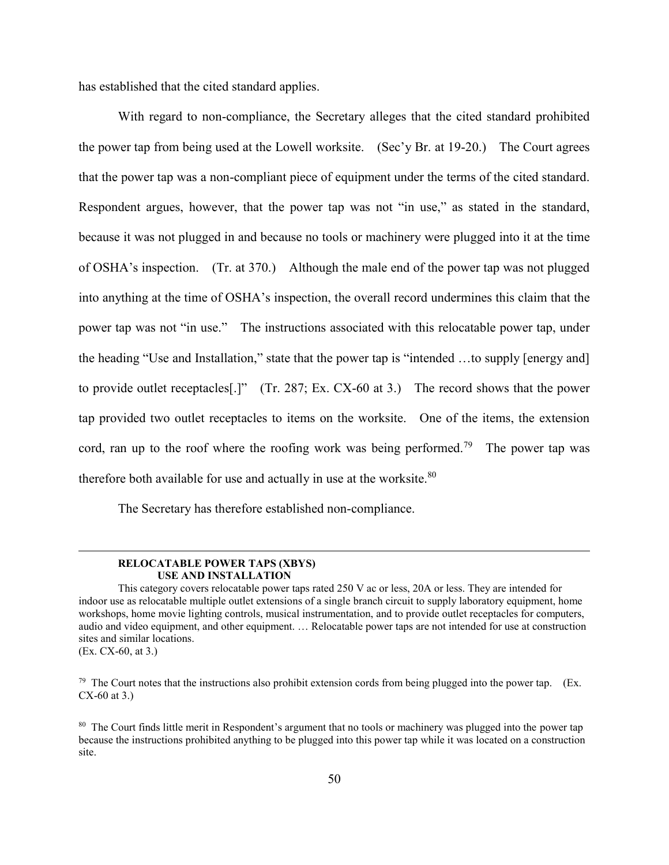has established that the cited standard applies.

With regard to non-compliance, the Secretary alleges that the cited standard prohibited the power tap from being used at the Lowell worksite. (Sec'y Br. at 19-20.) The Court agrees that the power tap was a non-compliant piece of equipment under the terms of the cited standard. Respondent argues, however, that the power tap was not "in use," as stated in the standard, because it was not plugged in and because no tools or machinery were plugged into it at the time of OSHA's inspection. (Tr. at 370.) Although the male end of the power tap was not plugged into anything at the time of OSHA's inspection, the overall record undermines this claim that the power tap was not "in use." The instructions associated with this relocatable power tap, under the heading "Use and Installation," state that the power tap is "intended …to supply [energy and] to provide outlet receptacles[.]" (Tr. 287; Ex. CX-60 at 3.) The record shows that the power tap provided two outlet receptacles to items on the worksite. One of the items, the extension cord, ran up to the roof where the roofing work was being performed.<sup>79</sup> The power tap was therefore both available for use and actually in use at the worksite.<sup>80</sup>

The Secretary has therefore established non-compliance.

#### **RELOCATABLE POWER TAPS (XBYS) USE AND INSTALLATION**

 $\overline{a}$ 

This category covers relocatable power taps rated 250 V ac or less, 20A or less. They are intended for indoor use as relocatable multiple outlet extensions of a single branch circuit to supply laboratory equipment, home workshops, home movie lighting controls, musical instrumentation, and to provide outlet receptacles for computers, audio and video equipment, and other equipment. … Relocatable power taps are not intended for use at construction sites and similar locations. (Ex. CX-60, at 3.)

 $79$  The Court notes that the instructions also prohibit extension cords from being plugged into the power tap. (Ex. CX-60 at 3.)

<sup>80</sup> The Court finds little merit in Respondent's argument that no tools or machinery was plugged into the power tap because the instructions prohibited anything to be plugged into this power tap while it was located on a construction site.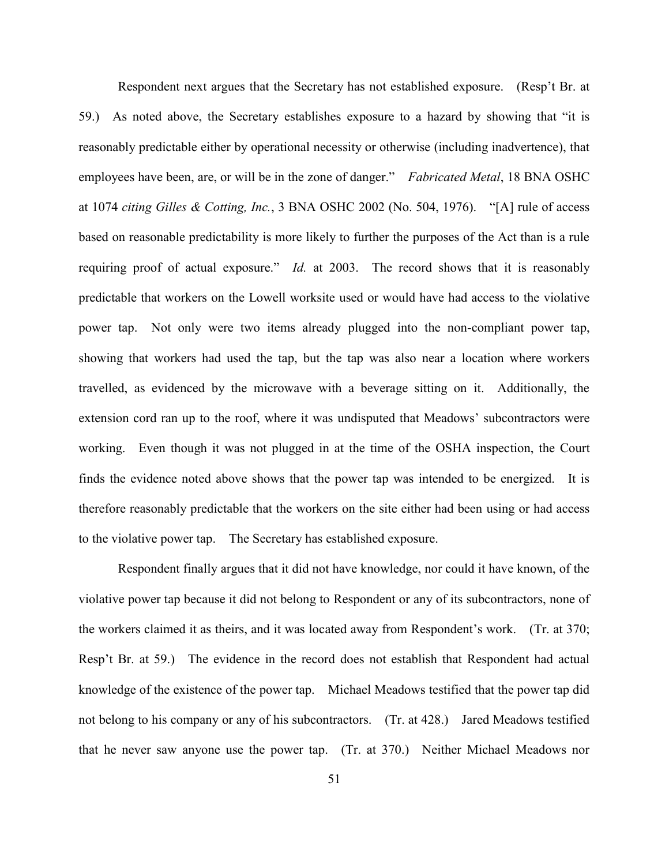Respondent next argues that the Secretary has not established exposure. (Resp't Br. at 59.) As noted above, the Secretary establishes exposure to a hazard by showing that "it is reasonably predictable either by operational necessity or otherwise (including inadvertence), that employees have been, are, or will be in the zone of danger." *Fabricated Metal*, 18 BNA OSHC at 1074 *citing Gilles & Cotting, Inc.*, 3 BNA OSHC 2002 (No. 504, 1976). "[A] rule of access based on reasonable predictability is more likely to further the purposes of the Act than is a rule requiring proof of actual exposure." *Id.* at 2003. The record shows that it is reasonably predictable that workers on the Lowell worksite used or would have had access to the violative power tap. Not only were two items already plugged into the non-compliant power tap, showing that workers had used the tap, but the tap was also near a location where workers travelled, as evidenced by the microwave with a beverage sitting on it. Additionally, the extension cord ran up to the roof, where it was undisputed that Meadows' subcontractors were working. Even though it was not plugged in at the time of the OSHA inspection, the Court finds the evidence noted above shows that the power tap was intended to be energized. It is therefore reasonably predictable that the workers on the site either had been using or had access to the violative power tap. The Secretary has established exposure.

Respondent finally argues that it did not have knowledge, nor could it have known, of the violative power tap because it did not belong to Respondent or any of its subcontractors, none of the workers claimed it as theirs, and it was located away from Respondent's work. (Tr. at 370; Resp't Br. at 59.) The evidence in the record does not establish that Respondent had actual knowledge of the existence of the power tap. Michael Meadows testified that the power tap did not belong to his company or any of his subcontractors. (Tr. at 428.) Jared Meadows testified that he never saw anyone use the power tap. (Tr. at 370.) Neither Michael Meadows nor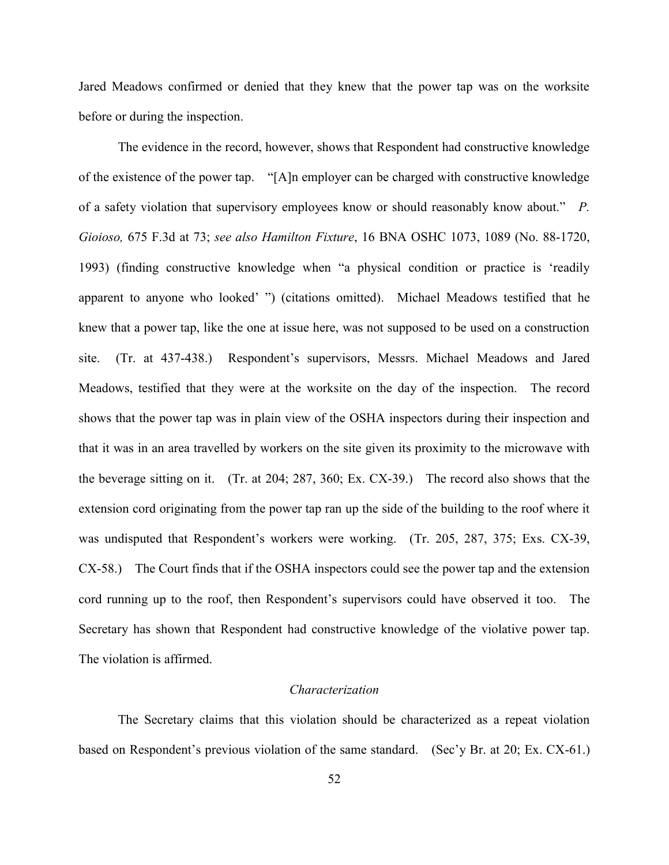Jared Meadows confirmed or denied that they knew that the power tap was on the worksite before or during the inspection.

The evidence in the record, however, shows that Respondent had constructive knowledge of the existence of the power tap. "[A]n employer can be charged with constructive knowledge of a safety violation that supervisory employees know or should reasonably know about." *P. Gioioso,* 675 F.3d at 73; *see also Hamilton Fixture*, 16 BNA OSHC 1073, 1089 (No. 88-1720, 1993) (finding constructive knowledge when "a physical condition or practice is 'readily apparent to anyone who looked' ") (citations omitted). Michael Meadows testified that he knew that a power tap, like the one at issue here, was not supposed to be used on a construction site. (Tr. at 437-438.) Respondent's supervisors, Messrs. Michael Meadows and Jared Meadows, testified that they were at the worksite on the day of the inspection. The record shows that the power tap was in plain view of the OSHA inspectors during their inspection and that it was in an area travelled by workers on the site given its proximity to the microwave with the beverage sitting on it. (Tr. at 204; 287, 360; Ex. CX-39.) The record also shows that the extension cord originating from the power tap ran up the side of the building to the roof where it was undisputed that Respondent's workers were working. (Tr. 205, 287, 375; Exs. CX-39, CX-58.) The Court finds that if the OSHA inspectors could see the power tap and the extension cord running up to the roof, then Respondent's supervisors could have observed it too. The Secretary has shown that Respondent had constructive knowledge of the violative power tap. The violation is affirmed.

#### *Characterization*

The Secretary claims that this violation should be characterized as a repeat violation based on Respondent's previous violation of the same standard. (Sec'y Br. at 20; Ex. CX-61.)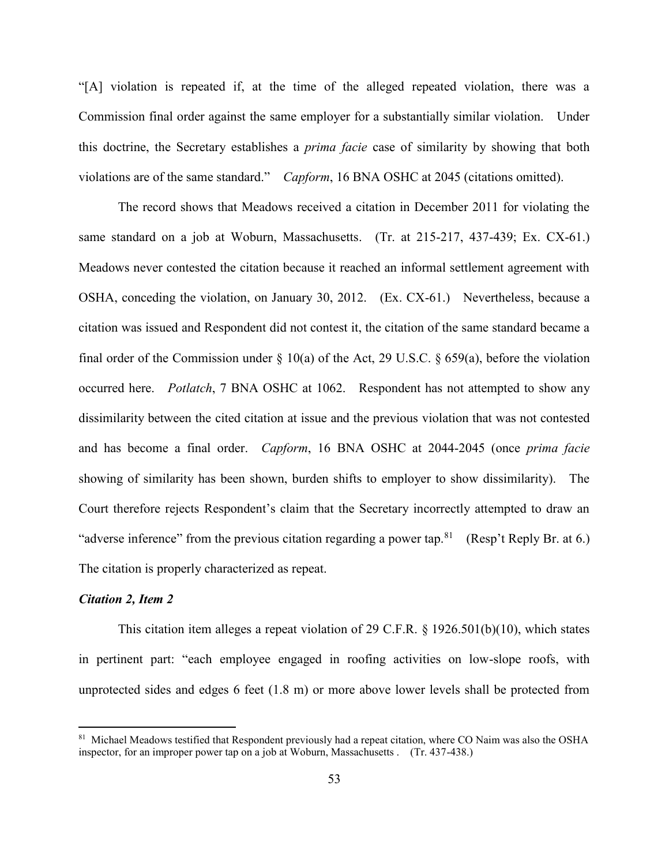"[A] violation is repeated if, at the time of the alleged repeated violation, there was a Commission final order against the same employer for a substantially similar violation. Under this doctrine, the Secretary establishes a *prima facie* case of similarity by showing that both violations are of the same standard." *Capform*, 16 BNA OSHC at 2045 (citations omitted).

The record shows that Meadows received a citation in December 2011 for violating the same standard on a job at Woburn, Massachusetts. (Tr. at 215-217, 437-439; Ex. CX-61.) Meadows never contested the citation because it reached an informal settlement agreement with OSHA, conceding the violation, on January 30, 2012. (Ex. CX-61.) Nevertheless, because a citation was issued and Respondent did not contest it, the citation of the same standard became a final order of the Commission under  $\S$  10(a) of the Act, 29 U.S.C.  $\S$  659(a), before the violation occurred here. *Potlatch*, 7 BNA OSHC at 1062. Respondent has not attempted to show any dissimilarity between the cited citation at issue and the previous violation that was not contested and has become a final order. *Capform*, 16 BNA OSHC at 2044-2045 (once *prima facie* showing of similarity has been shown, burden shifts to employer to show dissimilarity). The Court therefore rejects Respondent's claim that the Secretary incorrectly attempted to draw an "adverse inference" from the previous citation regarding a power tap.<sup>81</sup> (Resp't Reply Br. at 6.) The citation is properly characterized as repeat.

#### *Citation 2, Item 2*

 $\overline{a}$ 

This citation item alleges a repeat violation of 29 C.F.R. § 1926.501(b)(10), which states in pertinent part: "each employee engaged in roofing activities on low-slope roofs, with unprotected sides and edges 6 feet (1.8 m) or more above lower levels shall be protected from

<sup>&</sup>lt;sup>81</sup> Michael Meadows testified that Respondent previously had a repeat citation, where CO Naim was also the OSHA inspector, for an improper power tap on a job at Woburn, Massachusetts . (Tr. 437-438.)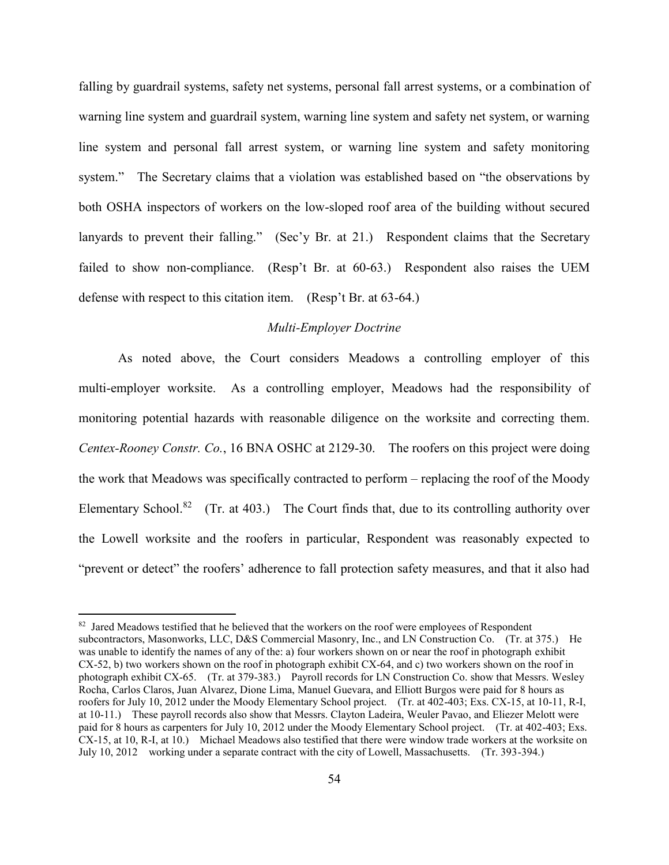falling by guardrail systems, safety net systems, personal fall arrest systems, or a combination of warning line system and guardrail system, warning line system and safety net system, or warning line system and personal fall arrest system, or warning line system and safety monitoring system." The Secretary claims that a violation was established based on "the observations by both OSHA inspectors of workers on the low-sloped roof area of the building without secured lanyards to prevent their falling." (Sec'y Br. at 21.) Respondent claims that the Secretary failed to show non-compliance. (Resp't Br. at 60-63.) Respondent also raises the UEM defense with respect to this citation item. (Resp't Br. at 63-64.)

# *Multi-Employer Doctrine*

As noted above, the Court considers Meadows a controlling employer of this multi-employer worksite. As a controlling employer, Meadows had the responsibility of monitoring potential hazards with reasonable diligence on the worksite and correcting them. *Centex-Rooney Constr. Co.*, 16 BNA OSHC at 2129-30. The roofers on this project were doing the work that Meadows was specifically contracted to perform – replacing the roof of the Moody Elementary School.<sup>82</sup> (Tr. at 403.) The Court finds that, due to its controlling authority over the Lowell worksite and the roofers in particular, Respondent was reasonably expected to "prevent or detect" the roofers' adherence to fall protection safety measures, and that it also had

<sup>&</sup>lt;sup>82</sup> Jared Meadows testified that he believed that the workers on the roof were employees of Respondent subcontractors, Masonworks, LLC, D&S Commercial Masonry, Inc., and LN Construction Co. (Tr. at 375.) He was unable to identify the names of any of the: a) four workers shown on or near the roof in photograph exhibit CX-52, b) two workers shown on the roof in photograph exhibit CX-64, and c) two workers shown on the roof in photograph exhibit CX-65. (Tr. at 379-383.) Payroll records for LN Construction Co. show that Messrs. Wesley Rocha, Carlos Claros, Juan Alvarez, Dione Lima, Manuel Guevara, and Elliott Burgos were paid for 8 hours as roofers for July 10, 2012 under the Moody Elementary School project. (Tr. at 402-403; Exs. CX-15, at 10-11, R-I, at 10-11.) These payroll records also show that Messrs. Clayton Ladeira, Weuler Pavao, and Eliezer Melott were paid for 8 hours as carpenters for July 10, 2012 under the Moody Elementary School project. (Tr. at 402-403; Exs. CX-15, at 10, R-I, at 10.) Michael Meadows also testified that there were window trade workers at the worksite on July 10, 2012 working under a separate contract with the city of Lowell, Massachusetts. (Tr. 393-394.)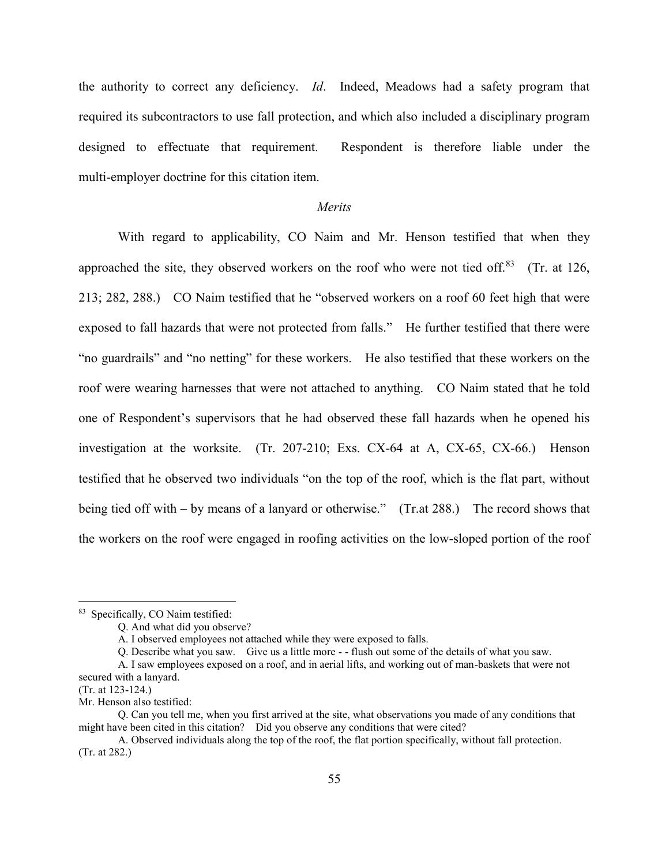the authority to correct any deficiency. *Id*. Indeed, Meadows had a safety program that required its subcontractors to use fall protection, and which also included a disciplinary program designed to effectuate that requirement. Respondent is therefore liable under the multi-employer doctrine for this citation item.

### *Merits*

With regard to applicability, CO Naim and Mr. Henson testified that when they approached the site, they observed workers on the roof who were not tied off.<sup>83</sup> (Tr. at 126, 213; 282, 288.) CO Naim testified that he "observed workers on a roof 60 feet high that were exposed to fall hazards that were not protected from falls." He further testified that there were "no guardrails" and "no netting" for these workers. He also testified that these workers on the roof were wearing harnesses that were not attached to anything. CO Naim stated that he told one of Respondent's supervisors that he had observed these fall hazards when he opened his investigation at the worksite. (Tr. 207-210; Exs. CX-64 at A, CX-65, CX-66.) Henson testified that he observed two individuals "on the top of the roof, which is the flat part, without being tied off with – by means of a lanyard or otherwise." (Tr.at 288.) The record shows that the workers on the roof were engaged in roofing activities on the low-sloped portion of the roof

<sup>&</sup>lt;sup>83</sup> Specifically, CO Naim testified:

Q. And what did you observe?

A. I observed employees not attached while they were exposed to falls.

Q. Describe what you saw. Give us a little more - - flush out some of the details of what you saw.

A. I saw employees exposed on a roof, and in aerial lifts, and working out of man-baskets that were not secured with a lanyard.

<sup>(</sup>Tr. at 123-124.)

Mr. Henson also testified:

Q. Can you tell me, when you first arrived at the site, what observations you made of any conditions that might have been cited in this citation? Did you observe any conditions that were cited?

A. Observed individuals along the top of the roof, the flat portion specifically, without fall protection. (Tr. at 282.)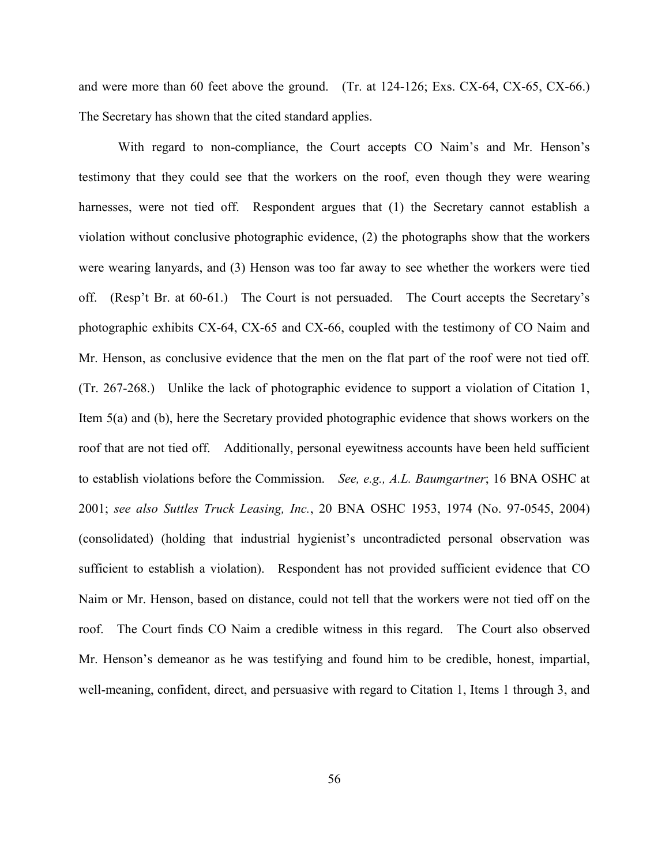and were more than 60 feet above the ground. (Tr. at 124-126; Exs. CX-64, CX-65, CX-66.) The Secretary has shown that the cited standard applies.

With regard to non-compliance, the Court accepts CO Naim's and Mr. Henson's testimony that they could see that the workers on the roof, even though they were wearing harnesses, were not tied off. Respondent argues that (1) the Secretary cannot establish a violation without conclusive photographic evidence, (2) the photographs show that the workers were wearing lanyards, and (3) Henson was too far away to see whether the workers were tied off. (Resp't Br. at 60-61.) The Court is not persuaded. The Court accepts the Secretary's photographic exhibits CX-64, CX-65 and CX-66, coupled with the testimony of CO Naim and Mr. Henson, as conclusive evidence that the men on the flat part of the roof were not tied off. (Tr. 267-268.) Unlike the lack of photographic evidence to support a violation of Citation 1, Item 5(a) and (b), here the Secretary provided photographic evidence that shows workers on the roof that are not tied off. Additionally, personal eyewitness accounts have been held sufficient to establish violations before the Commission. *See, e.g., A.L. Baumgartner*; 16 BNA OSHC at 2001; *see also Suttles Truck Leasing, Inc.*, 20 BNA OSHC 1953, 1974 (No. 97-0545, 2004) (consolidated) (holding that industrial hygienist's uncontradicted personal observation was sufficient to establish a violation). Respondent has not provided sufficient evidence that CO Naim or Mr. Henson, based on distance, could not tell that the workers were not tied off on the roof. The Court finds CO Naim a credible witness in this regard. The Court also observed Mr. Henson's demeanor as he was testifying and found him to be credible, honest, impartial, well-meaning, confident, direct, and persuasive with regard to Citation 1, Items 1 through 3, and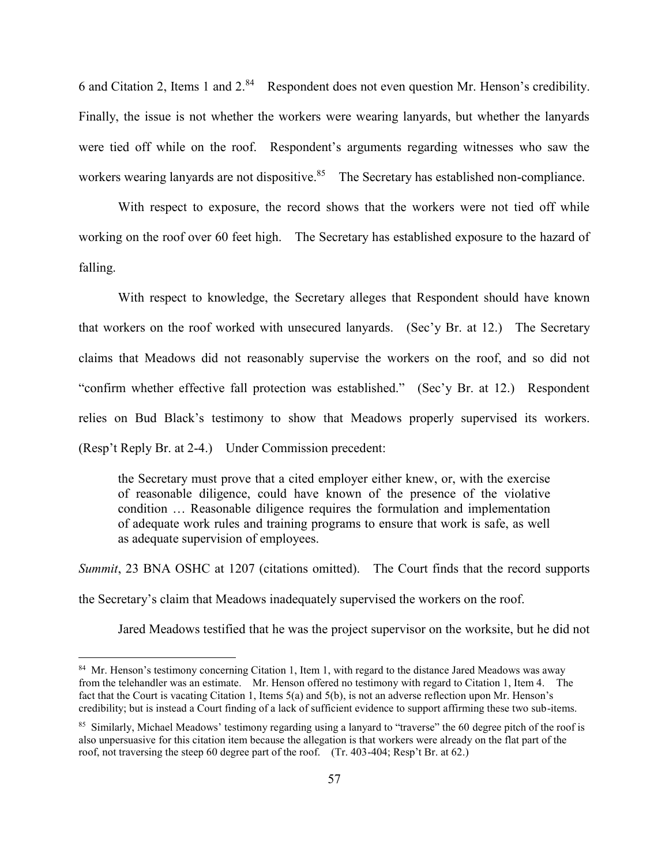6 and Citation 2, Items 1 and 2.<sup>84</sup> Respondent does not even question Mr. Henson's credibility. Finally, the issue is not whether the workers were wearing lanyards, but whether the lanyards were tied off while on the roof. Respondent's arguments regarding witnesses who saw the workers wearing lanyards are not dispositive.<sup>85</sup> The Secretary has established non-compliance.

With respect to exposure, the record shows that the workers were not tied off while working on the roof over 60 feet high. The Secretary has established exposure to the hazard of falling.

With respect to knowledge, the Secretary alleges that Respondent should have known that workers on the roof worked with unsecured lanyards. (Sec'y Br. at 12.) The Secretary claims that Meadows did not reasonably supervise the workers on the roof, and so did not "confirm whether effective fall protection was established." (Sec'y Br. at 12.) Respondent relies on Bud Black's testimony to show that Meadows properly supervised its workers. (Resp't Reply Br. at 2-4.) Under Commission precedent:

the Secretary must prove that a cited employer either knew, or, with the exercise of reasonable diligence, could have known of the presence of the violative condition … Reasonable diligence requires the formulation and implementation of adequate work rules and training programs to ensure that work is safe, as well as adequate supervision of employees.

*Summit*, 23 BNA OSHC at 1207 (citations omitted). The Court finds that the record supports the Secretary's claim that Meadows inadequately supervised the workers on the roof.

Jared Meadows testified that he was the project supervisor on the worksite, but he did not

<sup>&</sup>lt;sup>84</sup> Mr. Henson's testimony concerning Citation 1, Item 1, with regard to the distance Jared Meadows was away from the telehandler was an estimate. Mr. Henson offered no testimony with regard to Citation 1, Item 4. The fact that the Court is vacating Citation 1, Items 5(a) and 5(b), is not an adverse reflection upon Mr. Henson's credibility; but is instead a Court finding of a lack of sufficient evidence to support affirming these two sub-items.

<sup>&</sup>lt;sup>85</sup> Similarly, Michael Meadows' testimony regarding using a lanyard to "traverse" the 60 degree pitch of the roof is also unpersuasive for this citation item because the allegation is that workers were already on the flat part of the roof, not traversing the steep 60 degree part of the roof. (Tr. 403-404; Resp't Br. at 62.)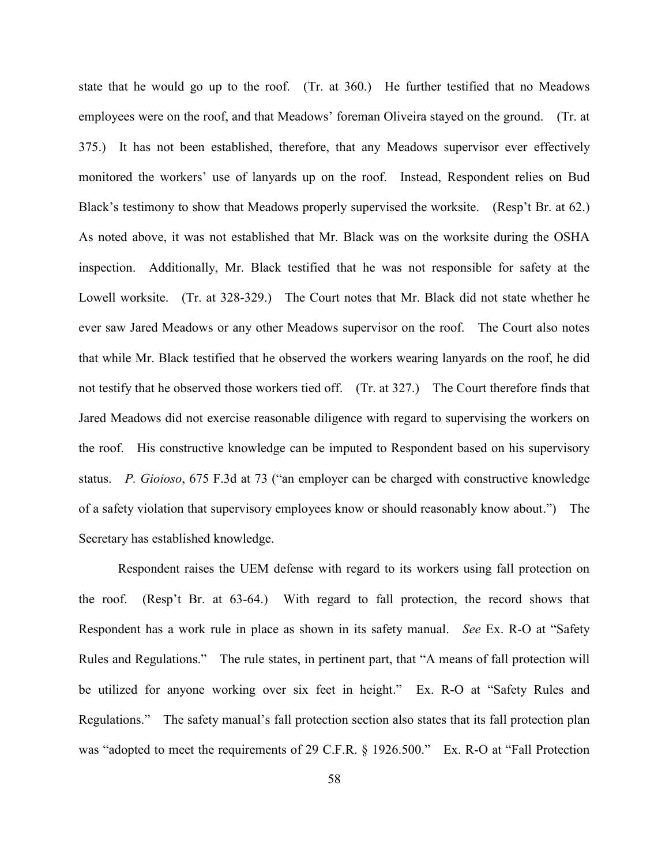state that he would go up to the roof. (Tr. at 360.) He further testified that no Meadows employees were on the roof, and that Meadows' foreman Oliveira stayed on the ground. (Tr. at 375.) It has not been established, therefore, that any Meadows supervisor ever effectively monitored the workers' use of lanyards up on the roof. Instead, Respondent relies on Bud Black's testimony to show that Meadows properly supervised the worksite. (Resp't Br. at 62.) As noted above, it was not established that Mr. Black was on the worksite during the OSHA inspection. Additionally, Mr. Black testified that he was not responsible for safety at the Lowell worksite. (Tr. at 328-329.) The Court notes that Mr. Black did not state whether he ever saw Jared Meadows or any other Meadows supervisor on the roof. The Court also notes that while Mr. Black testified that he observed the workers wearing lanyards on the roof, he did not testify that he observed those workers tied off. (Tr. at 327.) The Court therefore finds that Jared Meadows did not exercise reasonable diligence with regard to supervising the workers on the roof. His constructive knowledge can be imputed to Respondent based on his supervisory status. *P. Gioioso*, 675 F.3d at 73 ("an employer can be charged with constructive knowledge of a safety violation that supervisory employees know or should reasonably know about.") The Secretary has established knowledge.

Respondent raises the UEM defense with regard to its workers using fall protection on the roof. (Resp't Br. at 63-64.) With regard to fall protection, the record shows that Respondent has a work rule in place as shown in its safety manual. *See* Ex. R-O at "Safety Rules and Regulations." The rule states, in pertinent part, that "A means of fall protection will be utilized for anyone working over six feet in height." Ex. R-O at "Safety Rules and Regulations." The safety manual's fall protection section also states that its fall protection plan was "adopted to meet the requirements of 29 C.F.R. § 1926.500." Ex. R-O at "Fall Protection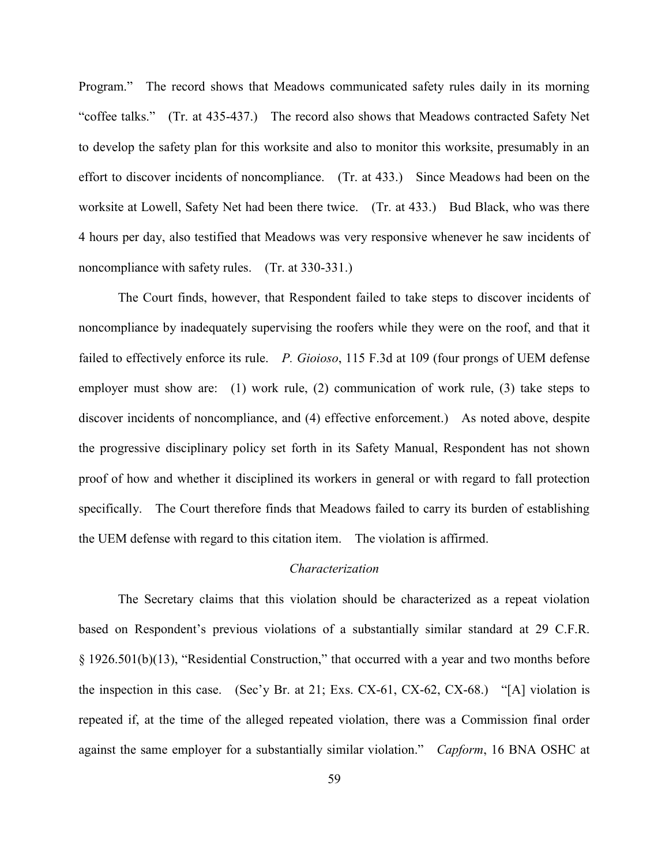Program." The record shows that Meadows communicated safety rules daily in its morning "coffee talks." (Tr. at 435-437.) The record also shows that Meadows contracted Safety Net to develop the safety plan for this worksite and also to monitor this worksite, presumably in an effort to discover incidents of noncompliance. (Tr. at 433.) Since Meadows had been on the worksite at Lowell, Safety Net had been there twice. (Tr. at 433.) Bud Black, who was there 4 hours per day, also testified that Meadows was very responsive whenever he saw incidents of noncompliance with safety rules. (Tr. at 330-331.)

The Court finds, however, that Respondent failed to take steps to discover incidents of noncompliance by inadequately supervising the roofers while they were on the roof, and that it failed to effectively enforce its rule. *P. Gioioso*, 115 F.3d at 109 (four prongs of UEM defense employer must show are: (1) work rule, (2) communication of work rule, (3) take steps to discover incidents of noncompliance, and (4) effective enforcement.) As noted above, despite the progressive disciplinary policy set forth in its Safety Manual, Respondent has not shown proof of how and whether it disciplined its workers in general or with regard to fall protection specifically. The Court therefore finds that Meadows failed to carry its burden of establishing the UEM defense with regard to this citation item. The violation is affirmed.

# *Characterization*

The Secretary claims that this violation should be characterized as a repeat violation based on Respondent's previous violations of a substantially similar standard at 29 C.F.R. § 1926.501(b)(13), "Residential Construction," that occurred with a year and two months before the inspection in this case. (Sec'y Br. at 21; Exs. CX-61, CX-62, CX-68.) "[A] violation is repeated if, at the time of the alleged repeated violation, there was a Commission final order against the same employer for a substantially similar violation." *Capform*, 16 BNA OSHC at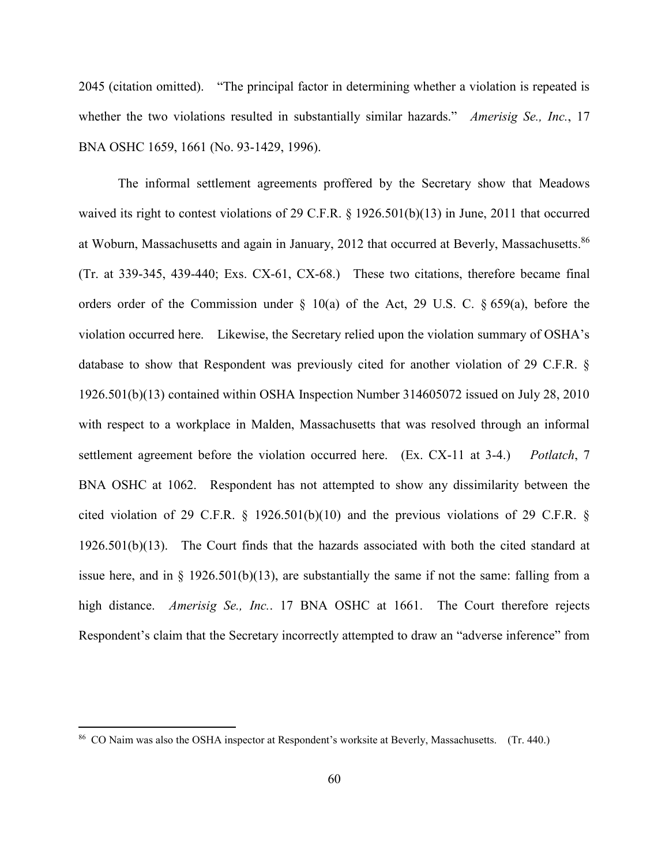2045 (citation omitted). "The principal factor in determining whether a violation is repeated is whether the two violations resulted in substantially similar hazards." *Amerisig Se., Inc.*, 17 BNA OSHC 1659, 1661 (No. 93-1429, 1996).

The informal settlement agreements proffered by the Secretary show that Meadows waived its right to contest violations of 29 C.F.R. § 1926.501(b)(13) in June, 2011 that occurred at Woburn, Massachusetts and again in January, 2012 that occurred at Beverly, Massachusetts. 86 (Tr. at 339-345, 439-440; Exs. CX-61, CX-68.) These two citations, therefore became final orders order of the Commission under  $\S$  10(a) of the Act, 29 U.S. C.  $\S$  659(a), before the violation occurred here. Likewise, the Secretary relied upon the violation summary of OSHA's database to show that Respondent was previously cited for another violation of 29 C.F.R. § 1926.501(b)(13) contained within OSHA Inspection Number 314605072 issued on July 28, 2010 with respect to a workplace in Malden, Massachusetts that was resolved through an informal settlement agreement before the violation occurred here. (Ex. CX-11 at 3-4.) *Potlatch*, 7 BNA OSHC at 1062. Respondent has not attempted to show any dissimilarity between the cited violation of 29 C.F.R. § 1926.501(b)(10) and the previous violations of 29 C.F.R. § 1926.501(b)(13). The Court finds that the hazards associated with both the cited standard at issue here, and in  $\S$  1926.501(b)(13), are substantially the same if not the same: falling from a high distance. *Amerisig Se., Inc.*. 17 BNA OSHC at 1661. The Court therefore rejects Respondent's claim that the Secretary incorrectly attempted to draw an "adverse inference" from

<sup>&</sup>lt;sup>86</sup> CO Naim was also the OSHA inspector at Respondent's worksite at Beverly, Massachusetts. (Tr. 440.)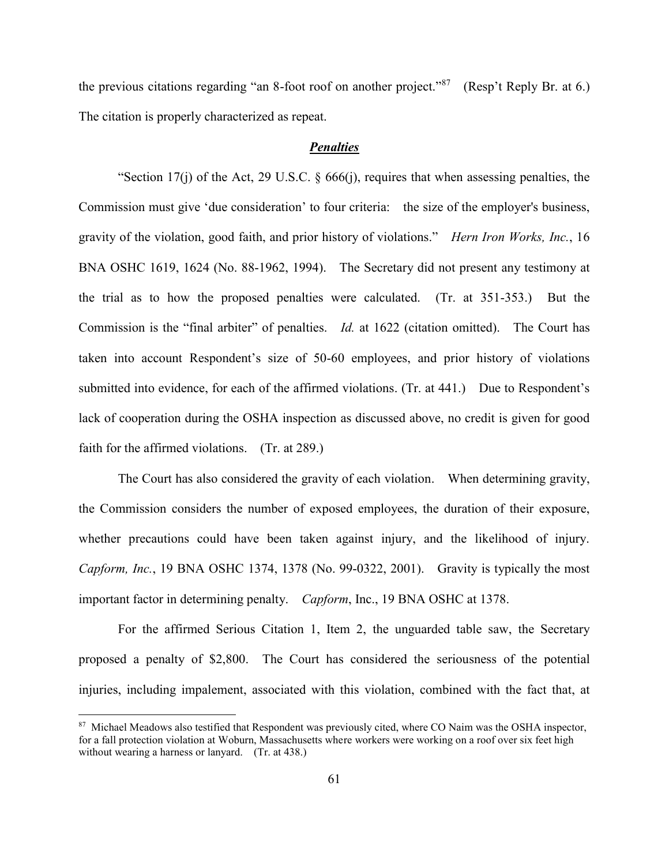the previous citations regarding "an 8-foot roof on another project."<sup>87</sup> (Resp't Reply Br. at 6.) The citation is properly characterized as repeat.

### *Penalties*

"Section 17(j) of the Act, [29 U.S.C. § 666\(j\),](http://web2.westlaw.com/find/default.wl?mt=LaborAndEmployment&db=1000546&rs=WLW14.01&docname=29USCAS666&rp=%2ffind%2fdefault.wl&findtype=L&ordoc=1994530560&tc=-1&vr=2.0&fn=_top&sv=Split&tf=-1&referencepositiontype=T&pbc=00892488&referenceposition=SP%3b267600008f864&utid=1) requires that when assessing penalties, the Commission must give 'due consideration' to four criteria: the size of the employer's business, gravity of the violation, good faith, and prior history of violations." *Hern Iron Works, Inc.*, 16 BNA OSHC 1619, 1624 (No. 88-1962, 1994). The Secretary did not present any testimony at the trial as to how the proposed penalties were calculated. (Tr. at 351-353.) But the Commission is the "final arbiter" of penalties. *Id.* at 1622 (citation omitted). The Court has taken into account Respondent's size of 50-60 employees, and prior history of violations submitted into evidence, for each of the affirmed violations. (Tr. at 441.) Due to Respondent's lack of cooperation during the OSHA inspection as discussed above, no credit is given for good faith for the affirmed violations. (Tr. at 289.)

The Court has also considered the gravity of each violation. When determining gravity, the Commission considers the number of exposed employees, the duration of their exposure, whether precautions could have been taken against injury, and the likelihood of injury. *Capform, Inc.*, 19 BNA OSHC 1374, 1378 (No. 99-0322, 2001). Gravity is typically the most important factor in determining penalty. *Capform*, Inc., 19 BNA OSHC at 1378.

For the affirmed Serious Citation 1, Item 2, the unguarded table saw, the Secretary proposed a penalty of \$2,800. The Court has considered the seriousness of the potential injuries, including impalement, associated with this violation, combined with the fact that, at

<sup>&</sup>lt;sup>87</sup> Michael Meadows also testified that Respondent was previously cited, where CO Naim was the OSHA inspector, for a fall protection violation at Woburn, Massachusetts where workers were working on a roof over six feet high without wearing a harness or lanyard. (Tr. at 438.)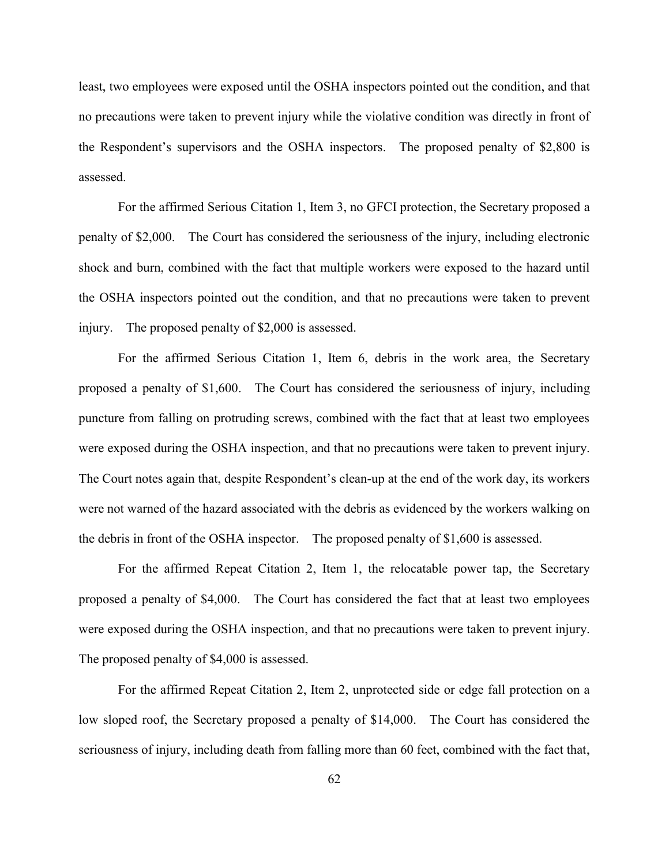least, two employees were exposed until the OSHA inspectors pointed out the condition, and that no precautions were taken to prevent injury while the violative condition was directly in front of the Respondent's supervisors and the OSHA inspectors. The proposed penalty of \$2,800 is assessed.

For the affirmed Serious Citation 1, Item 3, no GFCI protection, the Secretary proposed a penalty of \$2,000. The Court has considered the seriousness of the injury, including electronic shock and burn, combined with the fact that multiple workers were exposed to the hazard until the OSHA inspectors pointed out the condition, and that no precautions were taken to prevent injury. The proposed penalty of \$2,000 is assessed.

For the affirmed Serious Citation 1, Item 6, debris in the work area, the Secretary proposed a penalty of \$1,600. The Court has considered the seriousness of injury, including puncture from falling on protruding screws, combined with the fact that at least two employees were exposed during the OSHA inspection, and that no precautions were taken to prevent injury. The Court notes again that, despite Respondent's clean-up at the end of the work day, its workers were not warned of the hazard associated with the debris as evidenced by the workers walking on the debris in front of the OSHA inspector. The proposed penalty of \$1,600 is assessed.

For the affirmed Repeat Citation 2, Item 1, the relocatable power tap, the Secretary proposed a penalty of \$4,000. The Court has considered the fact that at least two employees were exposed during the OSHA inspection, and that no precautions were taken to prevent injury. The proposed penalty of \$4,000 is assessed.

For the affirmed Repeat Citation 2, Item 2, unprotected side or edge fall protection on a low sloped roof, the Secretary proposed a penalty of \$14,000. The Court has considered the seriousness of injury, including death from falling more than 60 feet, combined with the fact that,